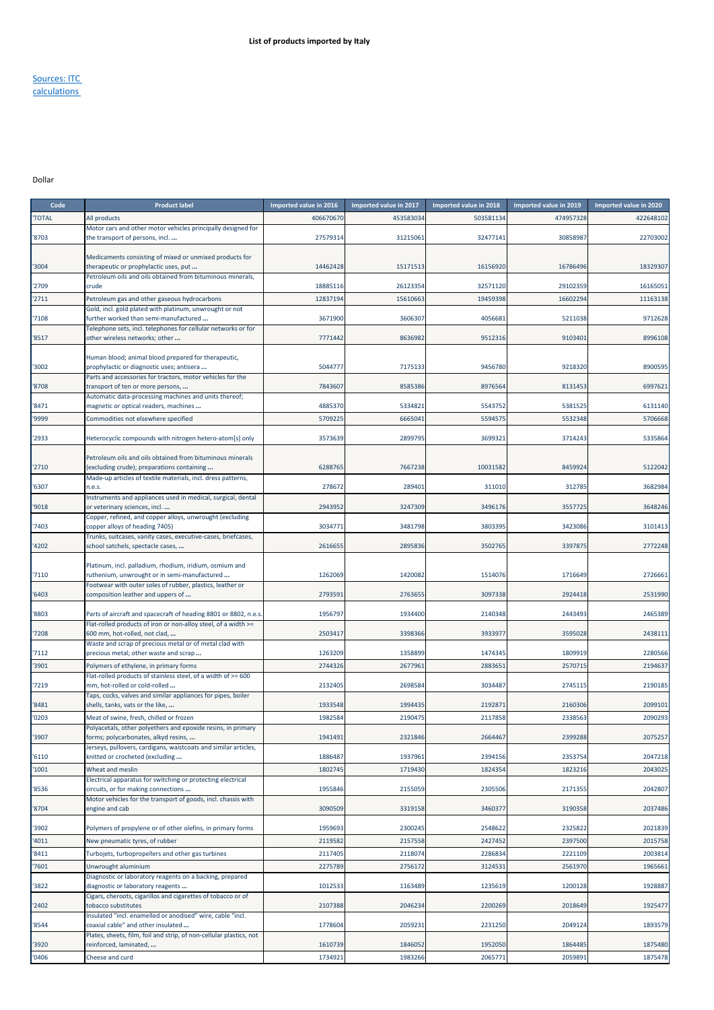## Sources: ITC calculations

## Dollar

| Code         | <b>Product label</b>                                                                                    | Imported value in 2016 | Imported value in 2017 | Imported value in 2018 | Imported value in 2019 | Imported value in 2020 |
|--------------|---------------------------------------------------------------------------------------------------------|------------------------|------------------------|------------------------|------------------------|------------------------|
| <b>TOTAL</b> | All products                                                                                            | 406670670              | 453583034              | 503581134              | 474957328              | 422648102              |
| '8703        | Motor cars and other motor vehicles principally designed for<br>the transport of persons, incl          | 27579314               | 31215061               | 32477141               | 30858987               | 22703002               |
|              |                                                                                                         |                        |                        |                        |                        |                        |
|              | Medicaments consisting of mixed or unmixed products for                                                 |                        |                        |                        |                        |                        |
| '3004        | therapeutic or prophylactic uses, put<br>Petroleum oils and oils obtained from bituminous minerals,     | 14462428               | 15171513               | 16156920               | 16786496               | 18329307               |
| '2709        | crude                                                                                                   | 18885116               | 26123354               | 32571120               | 29102359               | 16165051               |
| '2711        | Petroleum gas and other gaseous hydrocarbons                                                            | 12837194               | 15610663               | 19459398               | 16602294               | 11163138               |
|              | Gold, incl. gold plated with platinum, unwrought or not                                                 |                        |                        |                        |                        |                        |
| 7108         | further worked than semi-manufactured<br>Telephone sets, incl. telephones for cellular networks or for  | 3671900                | 3606307                | 4056681                | 5211038                | 9712628                |
| '8517        | other wireless networks; other                                                                          | 7771442                | 8636982                | 9512316                | 9103401                | 8996108                |
|              |                                                                                                         |                        |                        |                        |                        |                        |
| '3002        | Human blood; animal blood prepared for therapeutic,<br>prophylactic or diagnostic uses; antisera        | 5044777                | 7175133                | 9456780                | 9218320                | 8900595                |
|              | Parts and accessories for tractors, motor vehicles for the                                              |                        |                        |                        |                        |                        |
| '8708        | transport of ten or more persons,                                                                       | 7843607                | 8585386                | 8976564                | 8131453                | 6997621                |
| '8471        | Automatic data-processing machines and units thereof;<br>magnetic or optical readers, machines          | 4885370                | 5334821                | 5543752                | 5381525                | 6131140                |
| '9999        | Commodities not elsewhere specified                                                                     | 5709225                | 6665041                | 5594575                | 5532348                | 5706668                |
|              |                                                                                                         |                        |                        |                        |                        |                        |
| '2933        | Heterocyclic compounds with nitrogen hetero-atom[s] only                                                | 3573639                | 2899795                | 3699321                | 3714243                | 5335864                |
|              | Petroleum oils and oils obtained from bituminous minerals                                               |                        |                        |                        |                        |                        |
| '2710        | (excluding crude); preparations containing                                                              | 6288765                | 7667238                | 10031582               | 8459924                | 5122042                |
|              | Made-up articles of textile materials, incl. dress patterns,                                            |                        |                        |                        |                        |                        |
| '6307        | n.e.s.<br>Instruments and appliances used in medical, surgical, dental                                  | 278672                 | 289401                 | 311010                 | 312785                 | 3682984                |
| '9018        | or veterinary sciences, incl                                                                            | 2943952                | 3247309                | 3496176                | 3557725                | 3648246                |
|              | Copper, refined, and copper alloys, unwrought (excluding                                                |                        |                        |                        |                        |                        |
| 7403         | copper alloys of heading 7405)<br>Trunks, suitcases, vanity cases, executive-cases, briefcases,         | 303477                 | 3481798                | 3803395                | 3423086                | 3101413                |
| 4202         | school satchels, spectacle cases,                                                                       | 2616655                | 2895836                | 3502765                | 3397875                | 2772248                |
|              |                                                                                                         |                        |                        |                        |                        |                        |
| '7110        | Platinum, incl. palladium, rhodium, iridium, osmium and<br>ruthenium, unwrought or in semi-manufactured | 1262069                | 1420082                | 1514076                | 1716649                | 2726661                |
|              | Footwear with outer soles of rubber, plastics, leather or                                               |                        |                        |                        |                        |                        |
| '6403        | composition leather and uppers of                                                                       | 2793591                | 2763655                | 3097338                | 2924418                | 2531990                |
| '8803        | Parts of aircraft and spacecraft of heading 8801 or 8802, n.e.s                                         | 1956797                | 1934400                | 2140348                | 2443493                | 2465389                |
|              | Flat-rolled products of iron or non-alloy steel, of a width >=                                          |                        |                        |                        |                        |                        |
| 7208         | 600 mm, hot-rolled, not clad,                                                                           | 2503417                | 3398366                | 3933977                | 3595028                | 2438111                |
| '7112        | Waste and scrap of precious metal or of metal clad with<br>precious metal; other waste and scrap        | 1263209                | 1358899                | 1474345                | 1809919                | 2280566                |
| 3901         | Polymers of ethylene, in primary forms                                                                  | 2744326                | 2677961                | 2883651                | 2570715                | 2194637                |
|              | Flat-rolled products of stainless steel, of a width of >= 600                                           |                        |                        |                        |                        |                        |
| 7219         | mm, hot-rolled or cold-rolled<br>Taps, cocks, valves and similar appliances for pipes, boiler           | 2132405                | 2698584                | 3034487                | 2745115                | 2190185                |
| 8481         | shells, tanks, vats or the like,                                                                        | 1933548                | 1994435                | 2192871                | 2160306                | 2099101                |
| '0203        | Meat of swine, fresh, chilled or frozen                                                                 | 1982584                | 2190475                | 2117858                | 2338563                | 2090293                |
|              | Polyacetals, other polyethers and epoxide resins, in primary                                            |                        |                        |                        |                        |                        |
| '3907        | rorms; polycarbonates, alkyd resins,<br>Jerseys, pullovers, cardigans, waistcoats and similar articles, | 1941491                | 2321846                | 2664467                | 2399288                | 2075257                |
| '6110        | knitted or crocheted (excluding                                                                         | 1886487                | 1937961                | 2394156                | 2353754                | 2047218                |
| '1001        | Wheat and meslin                                                                                        | 1802745                | 1719430                | 1824354                | 1823216                | 2043025                |
|              | Electrical apparatus for switching or protecting electrical                                             |                        |                        |                        |                        |                        |
| '8536        | circuits, or for making connections<br>Motor vehicles for the transport of goods, incl. chassis with    | 1955846                | 2155059                | 2305506                | 2171355                | 2042807                |
| '8704        | engine and cab                                                                                          | 3090509                | 3319158                | 3460377                | 3190358                | 2037486                |
|              |                                                                                                         |                        |                        |                        |                        |                        |
| '3902        | Polymers of propylene or of other olefins, in primary forms                                             | 1959693                | 2300245                | 2548622                | 2325822                | 2021839                |
| '4011        | New pneumatic tyres, of rubber                                                                          | 2119582                | 2157558                | 2427452                | 2397500                | 2015758                |
| '8411        | Turbojets, turbopropellers and other gas turbines                                                       | 2117405                | 2118074                | 2286834                | 2221109                | 2003814                |
| '7601        | Unwrought aluminium<br>Diagnostic or laboratory reagents on a backing, prepared                         | 2275789                | 2756172                | 312453:                | 2561970                | 1965661                |
| '3822        | diagnostic or laboratory reagents                                                                       | 1012533                | 1163489                | 1235619                | 1200128                | 1928887                |
|              | Cigars, cheroots, cigarillos and cigarettes of tobacco or of                                            |                        |                        |                        |                        |                        |
| '2402        | tobacco substitutes<br>Insulated "incl. enamelled or anodised" wire, cable "incl.                       | 2107388                | 2046234                | 2200269                | 2018649                | 1925477                |
| '8544        | coaxial cable" and other insulated                                                                      | 1778604                | 2059231                | 2231250                | 2049124                | 1893579                |
|              | Plates, sheets, film, foil and strip, of non-cellular plastics, not                                     |                        |                        |                        |                        |                        |
| '3920        | reinforced, laminated,                                                                                  | 1610739                | 1846052                | 1952050                | 1864485                | 1875480                |
| '0406        | Cheese and curd                                                                                         | 1734921                | 1983266                | 2065771                | 2059891                | 1875478                |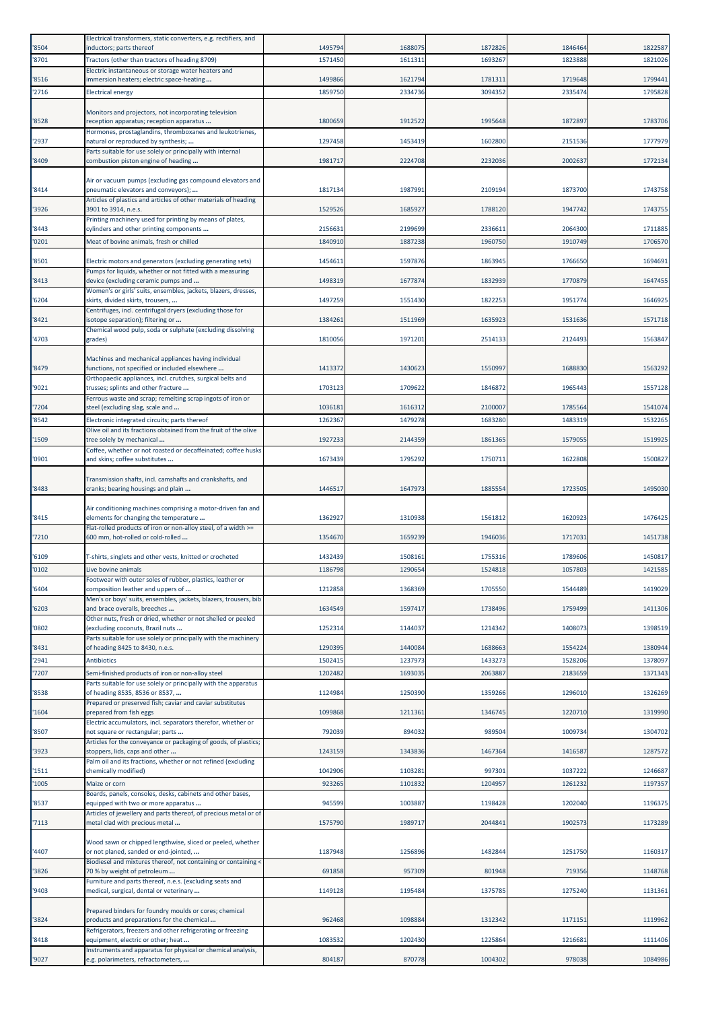| '8504          | Electrical transformers, static converters, e.g. rectifiers, and<br>inductors; parts thereof                         | 1495794           | 1688075            | 1872826            | 1846464            | 1822587            |
|----------------|----------------------------------------------------------------------------------------------------------------------|-------------------|--------------------|--------------------|--------------------|--------------------|
| '8701          | Tractors (other than tractors of heading 8709)                                                                       | 1571450           | 1611311            | 1693267            | 1823888            | 1821026            |
| '8516          | Electric instantaneous or storage water heaters and<br>immersion heaters; electric space-heating                     | 1499866           | 1621794            | 1781311            | 1719648            | 1799441            |
| '2716          | <b>Electrical energy</b>                                                                                             | 1859750           | 2334736            | 3094352            | 2335474            | 1795828            |
|                | Monitors and projectors, not incorporating television                                                                |                   |                    |                    |                    |                    |
| '8528          | reception apparatus; reception apparatus                                                                             | 1800659           | 1912522            | 1995648            | 1872897            | 1783706            |
| '2937          | Hormones, prostaglandins, thromboxanes and leukotrienes,<br>natural or reproduced by synthesis;                      | 1297458           | 1453419            | 1602800            | 2151536            | 1777979            |
|                | Parts suitable for use solely or principally with internal                                                           |                   |                    |                    |                    |                    |
| '8409          | combustion piston engine of heading                                                                                  | 1981717           | 2224708            | 2232036            | 2002637            | 1772134            |
|                | Air or vacuum pumps (excluding gas compound elevators and                                                            |                   |                    |                    |                    | 1743758            |
| '8414          | pneumatic elevators and conveyors);<br>Articles of plastics and articles of other materials of heading               | 1817134           | 1987991            | 2109194            | 1873700            |                    |
| '3926          | 3901 to 3914, n.e.s.<br>Printing machinery used for printing by means of plates,                                     | 1529526           | 1685927            | 1788120            | 1947742            | 1743755            |
| '8443          | cylinders and other printing components                                                                              | 215663:           | 2199699            | 2336611            | 2064300            | 1711885            |
| '0201          | Meat of bovine animals, fresh or chilled                                                                             | 1840910           | 1887238            | 1960750            | 1910749            | 1706570            |
| '8501          | Electric motors and generators (excluding generating sets)                                                           | 1454611           | 1597876            | 1863945            | 1766650            | 1694691            |
| '8413          | Pumps for liquids, whether or not fitted with a measuring<br>device (excluding ceramic pumps and                     | 1498319           | 1677874            | 1832939            | 1770879            | 1647455            |
|                | Women's or girls' suits, ensembles, jackets, blazers, dresses,                                                       |                   |                    |                    |                    |                    |
| '6204          | skirts, divided skirts, trousers,<br>Centrifuges, incl. centrifugal dryers (excluding those for                      | 1497259           | 1551430            | 1822253            | 1951774            | 1646925            |
| '8421          | isotope separation); filtering or                                                                                    | 1384261           | 1511969            | 1635923            | 1531636            | 1571718            |
| '4703          | Chemical wood pulp, soda or sulphate (excluding dissolving<br>grades)                                                | 1810056           | 1971201            | 2514133            | 2124493            | 1563847            |
|                | Machines and mechanical appliances having individual                                                                 |                   |                    |                    |                    |                    |
| '8479          | functions, not specified or included elsewhere                                                                       | 1413372           | 1430623            | 1550997            | 1688830            | 1563292            |
| '9021          | Orthopaedic appliances, incl. crutches, surgical belts and<br>trusses; splints and other fracture                    | 1703123           | 1709622            | 1846872            | 1965443            | 1557128            |
|                | Ferrous waste and scrap; remelting scrap ingots of iron or                                                           |                   |                    |                    |                    |                    |
| '7204<br>'8542 | steel (excluding slag, scale and<br>Electronic integrated circuits; parts thereof                                    | 103618<br>1262367 | 1616312<br>1479278 | 2100007<br>1683280 | 1785564<br>1483319 | 1541074<br>1532265 |
|                | Olive oil and its fractions obtained from the fruit of the olive                                                     |                   |                    |                    |                    |                    |
| '1509          | tree solely by mechanical<br>Coffee, whether or not roasted or decaffeinated; coffee husks                           | 1927233           | 2144359            | 1861365            | 1579055            | 1519925            |
| '0901          | and skins; coffee substitutes                                                                                        | 1673439           | 1795292            | 1750711            | 1622808            | 1500827            |
|                | Transmission shafts, incl. camshafts and crankshafts, and                                                            |                   |                    |                    |                    |                    |
| '8483          | cranks; bearing housings and plain                                                                                   | 1446517           | 1647973            | 1885554            | 1723505            | 1495030            |
|                | Air conditioning machines comprising a motor-driven fan and                                                          |                   |                    |                    |                    |                    |
| '8415          | elements for changing the temperature<br>Flat-rolled products of iron or non-alloy steel, of a width >=              | 1362927           | 1310938            | 1561812            | 1620923            | 1476425            |
| '7210          | 600 mm, hot-rolled or cold-rolled                                                                                    | 1354670           | 1659239            | 1946036            | 1717031            | 1451738            |
| '6109          | T-shirts, singlets and other vests, knitted or crocheted                                                             | 1432439           | 1508161            | 1755316            | 1789606            | 1450817            |
| '0102          | Live bovine animals                                                                                                  | 1186798           | 1290654            | 1524818            | 1057803            | 1421585            |
| '6404          | Footwear with outer soles of rubber, plastics, leather or<br>composition leather and uppers of                       | 1212858           | 1368369            | 1705550            | 1544489            | 1419029            |
|                | Men's or boys' suits, ensembles, jackets, blazers, trousers, bib                                                     |                   |                    |                    |                    |                    |
| '6203          | and brace overalls, breeches<br>Other nuts, fresh or dried, whether or not shelled or peeled                         | 1634549           | 1597417            | 1738496            | 1759499            | 1411306            |
| '0802          | (excluding coconuts, Brazil nuts<br>Parts suitable for use solely or principally with the machinery                  | 1252314           | 1144037            | 1214342            | 1408073            | 1398519            |
| '8431          | of heading 8425 to 8430, n.e.s.                                                                                      | 1290395           | 1440084            | 1688663            | 1554224            | 1380944            |
| '2941          | <b>Antibiotics</b>                                                                                                   | 1502415           | 1237973            | 1433273            | 1528206            | 1378097            |
| '7207          | Semi-finished products of iron or non-alloy steel<br>Parts suitable for use solely or principally with the apparatus | 1202482           | 1693035            | 2063887            | 2183659            | 1371343            |
| '8538          | of heading 8535, 8536 or 8537,                                                                                       | 1124984           | 1250390            | 1359266            | 1296010            | 1326269            |
| '1604          | Prepared or preserved fish; caviar and caviar substitutes<br>prepared from fish eggs                                 | 1099868           | 1211361            | 1346745            | 1220710            | 1319990            |
| '8507          | Electric accumulators, incl. separators therefor, whether or<br>not square or rectangular; parts                     | 792039            | 894032             | 989504             | 1009734            | 1304702            |
|                | Articles for the conveyance or packaging of goods, of plastics;                                                      |                   |                    |                    |                    |                    |
| '3923          | stoppers, lids, caps and other<br>Palm oil and its fractions, whether or not refined (excluding                      | 1243159           | 1343836            | 1467364            | 1416587            | 1287572            |
| '1511          | chemically modified)                                                                                                 | 1042906           | 1103281            | 997301             | 1037222            | 1246687            |
| '1005          | Maize or corn                                                                                                        | 923265            | 1101832            | 1204957            | 1261232            | 1197357            |
| '8537          | Boards, panels, consoles, desks, cabinets and other bases,<br>equipped with two or more apparatus                    | 945599            | 1003887            | 1198428            | 1202040            | 1196375            |
| '7113          | Articles of jewellery and parts thereof, of precious metal or of<br>metal clad with precious metal                   | 1575790           | 1989717            | 2044841            | 1902573            | 1173289            |
|                |                                                                                                                      |                   |                    |                    |                    |                    |
| '4407          | Wood sawn or chipped lengthwise, sliced or peeled, whether<br>or not planed, sanded or end-jointed,                  | 1187948           | 1256896            | 1482844            | 1251750            | 1160317            |
| '3826          | Biodiesel and mixtures thereof, not containing or containing <<br>70 % by weight of petroleum                        | 691858            | 957309             | 801948             | 719356             | 1148768            |
|                | Furniture and parts thereof, n.e.s. (excluding seats and                                                             |                   |                    |                    |                    |                    |
| '9403          | medical, surgical, dental or veterinary                                                                              | 1149128           | 1195484            | 1375785            | 1275240            | 1131361            |
|                | Prepared binders for foundry moulds or cores; chemical                                                               |                   |                    |                    |                    |                    |
| '3824          | products and preparations for the chemical<br>Refrigerators, freezers and other refrigerating or freezing            | 962468            | 1098884            | 1312342            | 1171151            | 1119962            |
| '8418          | equipment, electric or other; heat<br>Instruments and apparatus for physical or chemical analysis,                   | 1083532           | 1202430            | 1225864            | 1216681            | 1111406            |
|                |                                                                                                                      |                   |                    |                    |                    |                    |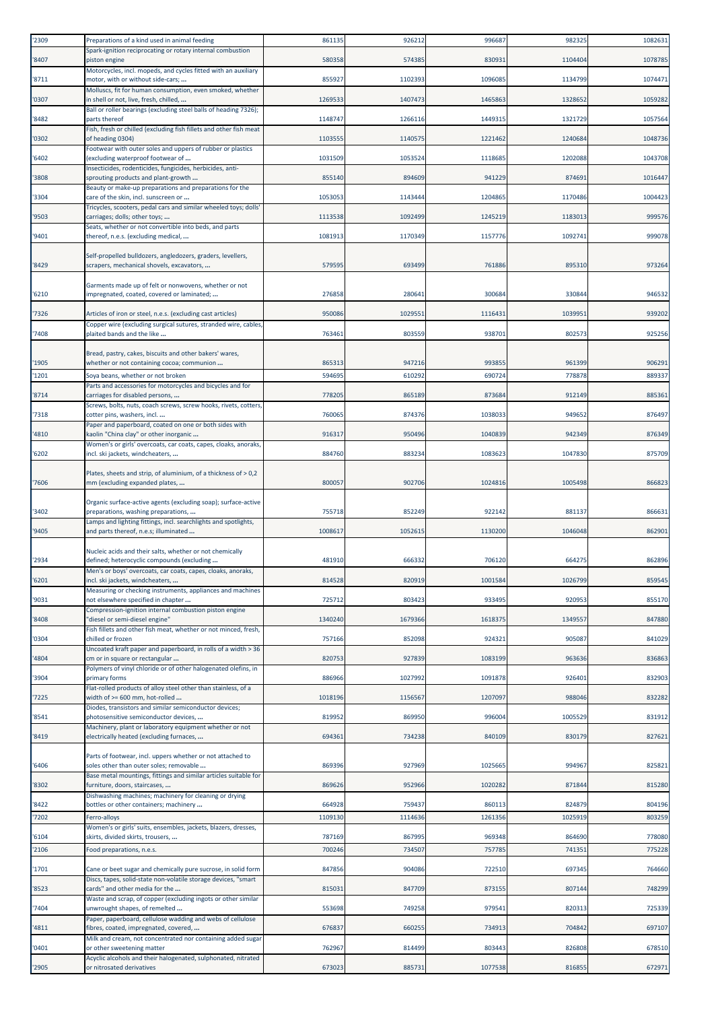| 2309          | Preparations of a kind used in animal feeding                                                                                   | 861135            | 926212            | 99668            | 982325            | 1082631          |
|---------------|---------------------------------------------------------------------------------------------------------------------------------|-------------------|-------------------|------------------|-------------------|------------------|
| '8407         | Spark-ignition reciprocating or rotary internal combustion<br>piston engine                                                     | 580358            | 574385            | 830931           | 1104404           | 1078785          |
| 8711          | Motorcycles, incl. mopeds, and cycles fitted with an auxiliary<br>motor, with or without side-cars;                             | 855927            | 1102393           | 1096085          | 1134799           | 1074471          |
|               | Molluscs, fit for human consumption, even smoked, whether                                                                       |                   |                   |                  |                   |                  |
| '0307         | in shell or not, live, fresh, chilled,<br>Ball or roller bearings (excluding steel balls of heading 7326);                      | 1269533           | 1407473           | 1465863          | 1328652           | 1059282          |
| '8482         | parts thereof                                                                                                                   | 1148747           | 1266116           | 1449315          | 1321729           | 1057564          |
| '0302         | Fish, fresh or chilled (excluding fish fillets and other fish meat<br>of heading 0304)                                          | 110355            | 1140575           | 1221462          | 1240684           | 1048736          |
| '6402         | Footwear with outer soles and uppers of rubber or plastics<br>(excluding waterproof footwear of                                 | 1031509           | 1053524           | 1118685          | 1202088           | 1043708          |
|               | Insecticides, rodenticides, fungicides, herbicides, anti-                                                                       |                   |                   |                  |                   |                  |
| '3808         | sprouting products and plant-growth<br>Beauty or make-up preparations and preparations for the                                  | 855140            | 894609            | 941229           | 874691            | 1016447          |
| '3304         | care of the skin, incl. sunscreen or<br>Tricycles, scooters, pedal cars and similar wheeled toys; dolls                         | 1053053           | 1143444           | 1204865          | 1170486           | 1004423          |
| '9503         | carriages; dolls; other toys;                                                                                                   | 1113538           | 1092499           | 1245219          | 1183013           | 999576           |
| '9401         | Seats, whether or not convertible into beds, and parts<br>thereof, n.e.s. (excluding medical,                                   | 1081913           | 1170349           | 1157776          | 1092741           | 999078           |
|               | Self-propelled bulldozers, angledozers, graders, levellers,                                                                     |                   |                   |                  |                   |                  |
| '8429         | scrapers, mechanical shovels, excavators,                                                                                       | 57959             | 693499            | 761886           | 895310            | 973264           |
|               | Garments made up of felt or nonwovens, whether or not                                                                           |                   |                   |                  |                   |                  |
| '6210         | impregnated, coated, covered or laminated;                                                                                      | 276858            | 280641            | 300684           | 330844            | 946532           |
| 7326          | Articles of iron or steel, n.e.s. (excluding cast articles)                                                                     | 950086            | 1029551           | 111643           | 1039951           | 939202           |
| 7408          | Copper wire (excluding surgical sutures, stranded wire, cables,<br>plaited bands and the like                                   | 763461            | 803559            | 938701           | 802573            | 925256           |
|               |                                                                                                                                 |                   |                   |                  |                   |                  |
| '1905         | Bread, pastry, cakes, biscuits and other bakers' wares,<br>whether or not containing cocoa; communion                           | 865313            | 947216            | 993855           | 961399            | 906291           |
| 1201          | Soya beans, whether or not broken                                                                                               | 59469             | 610292            | 690724           | 778878            | 889337           |
| '8714         | Parts and accessories for motorcycles and bicycles and for<br>carriages for disabled persons,                                   | 778205            | 865189            | 873684           | 912149            | 885361           |
| 7318          | Screws, bolts, nuts, coach screws, screw hooks, rivets, cotters,<br>cotter pins, washers, incl                                  | 760065            | 874376            | 1038033          | 949652            | 876497           |
|               | Paper and paperboard, coated on one or both sides with                                                                          |                   |                   |                  |                   |                  |
| 4810          | kaolin "China clay" or other inorganic<br>Women's or girls' overcoats, car coats, capes, cloaks, anoraks,                       | 916317            | 950496            | 1040839          | 942349            | 876349           |
| '6202         | incl. ski jackets, windcheaters,                                                                                                | 884760            | 883234            | 1083623          | 1047830           | 875709           |
| 7606          | Plates, sheets and strip, of aluminium, of a thickness of > 0,2<br>mm (excluding expanded plates,                               | 80005             | 902706            | 1024816          | 1005498           | 866823           |
|               | Organic surface-active agents (excluding soap); surface-active                                                                  |                   |                   |                  |                   |                  |
| 3402          | preparations, washing preparations,<br>Lamps and lighting fittings, incl. searchlights and spotlights,                          | 755718            | 852249            | 922142           | 881137            | 866631           |
| '9405         | and parts thereof, n.e.s; illuminated                                                                                           | 1008617           | 1052615           | 1130200          | 1046048           | 862901           |
|               | Nucleic acids and their salts, whether or not chemically                                                                        |                   |                   |                  |                   |                  |
| '2934         | defined; heterocyclic compounds (excluding<br>Men's or boys' overcoats, car coats, capes, cloaks, anoraks,                      | 481910            | 666332            | 706120           | 664275            | 862896           |
| '6201         | incl. ski jackets, windcheaters,<br>Measuring or checking instruments, appliances and machines                                  | 814528            | 820919            | 1001584          | 1026799           | 859545           |
| '9031         | not elsewhere specified in chapter                                                                                              | 725712            | 803423            | 933495           | 920953            | 855170           |
| '8408         | Compression-ignition internal combustion piston engine<br>'diesel or semi-diesel engine"                                        | 1340240           | 1679366           | 1618375          | 1349557           | 847880           |
| '0304         | Fish fillets and other fish meat, whether or not minced, fresh,<br>chilled or frozen                                            | 757166            | 852098            | 924321           | 905087            | 841029           |
|               | Uncoated kraft paper and paperboard, in rolls of a width > 36                                                                   |                   |                   |                  |                   |                  |
| 4804          | cm or in square or rectangular<br>Polymers of vinyl chloride or of other halogenated olefins, in                                | 820753            | 927839            | 1083199          | 963636            | 836863           |
| '3904         | primary forms<br>Flat-rolled products of alloy steel other than stainless, of a                                                 | 886966            | 1027992           | 1091878          | 926401            | 832903           |
| 7225          | width of >= 600 mm, hot-rolled                                                                                                  | 1018196           | 1156567           | 1207097          | 988046            | 832282           |
| '8541         | Diodes, transistors and similar semiconductor devices;<br>photosensitive semiconductor devices,                                 | 819952            | 869950            | 99600            | 1005529           | 831912           |
| '8419         | Machinery, plant or laboratory equipment whether or not<br>electrically heated (excluding furnaces,                             | 694361            | 734238            | 840109           | 830179            | 827621           |
|               |                                                                                                                                 |                   |                   |                  |                   |                  |
| '6406         | Parts of footwear, incl. uppers whether or not attached to<br>soles other than outer soles; removable                           | 869396            | 927969            | 1025665          | 994967            | 825821           |
|               | Base metal mountings, fittings and similar articles suitable for                                                                |                   | 952966            | 1020282          | 871844            |                  |
| '8302         | furniture, doors, staircases,<br>Dishwashing machines; machinery for cleaning or drying                                         | 869626            |                   |                  |                   | 815280           |
| '8422<br>7202 | bottles or other containers; machinery                                                                                          | 664928<br>1109130 | 759437<br>1114636 | 860113<br>126135 | 824879<br>1025919 | 804196<br>803259 |
|               | Ferro-alloys<br>Women's or girls' suits, ensembles, jackets, blazers, dresses,                                                  |                   |                   |                  |                   |                  |
| 6104          | skirts, divided skirts, trousers,                                                                                               | 787169            | 867995            | 969348           | 864690            | 778080           |
| 2106          | Food preparations, n.e.s.                                                                                                       | 700246            | 734507            | 757785           | 741351            | 775228           |
| '1701         | Cane or beet sugar and chemically pure sucrose, in solid form<br>Discs, tapes, solid-state non-volatile storage devices, "smart | 847856            | 904086            | 722510           | 697345            | 764660           |
| '8523         | cards" and other media for the                                                                                                  | 81503             | 847709            | 873155           | 807144            | 748299           |
| '7404         | Waste and scrap, of copper (excluding ingots or other similar<br>unwrought shapes, of remelted                                  | 553698            | 749258            | 979541           | 820313            | 725339           |
| 4811          | Paper, paperboard, cellulose wadding and webs of cellulose<br>fibres, coated, impregnated, covered,                             | 676837            | 660255            | 734913           | 704842            | 697107           |
|               | Milk and cream, not concentrated nor containing added sugar                                                                     |                   |                   |                  |                   |                  |
| '0401         | or other sweetening matter<br>Acyclic alcohols and their halogenated, sulphonated, nitrated                                     | 762967            | 814499            | 803443           | 826808            | 678510           |
| '2905         | or nitrosated derivatives                                                                                                       | 673023            | 885731            | 1077538          | 816855            | 672971           |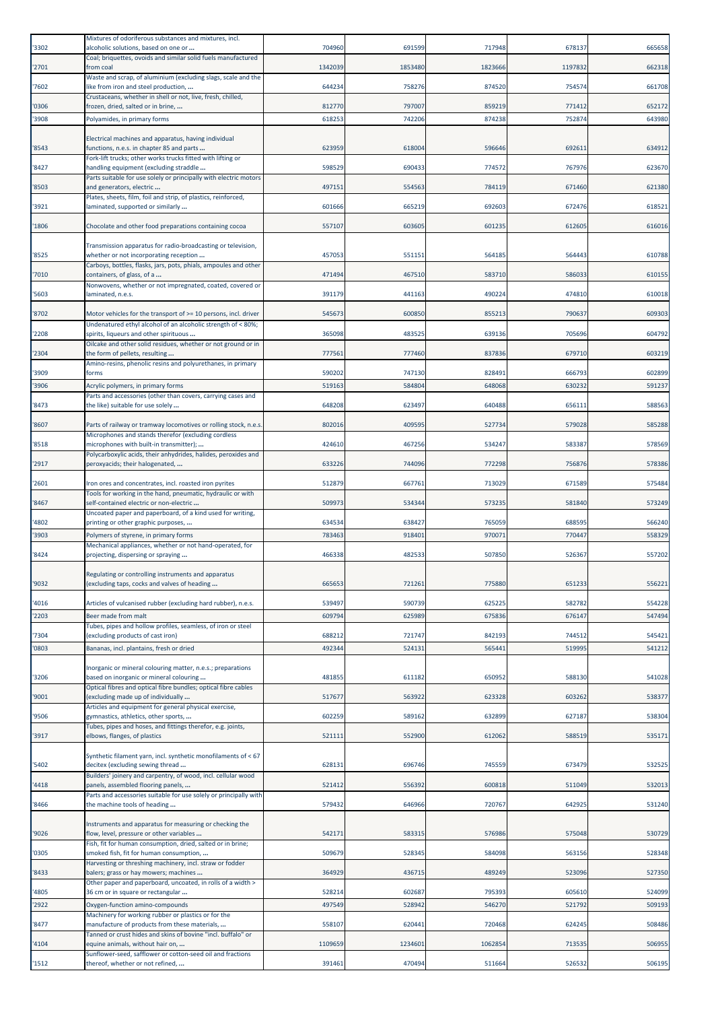| '3302 | Mixtures of odoriferous substances and mixtures, incl.<br>alcoholic solutions, based on one or                | 704960  | 691599  | 717948  | 678137  | 665658 |
|-------|---------------------------------------------------------------------------------------------------------------|---------|---------|---------|---------|--------|
| '2701 | Coal; briquettes, ovoids and similar solid fuels manufactured<br>from coal                                    | 1342039 | 1853480 | 1823666 | 1197832 | 662318 |
| '7602 | Waste and scrap, of aluminium (excluding slags, scale and the<br>like from iron and steel production,         | 644234  | 758276  | 874520  | 754574  | 661708 |
| '0306 | Crustaceans, whether in shell or not, live, fresh, chilled,<br>frozen, dried, salted or in brine,             | 812770  | 797007  | 859219  | 771412  | 652172 |
| '3908 | Polyamides, in primary forms                                                                                  | 618253  | 742206  | 874238  | 752874  | 643980 |
| '8543 | Electrical machines and apparatus, having individual<br>functions, n.e.s. in chapter 85 and parts             | 623959  | 618004  | 596646  | 692611  | 634912 |
| '8427 | Fork-lift trucks; other works trucks fitted with lifting or<br>handling equipment (excluding straddle         | 598529  | 690433  | 774572  | 767976  | 623670 |
| '8503 | Parts suitable for use solely or principally with electric motors<br>and generators, electric                 | 497151  | 554563  | 784119  | 671460  | 621380 |
| '3921 | Plates, sheets, film, foil and strip, of plastics, reinforced,<br>aminated, supported or similarly            | 601666  | 665219  | 692603  | 672476  | 618521 |
| '1806 | Chocolate and other food preparations containing cocoa                                                        | 557107  | 603605  | 601235  | 612605  | 616016 |
| '8525 | Transmission apparatus for radio-broadcasting or television,<br>whether or not incorporating reception        | 457053  | 551151  | 564185  | 564443  | 610788 |
| '7010 | Carboys, bottles, flasks, jars, pots, phials, ampoules and other<br>containers, of glass, of a                | 471494  | 467510  | 583710  | 586033  | 610155 |
| '5603 | Nonwovens, whether or not impregnated, coated, covered or<br>laminated, n.e.s.                                | 391179  | 441163  | 490224  | 474810  | 610018 |
| '8702 | Motor vehicles for the transport of >= 10 persons, incl. driver                                               | 545673  | 600850  | 855213  | 790637  | 609303 |
| '2208 | Undenatured ethyl alcohol of an alcoholic strength of < 80%;<br>spirits, liqueurs and other spirituous        | 365098  | 483525  | 639136  | 705696  | 604792 |
| '2304 | Oilcake and other solid residues, whether or not ground or in<br>the form of pellets, resulting               | 77756   | 777460  | 837836  | 679710  | 603219 |
| '3909 | Amino-resins, phenolic resins and polyurethanes, in primary<br>forms                                          | 590202  | 747130  | 828491  | 666793  | 602899 |
| '3906 | Acrylic polymers, in primary forms                                                                            | 519163  | 584804  | 648068  | 630232  | 591237 |
| '8473 | Parts and accessories (other than covers, carrying cases and<br>the like) suitable for use solely             | 648208  | 623497  | 640488  | 656111  | 588563 |
| '8607 | Parts of railway or tramway locomotives or rolling stock, n.e.s                                               | 802016  | 409595  | 527734  | 579028  | 585288 |
| '8518 | Microphones and stands therefor (excluding cordless<br>microphones with built-in transmitter);                | 424610  | 467256  | 534247  | 583387  | 578569 |
| '2917 | Polycarboxylic acids, their anhydrides, halides, peroxides and<br>peroxyacids; their halogenated,             | 633226  | 744096  | 772298  | 756876  | 578386 |
| '2601 | ron ores and concentrates, incl. roasted iron pyrites                                                         | 512879  | 667761  | 713029  | 671589  | 575484 |
| '8467 | Tools for working in the hand, pneumatic, hydraulic or with<br>self-contained electric or non-electric        | 509973  | 534344  | 573235  | 581840  | 573249 |
| '4802 | Uncoated paper and paperboard, of a kind used for writing,<br>printing or other graphic purposes,             | 634534  | 638427  | 765059  | 688595  | 566240 |
| '3903 | Polymers of styrene, in primary forms                                                                         | 783463  | 918401  | 97007   | 770447  | 558329 |
| '8424 | Mechanical appliances, whether or not hand-operated, for<br>projecting, dispersing or spraying                | 466338  | 482533  | 507850  | 526367  | 557202 |
| '9032 | Regulating or controlling instruments and apparatus<br>lexcluding taps, cocks and valves of heading           | 665653  | 721261  | 775880  | 651233  | 556221 |
| '4016 | Articles of vulcanised rubber (excluding hard rubber), n.e.s.                                                 | 539497  | 590739  | 625225  | 582782  | 554228 |
| '2203 | Beer made from malt                                                                                           | 60979   | 625989  | 675836  | 676147  | 547494 |
| '7304 | Tubes, pipes and hollow profiles, seamless, of iron or steel<br>(excluding products of cast iron)             | 688212  | 721747  | 842193  | 744512  | 545421 |
| '0803 | Bananas, incl. plantains, fresh or dried                                                                      | 492344  | 524131  | 565441  | 519995  | 541212 |
| '3206 | norganic or mineral colouring matter, n.e.s.; preparations<br>based on inorganic or mineral colouring         | 481855  | 611182  | 650952  | 588130  | 541028 |
| '9001 | Optical fibres and optical fibre bundles; optical fibre cables<br>excluding made up of individually           | 51767   | 563922  | 623328  | 603262  | 538377 |
| '9506 | Articles and equipment for general physical exercise,<br>gymnastics, athletics, other sports,                 | 602259  | 589162  | 632899  | 627187  | 538304 |
| '3917 | Tubes, pipes and hoses, and fittings therefor, e.g. joints,<br>elbows, flanges, of plastics                   | 52111   | 552900  | 612062  | 588519  | 535171 |
|       | Synthetic filament yarn, incl. synthetic monofilaments of < 67                                                |         |         |         |         |        |
| '5402 | decitex (excluding sewing thread<br>Builders' joinery and carpentry, of wood, incl. cellular wood             | 62813:  | 696746  | 745559  | 673479  | 532525 |
| '4418 | panels, assembled flooring panels,<br>Parts and accessories suitable for use solely or principally with       | 521412  | 556392  | 600818  | 511049  | 532013 |
| '8466 | the machine tools of heading                                                                                  | 579432  | 646966  | 720767  | 642925  | 531240 |
| '9026 | Instruments and apparatus for measuring or checking the<br>flow, level, pressure or other variables           | 54217   | 583315  | 576986  | 575048  | 530729 |
| '0305 | Fish, fit for human consumption, dried, salted or in brine;<br>smoked fish, fit for human consumption,        | 509679  | 528345  | 584098  | 563156  | 528348 |
| '8433 | Harvesting or threshing machinery, incl. straw or fodder<br>balers; grass or hay mowers; machines             | 364929  | 436715  | 489249  | 523096  | 527350 |
| '4805 | Other paper and paperboard, uncoated, in rolls of a width ><br>36 cm or in square or rectangular              | 528214  | 602687  | 795393  | 605610  | 524099 |
| '2922 | Oxygen-function amino-compounds<br>Machinery for working rubber or plastics or for the                        | 497549  | 528942  | 546270  | 521792  | 509193 |
| '8477 | manufacture of products from these materials,<br>Tanned or crust hides and skins of bovine "incl. buffalo" or | 558107  | 620441  | 720468  | 624245  | 508486 |
| '4104 | equine animals, without hair on,                                                                              | 1109659 | 1234601 | 1062854 | 713535  | 506955 |
| '1512 | Sunflower-seed, safflower or cotton-seed oil and fractions<br>thereof, whether or not refined,                | 391461  | 470494  | 511664  | 526532  | 506195 |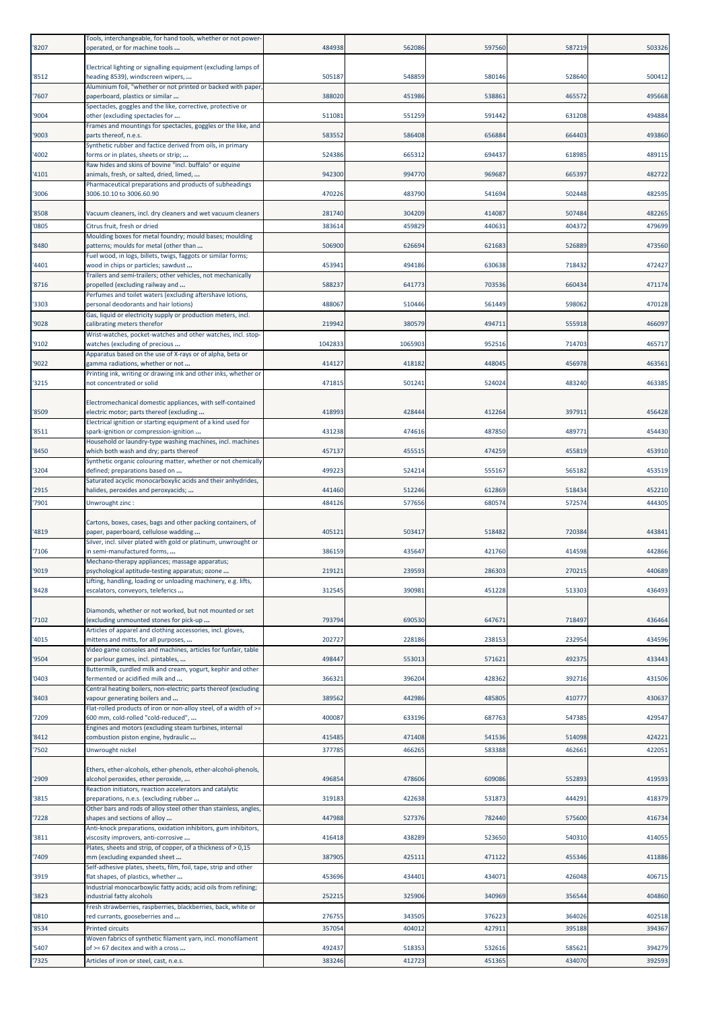| '8207          | Tools, interchangeable, for hand tools, whether or not power-<br>operated, or for machine tools          | 484938           | 562086           | 597560           | 587219           | 503326           |
|----------------|----------------------------------------------------------------------------------------------------------|------------------|------------------|------------------|------------------|------------------|
| '8512          | Electrical lighting or signalling equipment (excluding lamps of<br>heading 8539), windscreen wipers,     | 505187           | 548859           | 580146           | 528640           | 500412           |
| '7607          | Aluminium foil, "whether or not printed or backed with paper<br>paperboard, plastics or similar          | 388020           | 451986           | 538861           | 465572           | 495668           |
| '9004          | Spectacles, goggles and the like, corrective, protective or<br>other (excluding spectacles for           | 511081           | 551259           | 591442           | 631208           | 494884           |
| '9003          | Frames and mountings for spectacles, goggles or the like, and<br>parts thereof, n.e.s.                   | 583552           | 586408           | 656884           | 664403           | 493860           |
|                | Synthetic rubber and factice derived from oils, in primary                                               |                  |                  |                  |                  |                  |
| '4002          | forms or in plates, sheets or strip;<br>Raw hides and skins of bovine "incl. buffalo" or equine          | 524386           | 665312           | 694437           | 618985           | 489115           |
| '4101          | animals, fresh, or salted, dried, limed,<br>Pharmaceutical preparations and products of subheadings      | 942300           | 994770           | 969687           | 665397           | 482722           |
| '3006          | 3006.10.10 to 3006.60.90                                                                                 | 470226           | 483790           | 541694           | 502448           | 482595           |
| '8508          | Vacuum cleaners, incl. dry cleaners and wet vacuum cleaners                                              | 281740           | 304209           | 414087           | 507484           | 482265           |
| '0805          | Citrus fruit, fresh or dried<br>Moulding boxes for metal foundry; mould bases; moulding                  | 383614           | 459829           | 440631           | 404372           | 479699           |
| '8480          | patterns; moulds for metal (other than<br>Fuel wood, in logs, billets, twigs, faggots or similar forms;  | 506900           | 626694           | 621683           | 526889           | 473560           |
| '4401          | wood in chips or particles; sawdust<br>Trailers and semi-trailers; other vehicles, not mechanically      | 453941           | 494186           | 630638           | 718432           | 472427           |
| '8716          | propelled (excluding railway and                                                                         | 588237           | 641773           | 703536           | 660434           | 471174           |
| '3303          | Perfumes and toilet waters (excluding aftershave lotions,<br>personal deodorants and hair lotions)       | 488067           | 510446           | 561449           | 598062           | 470128           |
| '9028          | Gas, liquid or electricity supply or production meters, incl.<br>calibrating meters therefor             | 219942           | 380579           | 494711           | 555918           | 466097           |
| '9102          | Wrist-watches, pocket-watches and other watches, incl. stop-<br>watches (excluding of precious           | 1042833          | 1065903          | 952516           | 714703           | 465717           |
| '9022          | Apparatus based on the use of X-rays or of alpha, beta or<br>gamma radiations, whether or not            | 414127           | 418182           | 448045           | 456978           | 463561           |
|                | Printing ink, writing or drawing ink and other inks, whether or                                          |                  |                  |                  |                  |                  |
| '3215          | not concentrated or solid                                                                                | 471815           | 501241           | 524024           | 483240           | 463385           |
| '8509          | Electromechanical domestic appliances, with self-contained<br>electric motor; parts thereof (excluding   | 418993           | 428444           | 412264           | 397911           | 456428           |
| '8511          | Electrical ignition or starting equipment of a kind used for<br>spark-ignition or compression-ignition   | 431238           | 474616           | 487850           | 489771           | 454430           |
| '8450          | Household or laundry-type washing machines, incl. machines<br>which both wash and dry; parts thereof     | 457137           | 455515           | 474259           | 455819           | 453910           |
| '3204          | Synthetic organic colouring matter, whether or not chemically<br>defined; preparations based on          | 499223           | 524214           | 555167           | 565182           | 453519           |
|                | Saturated acyclic monocarboxylic acids and their anhydrides,                                             |                  |                  |                  |                  |                  |
| '2915<br>'7901 | halides, peroxides and peroxyacids;<br>Unwrought zinc :                                                  | 441460<br>484126 | 512246<br>577656 | 612869<br>680574 | 518434<br>572574 | 452210<br>444305 |
|                | Cartons, boxes, cases, bags and other packing containers, of                                             |                  |                  |                  |                  |                  |
| '4819          | paper, paperboard, cellulose wadding<br>Silver, incl. silver plated with gold or platinum, unwrought or  | 40512            | 503417           | 518482           | 720384           | 443841           |
| '7106          | in semi-manufactured forms,                                                                              | 386159           | 435647           | 421760           | 414598           | 442866           |
| '9019          | Mechano-therapy appliances; massage apparatus;<br>psychological aptitude-testing apparatus; ozone        | 219121           | 239593           | 286303           | 270215           | 440689           |
| '8428          | Lifting, handling, loading or unloading machinery, e.g. lifts,<br>escalators, conveyors, teleferics      | 312545           | 390981           | 451228           | 513303           | 436493           |
|                | Diamonds, whether or not worked, but not mounted or set                                                  |                  |                  |                  |                  |                  |
| '7102          | (excluding unmounted stones for pick-up<br>Articles of apparel and clothing accessories, incl. gloves,   | 793794           | 690530           | 647671           | 718497           | 436464           |
| '4015          | mittens and mitts, for all purposes,<br>Video game consoles and machines, articles for funfair, table    | 202727           | 228186           | 238153           | 232954           | 434596           |
| '9504          | or parlour games, incl. pintables,<br>Buttermilk, curdled milk and cream, yogurt, kephir and other       | 498447           | 553013           | 571621           | 492375           | 433443           |
| '0403          | fermented or acidified milk and                                                                          | 366321           | 396204           | 428362           | 392716           | 431506           |
| '8403          | Central heating boilers, non-electric; parts thereof (excluding<br>vapour generating boilers and         | 389562           | 442986           | 485805           | 410777           | 430637           |
| '7209          | Flat-rolled products of iron or non-alloy steel, of a width of >=<br>600 mm, cold-rolled "cold-reduced", | 400087           | 633196           | 687763           | 547385           | 429547           |
| '8412          | Engines and motors (excluding steam turbines, internal<br>combustion piston engine, hydraulic            | 415485           | 471408           | 541536           | 514098           | 424221           |
| '7502          | Unwrought nickel                                                                                         | 377785           | 466265           | 583388           | 462661           | 422051           |
| '2909          | Ethers, ether-alcohols, ether-phenols, ether-alcohol-phenols,<br>alcohol peroxides, ether peroxide,      | 496854           | 478606           | 609086           | 552893           | 419593           |
| '3815          | Reaction initiators, reaction accelerators and catalytic<br>preparations, n.e.s. (excluding rubber       | 319183           | 422638           | 531873           | 444291           | 418379           |
| '7228          | Other bars and rods of alloy steel other than stainless, angles,<br>shapes and sections of alloy         | 447988           | 527376           | 782440           | 575600           | 416734           |
| '3811          | Anti-knock preparations, oxidation inhibitors, gum inhibitors,<br>viscosity improvers, anti-corrosive    | 416418           | 438289           | 523650           | 540310           | 414055           |
|                | Plates, sheets and strip, of copper, of a thickness of > 0,15                                            |                  |                  |                  |                  |                  |
| '7409          | mm (excluding expanded sheet<br>Self-adhesive plates, sheets, film, foil, tape, strip and other          | 387905           | 425111           | 471122           | 455346           | 411886           |
| '3919          | flat shapes, of plastics, whether<br>ndustrial monocarboxylic fatty acids; acid oils from refining;      | 453696           | 434401           | 434071           | 426048           | 406715           |
| '3823          | ndustrial fatty alcohols<br>Fresh strawberries, raspberries, blackberries, back, white or                | 25221            | 325906           | 340969           | 356544           | 404860           |
| '0810          | red currants, gooseberries and                                                                           | 276755           | 343505           | 376223           | 364026           | 402518           |
| '8534          | <b>Printed circuits</b><br>Woven fabrics of synthetic filament yarn, incl. monofilament                  | 357054           | 404012           | 427911           | 395188           | 394367           |
| '5407<br>'7325 | of >= 67 decitex and with a cross<br>Articles of iron or steel, cast, n.e.s.                             | 492437<br>383246 | 518353<br>412723 | 532616<br>451365 | 585621<br>434070 | 394279<br>392593 |
|                |                                                                                                          |                  |                  |                  |                  |                  |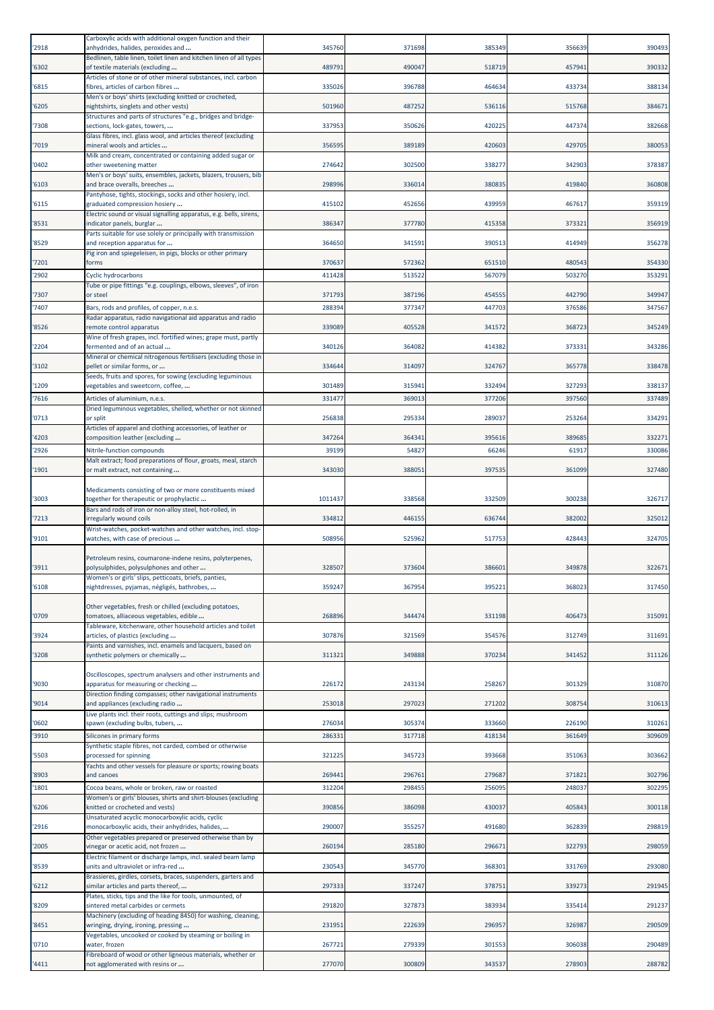| '2918          | Carboxylic acids with additional oxygen function and their<br>anhydrides, halides, peroxides and      | 345760         | 371698          | 385349          | 356639          | 390493           |
|----------------|-------------------------------------------------------------------------------------------------------|----------------|-----------------|-----------------|-----------------|------------------|
| '6302          | Bedlinen, table linen, toilet linen and kitchen linen of all types<br>of textile materials (excluding | 489791         | 490047          | 518719          | 457941          | 390332           |
| '6815          | Articles of stone or of other mineral substances, incl. carbon<br>fibres, articles of carbon fibres   | 335026         | 396788          | 464634          | 433734          | 388134           |
| '6205          | Men's or boys' shirts (excluding knitted or crocheted,<br>nightshirts, singlets and other vests)      | 501960         | 487252          | 536116          | 515768          | 384671           |
| '7308          | Structures and parts of structures "e.g., bridges and bridge-<br>sections, lock-gates, towers,        | 337953         | 350626          | 420225          | 447374          | 382668           |
| '7019          | Glass fibres, incl. glass wool, and articles thereof (excluding<br>mineral wools and articles         | 356595         | 389189          | 420603          | 429705          | 380053           |
| '0402          | Milk and cream, concentrated or containing added sugar or<br>other sweetening matter                  | 274642         | 302500          | 338277          | 342903          | 378387           |
| '6103          | Men's or boys' suits, ensembles, jackets, blazers, trousers, bib<br>and brace overalls, breeches      | 298996         | 336014          | 380835          | 419840          | 360808           |
| '6115          | Pantyhose, tights, stockings, socks and other hosiery, incl.<br>graduated compression hosiery         | 415102         | 452656          | 439959          | 467617          | 359319           |
| '8531          | Electric sound or visual signalling apparatus, e.g. bells, sirens,<br>indicator panels, burglar       | 386347         | 377780          | 415358          | 373321          | 356919           |
| '8529          | Parts suitable for use solely or principally with transmission<br>and reception apparatus for         | 364650         | 341591          | 390513          | 414949          | 356278           |
| '7201          | Pig iron and spiegeleisen, in pigs, blocks or other primary<br>forms                                  | 370637         | 572362          | 651510          | 480543          | 354330           |
| '2902          | Cyclic hydrocarbons                                                                                   | 411428         | 513522          | 567079          | 503270          | 353291           |
| '7307          | Tube or pipe fittings "e.g. couplings, elbows, sleeves", of iron<br>or steel                          | 371793         | 387196          | 454555          | 442790          | 349947           |
| '7407          | Bars, rods and profiles, of copper, n.e.s.                                                            | 288394         | 377347          | 447703          | 376586          | 347567           |
|                | Radar apparatus, radio navigational aid apparatus and radio                                           |                |                 |                 |                 |                  |
| '8526          | remote control apparatus<br>Wine of fresh grapes, incl. fortified wines; grape must, partly           | 339089         | 405528          | 341572          | 368723          | 345249           |
| '2204          | fermented and of an actual                                                                            | 340126         | 364082          | 414382          | 373331          | 343286           |
| '3102          | Mineral or chemical nitrogenous fertilisers (excluding those in<br>pellet or similar forms, or        | 334644         | 314097          | 324767          | 365778          | 338478           |
| '1209          | Seeds, fruits and spores, for sowing (excluding leguminous<br>vegetables and sweetcorn, coffee,       | 301489         | 315941          | 332494          | 327293          | 338137           |
| '7616          | Articles of aluminium, n.e.s.                                                                         | 331477         | 369013          | 377206          | 397560          | 337489           |
|                | Dried leguminous vegetables, shelled, whether or not skinned                                          |                |                 |                 |                 |                  |
| '0713          | or split<br>Articles of apparel and clothing accessories, of leather or                               | 256838         | 295334          | 289037          | 253264          | 334291           |
| '4203<br>'2926 | composition leather (excluding<br>Nitrile-function compounds                                          | 347264<br>3919 | 364341<br>54827 | 395616<br>66246 | 389685<br>61917 | 332271<br>330086 |
|                | Malt extract; food preparations of flour, groats, meal, starch                                        |                |                 |                 |                 |                  |
| '1901          | or malt extract, not containing                                                                       | 343030         | 388051          | 397535          | 361099          | 327480           |
| '3003          | Medicaments consisting of two or more constituents mixed<br>together for therapeutic or prophylactic  | 1011437        | 338568          | 332509          | 300238          | 326717           |
| '7213          | Bars and rods of iron or non-alloy steel, hot-rolled, in<br>rregularly wound coils                    | 334812         | 446155          | 636744          | 382002          | 325012           |
| '9101          | Wrist-watches, pocket-watches and other watches, incl. stop-<br>watches, with case of precious        | 508956         | 525962          | 517753          | 428443          | 324705           |
|                | Petroleum resins, coumarone-indene resins, polyterpenes,                                              |                |                 |                 |                 |                  |
| '3911          | polysulphides, polysulphones and other<br>Women's or girls' slips, petticoats, briefs, panties,       | 328507         | 373604          | 386601          | 349878          | 322671           |
| '6108          | nightdresses, pyjamas, négligés, bathrobes,                                                           | 359247         | 367954          | 39522           | 368023          | 317450           |
| '0709          | Other vegetables, fresh or chilled (excluding potatoes,<br>tomatoes, alliaceous vegetables, edible    | 268896         | 344474          | 331198          | 406473          | 315091           |
| '3924          | Tableware, kitchenware, other household articles and toilet<br>articles, of plastics (excluding       | 307876         | 321569          | 354576          | 312749          | 311691           |
| '3208          | Paints and varnishes, incl. enamels and lacquers, based on<br>synthetic polymers or chemically        | 31132          | 349888          | 370234          | 341452          | 311126           |
|                | Oscilloscopes, spectrum analysers and other instruments and                                           |                |                 |                 |                 |                  |
| '9030          | apparatus for measuring or checking<br>Direction finding compasses; other navigational instruments    | 226172         | 243134          | 258267          | 301329          | 310870           |
| '9014          | and appliances (excluding radio                                                                       | 253018         | 297023          | 271202          | 308754          | 310613           |
| '0602          | Live plants incl. their roots, cuttings and slips; mushroom<br>spawn (excluding bulbs, tubers,        | 276034         | 305374          | 333660          | 226190          | 310261           |
| '3910          | Silicones in primary forms                                                                            | 28633          | 317718          | 418134          | 361649          | 309609           |
| '5503          | Synthetic staple fibres, not carded, combed or otherwise<br>processed for spinning                    | 321225         | 345723          | 393668          | 351063          | 303662           |
| '8903          | Yachts and other vessels for pleasure or sports; rowing boats<br>and canoes                           | 269441         | 296761          | 279687          | 371821          | 302796           |
| '1801          | Cocoa beans, whole or broken, raw or roasted                                                          | 312204         | 298455          | 256095          | 248037          | 302295           |
| '6206          | Women's or girls' blouses, shirts and shirt-blouses (excluding<br>knitted or crocheted and vests)     | 390856         | 386098          | 430037          | 405843          | 300118           |
| '2916          | Unsaturated acyclic monocarboxylic acids, cyclic<br>monocarboxylic acids, their anhydrides, halides,  | 290007         | 355257          | 491680          | 362839          | 298819           |
| '2005          | Other vegetables prepared or preserved otherwise than by<br>vinegar or acetic acid, not frozen        | 260194         | 285180          | 296671          | 322793          | 298059           |
| '8539          | Electric filament or discharge lamps, incl. sealed beam lamp<br>units and ultraviolet or infra-red    | 230543         | 345770          | 368301          | 331769          | 293080           |
| '6212          | Brassieres, girdles, corsets, braces, suspenders, garters and<br>similar articles and parts thereof,  | 297333         | 337247          | 37875           | 339273          | 291945           |
| '8209          | Plates, sticks, tips and the like for tools, unmounted, of<br>sintered metal carbides or cermets      | 291820         | 327873          | 383934          | 335414          | 291237           |
| '8451          | Machinery (excluding of heading 8450) for washing, cleaning,<br>wringing, drying, ironing, pressing   | 23195          | 222639          | 296957          | 326987          | 290509           |
| '0710          | Vegetables, uncooked or cooked by steaming or boiling in<br>water, frozen                             | 267721         | 279339          | 301553          | 306038          | 290489           |
| '4411          | Fibreboard of wood or other ligneous materials, whether or<br>not agglomerated with resins or         | 277070         | 300809          | 343537          | 278903          | 288782           |
|                |                                                                                                       |                |                 |                 |                 |                  |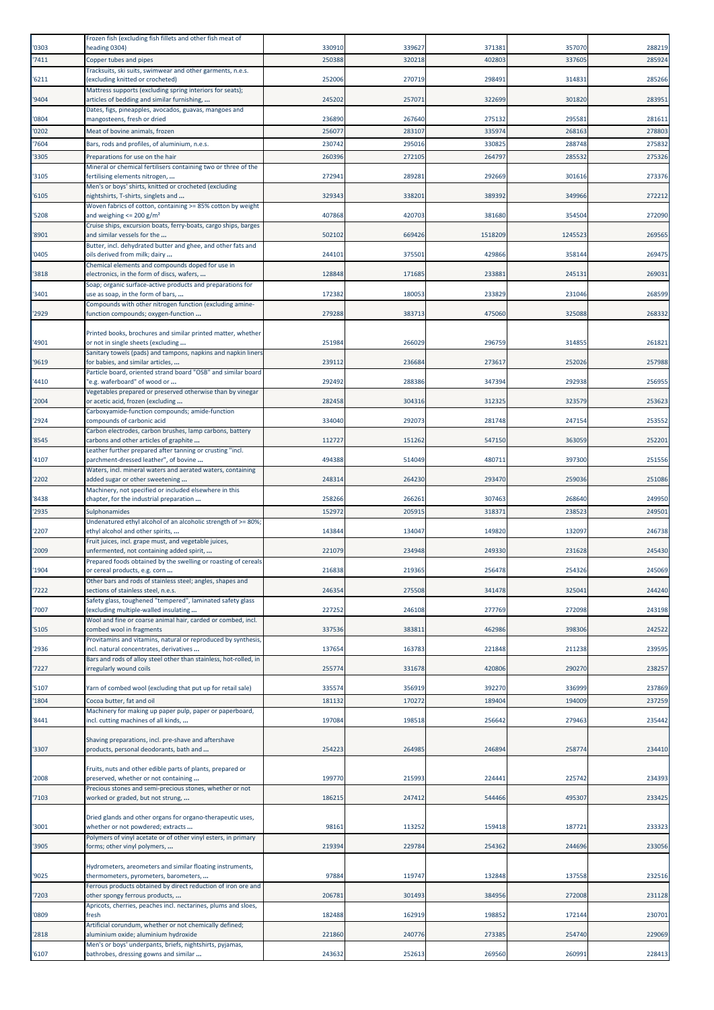| '0303          | Frozen fish (excluding fish fillets and other fish meat of<br>heading 0304)                                  | 330910           | 339627           | 37138           | 357070           | 288219           |
|----------------|--------------------------------------------------------------------------------------------------------------|------------------|------------------|-----------------|------------------|------------------|
| '7411          | Copper tubes and pipes                                                                                       | 250388           | 320218           | 40280           | 337605           | 285924           |
| '6211          | Tracksuits, ski suits, swimwear and other garments, n.e.s.<br>(excluding knitted or crocheted)               | 252006           | 270719           | 298491          | 314831           | 285266           |
|                | Mattress supports (excluding spring interiors for seats);                                                    |                  |                  |                 |                  |                  |
| '9404          | articles of bedding and similar furnishing,<br>Dates, figs, pineapples, avocados, guavas, mangoes and        | 245202           | 257071           | 322699          | 301820           | 283951           |
| '0804          | mangosteens, fresh or dried                                                                                  | 236890           | 267640           | 275132          | 295581           | 281611           |
| '0202<br>'7604 | Meat of bovine animals, frozen<br>Bars, rods and profiles, of aluminium, n.e.s.                              | 256077<br>230742 | 283107<br>295016 | 33597<br>330825 | 268163<br>288748 | 278803<br>275832 |
| '3305          | Preparations for use on the hair                                                                             | 260396           | 272105           | 264797          | 285532           | 275326           |
| '3105          | Mineral or chemical fertilisers containing two or three of the<br>fertilising elements nitrogen,             | 272941           | 289281           | 292669          | 301616           | 273376           |
|                | Men's or boys' shirts, knitted or crocheted (excluding                                                       |                  |                  |                 |                  |                  |
| '6105          | nightshirts, T-shirts, singlets and<br>Woven fabrics of cotton, containing >= 85% cotton by weight           | 329343           | 338201           | 389392          | 349966           | 272212           |
| '5208          | and weighing $\leq$ 200 g/m <sup>2</sup><br>Cruise ships, excursion boats, ferry-boats, cargo ships, barges  | 407868           | 420703           | 381680          | 354504           | 272090           |
| '8901          | and similar vessels for the                                                                                  | 502102           | 669426           | 1518209         | 1245523          | 269565           |
| '0405          | Butter, incl. dehydrated butter and ghee, and other fats and<br>oils derived from milk; dairy                | 244101           | 375501           | 429866          | 358144           | 269475           |
| '3818          | Chemical elements and compounds doped for use in<br>electronics, in the form of discs, wafers,               | 128848           | 171685           | 233883          | 245131           | 269031           |
| '3401          | Soap; organic surface-active products and preparations for<br>use as soap, in the form of bars,              | 172382           | 180053           | 233829          | 231046           | 268599           |
|                | Compounds with other nitrogen function (excluding amine-                                                     |                  |                  |                 |                  |                  |
| '2929          | function compounds; oxygen-function                                                                          | 279288           | 383713           | 475060          | 325088           | 268332           |
| '4901          | Printed books, brochures and similar printed matter, whether<br>or not in single sheets (excluding           | 251984           | 266029           | 296759          | 314855           | 261821           |
|                | Sanitary towels (pads) and tampons, napkins and napkin liners                                                |                  |                  |                 |                  |                  |
| '9619          | for babies, and similar articles,<br>Particle board, oriented strand board "OSB" and similar board           | 239112           | 236684           | 273617          | 252026           | 257988           |
| '4410          | 'e.g. waferboard" of wood or<br>Vegetables prepared or preserved otherwise than by vinegar                   | 292492           | 288386           | 347394          | 292938           | 256955           |
| '2004          | or acetic acid, frozen (excluding                                                                            | 282458           | 304316           | 312325          | 323579           | 253623           |
| '2924          | Carboxyamide-function compounds; amide-function<br>compounds of carbonic acid                                | 334040           | 292073           | 281748          | 247154           | 253552           |
| '8545          | Carbon electrodes, carbon brushes, lamp carbons, battery<br>carbons and other articles of graphite           | 112727           | 151262           | 547150          | 363059           | 252201           |
| '4107          | Leather further prepared after tanning or crusting "incl.<br>parchment-dressed leather", of bovine           | 494388           | 514049           | 48071           | 397300           | 251556           |
|                | Waters, incl. mineral waters and aerated waters, containing                                                  |                  |                  |                 |                  |                  |
| '2202          | added sugar or other sweetening<br>Machinery, not specified or included elsewhere in this                    | 248314           | 264230           | 293470          | 259036           | 251086           |
| '8438          | chapter, for the industrial preparation                                                                      | 258266           | 266261           | 307463          | 268640           | 249950           |
| '2935          | Sulphonamides<br>Undenatured ethyl alcohol of an alcoholic strength of >= 80%;                               | 152972           | 205915           | 31837           | 238523           | 249501           |
| '2207          | ethyl alcohol and other spirits,<br>Fruit juices, incl. grape must, and vegetable juices,                    | 143844           | 134047           | 149820          | 132097           | 246738           |
| '2009          | unfermented, not containing added spirit,                                                                    | 221079           | 234948           | 249330          | 231628           | 245430           |
| '1904          | Prepared foods obtained by the swelling or roasting of cereals<br>or cereal products, e.g. corn              | 216838           | 219365           | 256478          | 254326           | 245069           |
| '7222          | Other bars and rods of stainless steel; angles, shapes and<br>sections of stainless steel, n.e.s.            | 246354           | 275508           | 341478          | 325041           | 244240           |
|                | Safety glass, toughened "tempered", laminated safety glass                                                   |                  |                  |                 |                  |                  |
| '7007          | (excluding multiple-walled insulating<br>Wool and fine or coarse animal hair, carded or combed, incl.        | 227252           | 246108           | 277769          | 272098           | 243198           |
| '5105          | combed wool in fragments<br>Provitamins and vitamins, natural or reproduced by synthesis,                    | 337536           | 383811           | 462986          | 398306           | 242522           |
| '2936          | incl. natural concentrates, derivatives<br>Bars and rods of alloy steel other than stainless, hot-rolled, in | 137654           | 163783           | 221848          | 211238           | 239595           |
| '7227          | rregularly wound coils                                                                                       | 255774           | 331678           | 420806          | 290270           | 238257           |
| '5107          | Yarn of combed wool (excluding that put up for retail sale)                                                  | 335574           | 356919           | 392270          | 336999           | 237869           |
| '1804          | Cocoa butter, fat and oil                                                                                    | 181132           | 170272           | 189404          | 194009           | 237259           |
| '8441          | Machinery for making up paper pulp, paper or paperboard,<br>incl. cutting machines of all kinds,             | 197084           | 198518           | 256642          | 279463           | 235442           |
|                | Shaving preparations, incl. pre-shave and aftershave                                                         |                  |                  |                 |                  |                  |
| '3307          | products, personal deodorants, bath and                                                                      | 254223           | 264985           | 246894          | 258774           | 234410           |
| '2008          | Fruits, nuts and other edible parts of plants, prepared or<br>preserved, whether or not containing           | 199770           | 215993           | 224441          | 225742           | 234393           |
| '7103          | Precious stones and semi-precious stones, whether or not<br>worked or graded, but not strung,                | 186215           | 247412           | 544466          | 495307           | 233425           |
|                |                                                                                                              |                  |                  |                 |                  |                  |
| '3001          | Dried glands and other organs for organo-therapeutic uses,<br>whether or not powdered; extracts              | 98161            | 113252           | 159418          | 187721           | 233323           |
| '3905          | Polymers of vinyl acetate or of other vinyl esters, in primary<br>forms; other vinyl polymers,               | 219394           | 229784           | 254362          | 244696           | 233056           |
|                | Hydrometers, areometers and similar floating instruments,                                                    |                  |                  |                 |                  |                  |
| '9025          | thermometers, pyrometers, barometers,<br>Ferrous products obtained by direct reduction of iron ore and       | 97884            | 119747           | 132848          | 137558           | 232516           |
| '7203          | other spongy ferrous products,                                                                               | 206781           | 301493           | 384956          | 272008           | 231128           |
| '0809          | Apricots, cherries, peaches incl. nectarines, plums and sloes,<br>fresh                                      | 182488           | 162919           | 198852          | 172144           | 230701           |
| '2818          | Artificial corundum, whether or not chemically defined;<br>aluminium oxide; aluminium hydroxide              | 221860           | 240776           | 273385          | 254740           | 229069           |
|                | Men's or boys' underpants, briefs, nightshirts, pyjamas,                                                     |                  |                  |                 |                  |                  |
| '6107          | bathrobes, dressing gowns and similar                                                                        | 243632           | 252613           | 269560          | 260991           | 228413           |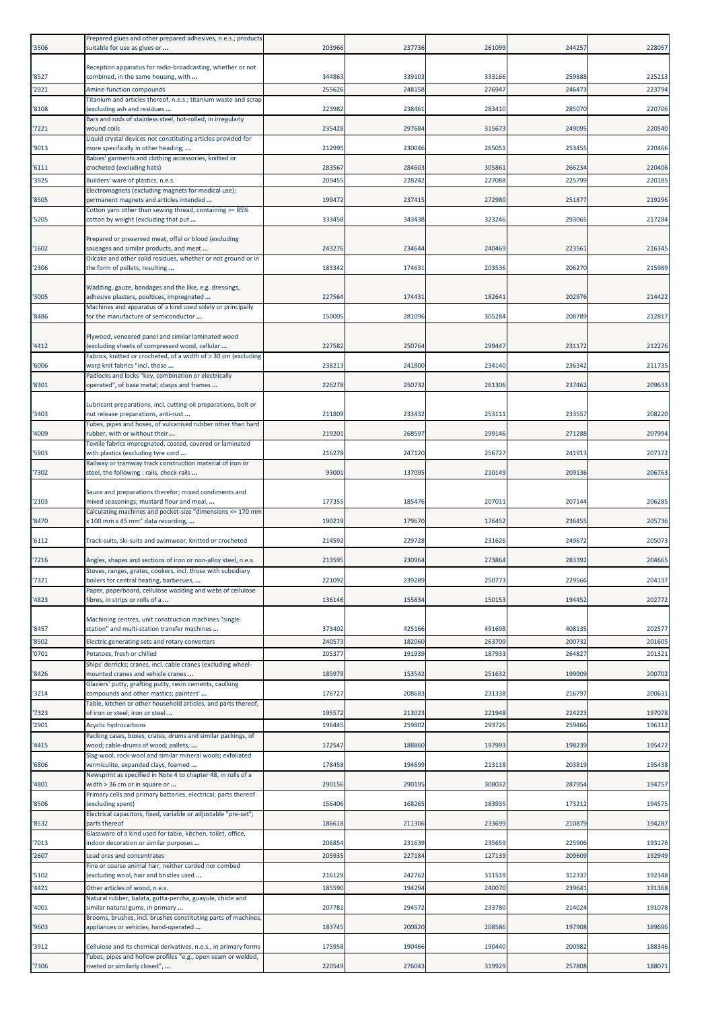| '3506          | Prepared glues and other prepared adhesives, n.e.s.; products<br>suitable for use as glues or                                                                           | 203966           | 237736           | 261099           | 244257           | 228057           |
|----------------|-------------------------------------------------------------------------------------------------------------------------------------------------------------------------|------------------|------------------|------------------|------------------|------------------|
|                | Reception apparatus for radio-broadcasting, whether or not                                                                                                              |                  |                  |                  |                  |                  |
| '8527<br>'2921 | combined, in the same housing, with<br>Amine-function compounds                                                                                                         | 344863<br>255626 | 339103<br>248158 | 333166<br>276947 | 259888<br>246473 | 225213<br>223794 |
|                | Titanium and articles thereof, n.e.s.; titanium waste and scrap                                                                                                         |                  |                  |                  |                  |                  |
| '8108          | (excluding ash and residues<br>Bars and rods of stainless steel, hot-rolled, in irregularly                                                                             | 223982           | 238461           | 283410           | 285070           | 220706           |
| 7221           | wound coils<br>Liquid crystal devices not constituting articles provided for                                                                                            | 235428           | 297684           | 315673           | 249095           | 220540           |
| '9013          | more specifically in other heading;<br>Babies' garments and clothing accessories, knitted or                                                                            | 212995           | 230046           | 265051           | 253455           | 220466           |
| 6111           | crocheted (excluding hats)                                                                                                                                              | 283567           | 284603           | 305861           | 266234           | 220406           |
| '3925          | Builders' ware of plastics, n.e.s.<br>Electromagnets (excluding magnets for medical use);                                                                               | 209455           | 228242           | 227088           | 225799           | 220185           |
| 8505           | permanent magnets and articles intended<br>Cotton yarn other than sewing thread, containing >= 85%                                                                      | 199472           | 237415           | 272980           | 251877           | 219296           |
| '5205          | cotton by weight (excluding that put                                                                                                                                    | 333458           | 343438           | 323246           | 293065           | 217284           |
| '1602          | Prepared or preserved meat, offal or blood (excluding<br>sausages and similar products, and meat                                                                        | 243276           | 234644           | 240469           | 223561           | 216345           |
| '2306          | Oilcake and other solid residues, whether or not ground or in<br>the form of pellets, resulting                                                                         | 183342           | 174631           | 203536           | 206270           | 215989           |
| '3005          | Wadding, gauze, bandages and the like, e.g. dressings,<br>adhesive plasters, poultices, impregnated                                                                     | 227564           | 174431           | 182641           | 202976           | 214422           |
|                | Machines and apparatus of a kind used solely or principally                                                                                                             |                  |                  |                  |                  |                  |
| '8486          | for the manufacture of semiconductor                                                                                                                                    | 150005           | 281096           | 305284           | 208789           | 212817           |
| '4412          | Plywood, veneered panel and similar laminated wood<br>(excluding sheets of compressed wood, cellular<br>Fabrics, knitted or crocheted, of a width of > 30 cm (excluding | 227582           | 250764           | 299447           | 231172           | 212276           |
| 6006           | warp knit fabrics "incl. those                                                                                                                                          | 238213           | 241800           | 234140           | 236342           | 211735           |
| '8301          | Padlocks and locks "key, combination or electrically<br>operated", of base metal; clasps and frames                                                                     | 226278           | 250732           | 261306           | 237462           | 209633           |
|                | Lubricant preparations, incl. cutting-oil preparations, bolt or                                                                                                         |                  |                  |                  |                  |                  |
| '3403          | nut release preparations, anti-rust<br>Tubes, pipes and hoses, of vulcanised rubber other than hard                                                                     | 211809           | 233432           | 253111           | 233557           | 208220           |
| 4009           | ubber, with or without their<br>Textile fabrics impregnated, coated, covered or laminated                                                                               | 219201           | 268597           | 299146           | 271288           | 207994           |
| '5903          | with plastics (excluding tyre cord<br>Railway or tramway track construction material of iron or                                                                         | 216278           | 247120           | 256727           | 241913           | 207372           |
| '7302          | steel, the following : rails, check-rails                                                                                                                               | 93001            | 137095           | 210149           | 209136           | 206763           |
| '2103          | Sauce and preparations therefor; mixed condiments and<br>mixed seasonings; mustard flour and meal,                                                                      | 177355           | 185476           | 207011           | 207144           | 206285           |
| '8470          | Calculating machines and pocket-size "dimensions <= 170 mm<br>x 100 mm x 45 mm" data recording,                                                                         | 190219           | 179670           | 176452           | 236455           | 205736           |
| '6112          | Track-suits, ski-suits and swimwear, knitted or crocheted                                                                                                               | 214592           | 229728           | 231626           | 249672           | 205073           |
| 7216           | Angles, shapes and sections of iron or non-alloy steel, n.e.s.                                                                                                          | 213595           | 230964           | 273864           | 283392           | 204665           |
| 7321           | Stoves, ranges, grates, cookers, incl. those with subsidiary<br>boilers for central heating, barbecues,                                                                 | 221092           | 239289           | 250773           | 229566           | 204137           |
| 4823           | Paper, paperboard, cellulose wadding and webs of cellulose<br>fibres, in strips or rolls of a                                                                           | 136146           | 155834           | 150153           | 194452           | 202772           |
|                | Machining centres, unit construction machines "single                                                                                                                   |                  |                  |                  |                  |                  |
| '8457          | station" and multi-station transfer machines                                                                                                                            | 373402           | 425166           | 491698           | 408135           | 202577           |
| '8502<br>'0701 | Electric generating sets and rotary converters<br>Potatoes, fresh or chilled                                                                                            | 240573<br>205377 | 182060<br>191939 | 263709<br>187933 | 200732<br>264827 | 201605<br>201321 |
| '8426          | Ships' derricks; cranes, incl. cable cranes (excluding wheel-<br>mounted cranes and vehicle cranes                                                                      | 185979           | 153542           | 251632           | 199909           | 200702           |
| 3214           | Glaziers' putty, grafting putty, resin cements, caulking<br>compounds and other mastics; painters'                                                                      | 176727           | 208683           | 231338           | 216797           | 200631           |
| '7323          | Table, kitchen or other household articles, and parts thereof,<br>of iron or steel; iron or steel                                                                       | 195572           | 213023           | 221948           | 224223           | 197078           |
| '2901          | Acyclic hydrocarbons                                                                                                                                                    | 196445           | 259802           | 293726           | 259466           | 196312           |
| 4415           | Packing cases, boxes, crates, drums and similar packings, of<br>wood; cable-drums of wood; pallets,                                                                     | 172547           | 188860           | 197993           | 198239           | 195472           |
| 6806           | Slag-wool, rock-wool and similar mineral wools; exfoliated<br>vermiculite, expanded clays, foamed                                                                       | 178458           | 194699           | 213118           | 203819           | 195438           |
| 4801           | Newsprint as specified in Note 4 to chapter 48, in rolls of a<br>width > 36 cm or in square or                                                                          | 290156           | 290195           | 308032           | 287954           | 194757           |
|                | Primary cells and primary batteries, electrical; parts thereof                                                                                                          |                  |                  |                  |                  |                  |
| '8506          | excluding spent)<br>Electrical capacitors, fixed, variable or adjustable "pre-set";                                                                                     | 156406           | 168265           | 183935           | 173212           | 194575           |
| '8532          | parts thereof<br>Glassware of a kind used for table, kitchen, toilet, office,                                                                                           | 186618           | 211306           | 233699           | 210879           | 194287           |
| 7013<br>'2607  | indoor decoration or similar purposes<br>Lead ores and concentrates                                                                                                     | 206854<br>205935 | 231639<br>227184 | 235659<br>127139 | 225906<br>209609 | 193176<br>192949 |
|                | Fine or coarse animal hair, neither carded nor combed                                                                                                                   |                  |                  |                  |                  |                  |
| '5102<br>'4421 | (excluding wool, hair and bristles used<br>Other articles of wood, n.e.s.                                                                                               | 216129<br>185590 | 242762<br>194294 | 311519<br>240070 | 312337<br>23964  | 192348<br>191368 |
|                | Natural rubber, balata, gutta-percha, guayule, chicle and                                                                                                               |                  |                  |                  |                  |                  |
| 4001           | similar natural gums, in primary<br>Brooms, brushes, incl. brushes constituting parts of machines,                                                                      | 207781           | 294572           | 233780           | 214024           | 191078           |
| '9603          | appliances or vehicles, hand-operated                                                                                                                                   | 183745           | 200820           | 208586           | 197908           | 189696           |
| '3912          | Cellulose and its chemical derivatives, n.e.s., in primary forms<br>Tubes, pipes and hollow profiles "e.g., open seam or welded,                                        | 175958           | 190466           | 190440           | 200982           | 188346           |
| 7306           | iveted or similarly closed",                                                                                                                                            | 220549           | 276043           | 319929           | 257808           | 188071           |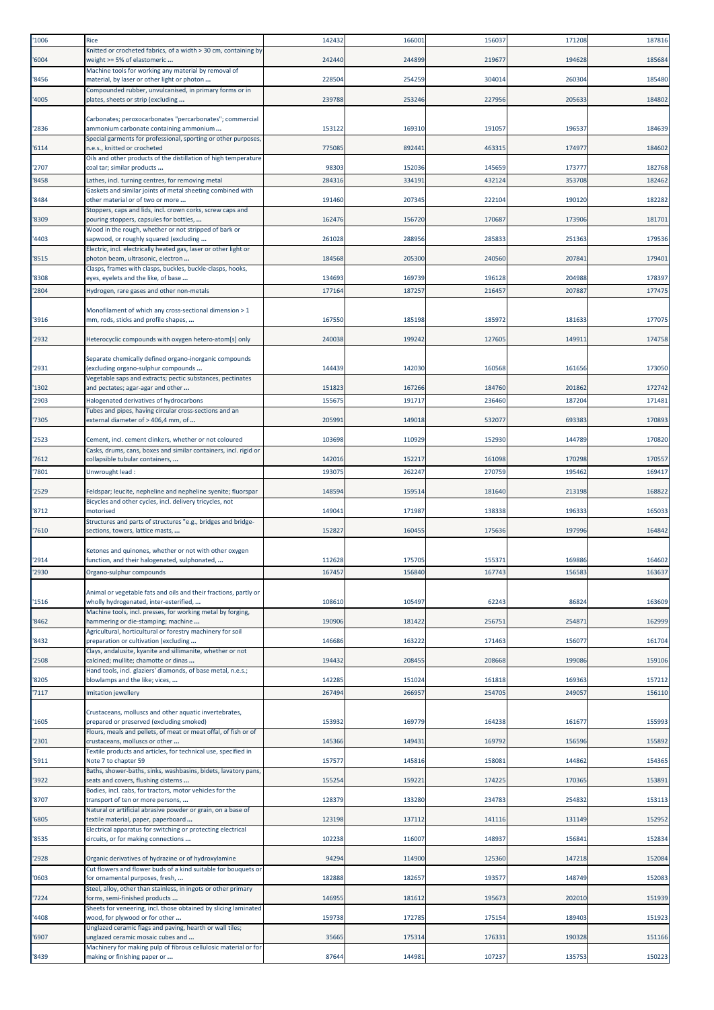| '1006         | Rice                                                                                                                       | 142432           | 166001           | 156037           | 171208           | 187816           |
|---------------|----------------------------------------------------------------------------------------------------------------------------|------------------|------------------|------------------|------------------|------------------|
| '6004         | Knitted or crocheted fabrics, of a width > 30 cm, containing by<br>weight >= 5% of elastomeric                             | 242440           | 244899           | 219677           | 194628           | 185684           |
| '8456         | Machine tools for working any material by removal of<br>material, by laser or other light or photon                        | 228504           | 254259           | 304014           | 260304           | 185480           |
| '4005         | Compounded rubber, unvulcanised, in primary forms or in<br>plates, sheets or strip (excluding                              | 239788           | 253246           | 227956           | 205633           | 184802           |
|               | Carbonates; peroxocarbonates "percarbonates"; commercial                                                                   |                  |                  |                  |                  |                  |
| '2836         | ammonium carbonate containing ammonium                                                                                     | 153122           | 169310           | 191057           | 196537           | 184639           |
| '6114         | Special garments for professional, sporting or other purposes,<br>n.e.s., knitted or crocheted                             | 775085           | 892441           | 463315           | 174977           | 184602           |
| '2707         | Oils and other products of the distillation of high temperature<br>coal tar; similar products                              | 98303            | 152036           | 145659           | 173777           | 182768           |
| '8458         | Lathes, incl. turning centres, for removing metal                                                                          | 284316           | 334191           | 432124           | 353708           | 182462           |
| '8484         | Gaskets and similar joints of metal sheeting combined with<br>other material or of two or more                             | 191460           | 207345           | 222104           | 190120           | 182282           |
| '8309         | Stoppers, caps and lids, incl. crown corks, screw caps and<br>pouring stoppers, capsules for bottles,                      | 162476           | 156720           | 170687           | 173906           | 181701           |
| '4403         | Wood in the rough, whether or not stripped of bark or<br>sapwood, or roughly squared (excluding                            | 261028           | 288956           | 285833           | 251363           | 179536           |
| '8515         | Electric, incl. electrically heated gas, laser or other light or<br>photon beam, ultrasonic, electron                      | 184568           | 205300           | 240560           | 207841           | 179401           |
| '8308         | Clasps, frames with clasps, buckles, buckle-clasps, hooks,<br>eyes, eyelets and the like, of base                          | 134693           | 169739           | 196128           | 204988           | 17839            |
| '2804         | Hydrogen, rare gases and other non-metals                                                                                  | 177164           | 187257           | 216457           | 207887           | 177475           |
|               | Monofilament of which any cross-sectional dimension > 1                                                                    |                  |                  |                  |                  |                  |
| '3916         | mm, rods, sticks and profile shapes,                                                                                       | 167550           | 185198           | 185972           | 181633           | 177075           |
| '2932         | Heterocyclic compounds with oxygen hetero-atom[s] only                                                                     | 240038           | 199242           | 127605           | 149911           | 174758           |
|               | Separate chemically defined organo-inorganic compounds                                                                     |                  |                  |                  |                  |                  |
| '2931         | excluding organo-sulphur compounds<br>Vegetable saps and extracts; pectic substances, pectinates                           | 144439           | 142030           | 160568           | 161656           | 173050           |
| '1302         | and pectates; agar-agar and other                                                                                          | 15182            | 167266           | 184760           | 201862           | 172742           |
| '2903         | Halogenated derivatives of hydrocarbons<br>Tubes and pipes, having circular cross-sections and an                          | 15567            | 191717           | 236460           | 187204           | 171481           |
| '7305         | external diameter of > 406,4 mm, of                                                                                        | 20599            | 149018           | 532077           | 693383           | 170893           |
| '2523         | Cement, incl. cement clinkers, whether or not coloured<br>Casks, drums, cans, boxes and similar containers, incl. rigid or | 103698           | 110929           | 152930           | 144789           | 170820           |
| '7612         | collapsible tubular containers,                                                                                            | 142016           | 152217           | 161098           | 170298           | 170557           |
| '7801         | Unwrought lead:                                                                                                            | 193075           | 262247           | 270759           | 195462           | 169417           |
| '2529         | Feldspar; leucite, nepheline and nepheline syenite; fluorspar                                                              | 148594           | 159514           | 181640           | 213198           | 168822           |
| '8712         | Bicycles and other cycles, incl. delivery tricycles, not<br>motorised                                                      | 149041           | 171987           | 138338           | 196333           | 165033           |
| 7610          | Structures and parts of structures "e.g., bridges and bridge-<br>sections, towers, lattice masts,                          | 152827           | 160455           | 175636           | 197996           | 164842           |
|               | Ketones and quinones, whether or not with other oxygen                                                                     |                  |                  |                  |                  |                  |
| '2914         | function, and their halogenated, sulphonated,                                                                              | 112628           | 175705           | 155371           | 169886           | 164602           |
| 2930          | Organo-sulphur compounds                                                                                                   | 167457           | 156840           | 167743           | 156583           | 163637           |
| '1516         | Animal or vegetable fats and oils and their fractions, partly or<br>wholly hydrogenated, inter-esterified,                 | 108610           | 105497           | 62243            | 86824            | 163609           |
| '8462         | Machine tools, incl. presses, for working metal by forging,<br>hammering or die-stamping; machine                          | 190906           | 181422           | 256751           | 254871           | 162999           |
| '8432         | Agricultural, horticultural or forestry machinery for soil<br>preparation or cultivation (excluding                        | 146686           | 163222           | 171463           | 156077           | 161704           |
| '2508         | Clays, andalusite, kyanite and sillimanite, whether or not<br>calcined; mullite; chamotte or dinas                         | 194432           | 208455           | 208668           | 199086           | 159106           |
|               | Hand tools, incl. glaziers' diamonds, of base metal, n.e.s.;                                                               |                  |                  |                  |                  |                  |
| '8205<br>7117 | blowlamps and the like; vices,<br>Imitation jewellery                                                                      | 142285<br>267494 | 151024<br>266957 | 161818<br>254705 | 169363<br>249057 | 157212<br>156110 |
|               | Crustaceans, molluscs and other aquatic invertebrates,                                                                     |                  |                  |                  |                  |                  |
| '1605         | prepared or preserved (excluding smoked)<br>Flours, meals and pellets, of meat or meat offal, of fish or of                | 153932           | 169779           | 164238           | 161677           | 155993           |
| '2301         | crustaceans, molluscs or other                                                                                             | 145366           | 149431           | 169792           | 156596           | 155892           |
| '5911         | Textile products and articles, for technical use, specified in<br>Note 7 to chapter 59                                     | 157577           | 145816           | 158081           | 144862           | 154365           |
| '3922         | Baths, shower-baths, sinks, washbasins, bidets, lavatory pans,<br>seats and covers, flushing cisterns                      | 155254           | 159221           | 174225           | 170365           | 153891           |
| '8707         | Bodies, incl. cabs, for tractors, motor vehicles for the<br>transport of ten or more persons,                              | 128379           | 133280           | 234783           | 254832           | 153113           |
| '6805         | Natural or artificial abrasive powder or grain, on a base of<br>textile material, paper, paperboard                        | 123198           | 137112           | 141116           | 131149           | 152952           |
| '8535         | Electrical apparatus for switching or protecting electrical<br>circuits, or for making connections                         | 102238           | 116007           | 148937           | 156841           | 152834           |
| '2928         | Organic derivatives of hydrazine or of hydroxylamine                                                                       | 94294            | 114900           | 125360           | 147218           | 152084           |
| '0603         | Cut flowers and flower buds of a kind suitable for bouquets or<br>for ornamental purposes, fresh,                          | 182888           | 182657           | 193577           | 148749           | 152083           |
| 7224          | Steel, alloy, other than stainless, in ingots or other primary<br>forms, semi-finished products                            | 146955           | 181612           | 195673           | 202010           | 151939           |
|               | Sheets for veneering, incl. those obtained by slicing laminated                                                            | 159738           |                  |                  | 189403           |                  |
| '4408         | wood, for plywood or for other<br>Unglazed ceramic flags and paving, hearth or wall tiles;                                 |                  | 172785           | 175154           |                  | 151923           |
| '6907         | unglazed ceramic mosaic cubes and<br>Machinery for making pulp of fibrous cellulosic material or for                       | 35665            | 175314           | 176331           | 190328           | 151166           |
| '8439         | making or finishing paper or                                                                                               | 87644            | 144981           | 107237           | 135753           | 150223           |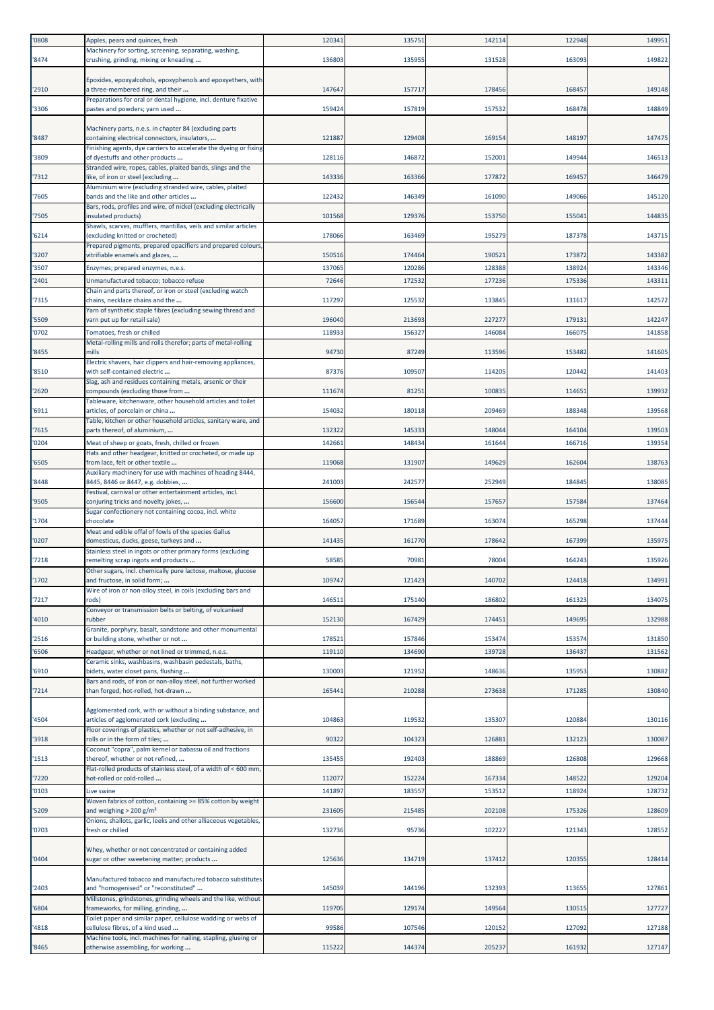| '0808          | Apples, pears and quinces, fresh                                                                          | 120341          | 135751           | 142114           | 122948           | 149951           |
|----------------|-----------------------------------------------------------------------------------------------------------|-----------------|------------------|------------------|------------------|------------------|
| '8474          | Machinery for sorting, screening, separating, washing,<br>crushing, grinding, mixing or kneading          | 136803          | 135955           | 131528           | 163093           | 149822           |
|                | Epoxides, epoxyalcohols, epoxyphenols and epoxyethers, with                                               |                 |                  |                  |                  |                  |
| '2910          | a three-membered ring, and their<br>Preparations for oral or dental hygiene, incl. denture fixative       | 14764           | 157717           | 178456           | 168457           | 149148           |
| '3306          | pastes and powders; yarn used                                                                             | 159424          | 157819           | 157532           | 168478           | 148849           |
| '8487          | Machinery parts, n.e.s. in chapter 84 (excluding parts<br>containing electrical connectors, insulators,   | 121887          | 129408           | 169154           | 148197           | 147475           |
| '3809          | Finishing agents, dye carriers to accelerate the dyeing or fixing<br>of dyestuffs and other products      | 128116          | 146872           | 152001           | 149944           | 146513           |
| '7312          | Stranded wire, ropes, cables, plaited bands, slings and the<br>like, of iron or steel (excluding          | 143336          | 163366           | 177872           | 169457           | 146479           |
| '7605          | Aluminium wire (excluding stranded wire, cables, plaited<br>bands and the like and other articles         | 122432          | 146349           | 161090           | 149066           | 145120           |
| '7505          | Bars, rods, profiles and wire, of nickel (excluding electrically<br>insulated products)                   | 101568          | 129376           | 153750           | 155041           | 144835           |
| '6214          | Shawls, scarves, mufflers, mantillas, veils and similar articles<br>(excluding knitted or crocheted)      | 178066          | 163469           | 195279           | 187378           | 143715           |
| '3207          | Prepared pigments, prepared opacifiers and prepared colours<br>vitrifiable enamels and glazes,            | 150516          | 174464           | 190521           | 173872           | 143382           |
| '3507          | Enzymes; prepared enzymes, n.e.s.                                                                         | 137065          | 120286           | 128388           | 138924           | 143346           |
| '2401          | Unmanufactured tobacco; tobacco refuse                                                                    | 72646           | 172532           | 177236           | 175336           | 143311           |
| '7315          | Chain and parts thereof, or iron or steel (excluding watch<br>chains, necklace chains and the             | 117297          | 125532           | 133845           | 131617           | 142572           |
| '5509          | Yarn of synthetic staple fibres (excluding sewing thread and<br>yarn put up for retail sale)              | 196040          | 213693           | 227277           | 179131           | 142247           |
| '0702          | Tomatoes, fresh or chilled<br>Metal-rolling mills and rolls therefor; parts of metal-rolling              | 118933          | 156327           | 146084           | 166075           | 141858           |
| '8455          | mills                                                                                                     | 94730           | 87249            | 113596           | 153482           | 141605           |
| '8510          | Electric shavers, hair clippers and hair-removing appliances,<br>with self-contained electric             | 87376           | 109507           | 114205           | 120442           | 141403           |
| '2620          | Slag, ash and residues containing metals, arsenic or their<br>compounds (excluding those from             | 111674          | 81251            | 100835           | 114651           | 139932           |
| '6911          | Tableware, kitchenware, other household articles and toilet<br>articles, of porcelain or china            | 154032          | 180118           | 209469           | 188348           | 139568           |
| '7615          | Table, kitchen or other household articles, sanitary ware, and<br>parts thereof, of aluminium,            | 132322          | 145333           | 148044           | 164104           | 139503           |
| '0204          | Meat of sheep or goats, fresh, chilled or frozen                                                          | 142661          | 148434           | 161644           | 166716           | 139354           |
| '6505          | Hats and other headgear, knitted or crocheted, or made up<br>from lace, felt or other textile             | 119068          | 131907           | 149629           | 162604           | 138763           |
| '8448          | Auxiliary machinery for use with machines of heading 8444,<br>8445, 8446 or 8447, e.g. dobbies,           | 241003          | 242577           | 252949           | 184845           | 138085           |
| '9505          | Festival, carnival or other entertainment articles, incl.<br>conjuring tricks and novelty jokes,          | 156600          | 156544           | 157657           | 157584           | 137464           |
| '1704          | Sugar confectionery not containing cocoa, incl. white<br>chocolate                                        | 164057          | 171689           | 163074           | 165298           | 137444           |
| '0207          | Meat and edible offal of fowls of the species Gallus<br>domesticus, ducks, geese, turkeys and             | 141435          | 161770           | 178642           | 167399           | 135975           |
| '7218          | Stainless steel in ingots or other primary forms (excluding<br>remelting scrap ingots and products        | 58585           | 70981            | 78004            | 164243           | 135926           |
| '1702          | Other sugars, incl. chemically pure lactose, maltose, glucose<br>and fructose, in solid form;             | 109747          | 121423           | 140702           | 124418           | 134991           |
| '7217          | Wire of iron or non-alloy steel, in coils (excluding bars and<br>rods)                                    | 14651           | 175140           | 186802           | 161323           | 134075           |
| '4010          | Conveyor or transmission belts or belting, of vulcanised<br>rubber                                        | 152130          | 167429           | 174451           | 149695           | 132988           |
|                | Granite, porphyry, basalt, sandstone and other monumental                                                 |                 |                  |                  |                  |                  |
| '2516<br>'6506 | or building stone, whether or not<br>Headgear, whether or not lined or trimmed, n.e.s.                    | 17852<br>119110 | 157846<br>134690 | 153474<br>139728 | 153574<br>136437 | 131850<br>131562 |
| '6910          | Ceramic sinks, washbasins, washbasin pedestals, baths,<br>bidets, water closet pans, flushing             | 130003          | 121952           | 148636           | 135953           | 130882           |
| '7214          | Bars and rods, of iron or non-alloy steel, not further worked<br>than forged, hot-rolled, hot-drawn       | 165441          | 210288           | 273638           | 171285           | 130840           |
|                | Agglomerated cork, with or without a binding substance, and                                               |                 |                  |                  |                  |                  |
| '4504          | articles of agglomerated cork (excluding<br>Floor coverings of plastics, whether or not self-adhesive, in | 104863          | 119532           | 135307           | 120884           | 130116           |
| '3918          | rolls or in the form of tiles;                                                                            | 90322           | 104323           | 126881           | 132123           | 130087           |
| '1513          | Coconut "copra", palm kernel or babassu oil and fractions<br>thereof, whether or not refined,             | 135455          | 192403           | 188869           | 126808           | 129668           |
| '7220          | Flat-rolled products of stainless steel, of a width of < 600 mm,<br>hot-rolled or cold-rolled             | 112077          | 152224           | 167334           | 148522           | 129204           |
| '0103          | Live swine<br>Woven fabrics of cotton, containing >= 85% cotton by weight                                 | 141897          | 183557           | 153512           | 118924           | 128732           |
| '5209          | and weighing $> 200$ g/m <sup>2</sup><br>Onions, shallots, garlic, leeks and other alliaceous vegetables, | 231605          | 215485           | 202108           | 175326           | 128609           |
| '0703          | fresh or chilled                                                                                          | 132736          | 95736            | 102227           | 121343           | 128552           |
| '0404          | Whey, whether or not concentrated or containing added<br>sugar or other sweetening matter; products       | 125636          | 134719           | 137412           | 120355           | 128414           |
| '2403          | Manufactured tobacco and manufactured tobacco substitutes<br>and "homogenised" or "reconstituted"         | 145039          | 144196           | 132393           | 113655           | 127861           |
|                | Millstones, grindstones, grinding wheels and the like, without                                            |                 |                  |                  |                  |                  |
| '6804          | frameworks, for milling, grinding,<br>Toilet paper and similar paper, cellulose wadding or webs of        | 119705          | 129174           | 149564           | 130515           | 127727           |
| '4818          | cellulose fibres, of a kind used<br>Machine tools, incl. machines for nailing, stapling, glueing or       | 99586           | 107546           | 120152           | 127092           | 127188           |
| '8465          | otherwise assembling, for working                                                                         | 115222          | 144374           | 205237           | 161932           | 127147           |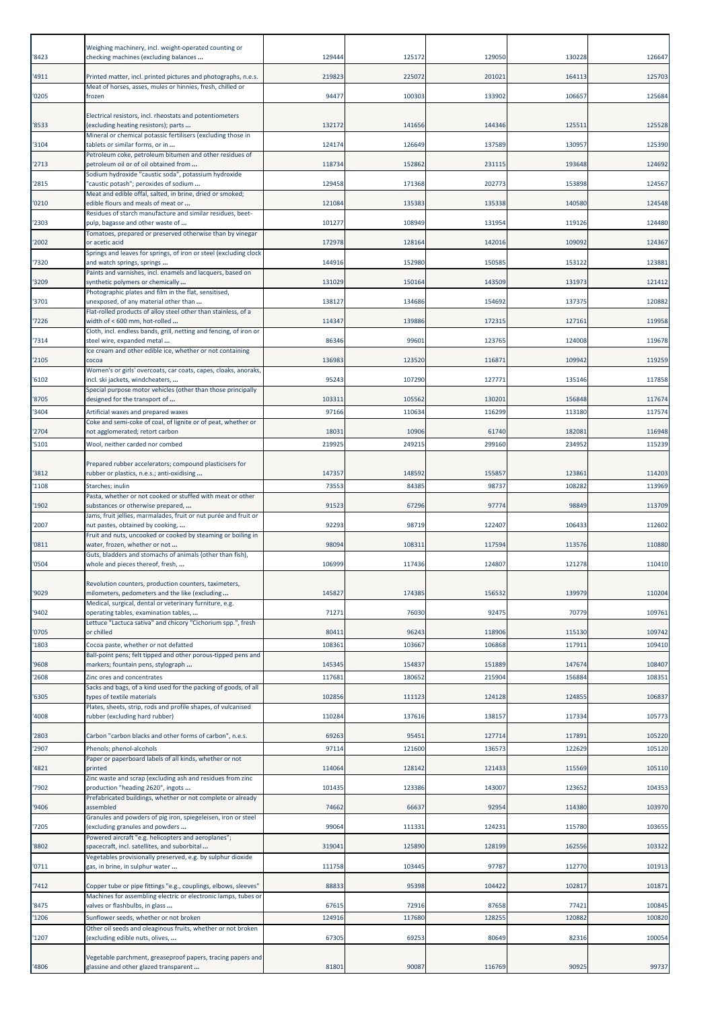| '8423          | Weighing machinery, incl. weight-operated counting or<br>checking machines (excluding balances              | 129444         | 125172          | 129050           | 130228           | 126647           |
|----------------|-------------------------------------------------------------------------------------------------------------|----------------|-----------------|------------------|------------------|------------------|
| '4911          | Printed matter, incl. printed pictures and photographs, n.e.s.                                              | 219823         | 225072          | 20102:           | 164113           | 125703           |
| '0205          | Meat of horses, asses, mules or hinnies, fresh, chilled or<br>frozen                                        | 94477          | 100303          | 133902           | 106657           | 125684           |
|                |                                                                                                             |                |                 |                  |                  |                  |
| '8533          | Electrical resistors, incl. rheostats and potentiometers<br>(excluding heating resistors); parts            | 132172         | 141656          | 144346           | 125511           | 125528           |
| '3104          | Mineral or chemical potassic fertilisers (excluding those in<br>tablets or similar forms, or in             | 124174         | 126649          | 137589           | 130957           | 125390           |
| '2713          | Petroleum coke, petroleum bitumen and other residues of<br>petroleum oil or of oil obtained from            | 118734         | 152862          | 231115           | 193648           | 124692           |
| '2815          | Sodium hydroxide "caustic soda", potassium hydroxide<br>'caustic potash"; peroxides of sodium               | 129458         | 171368          | 202773           | 153898           | 124567           |
| '0210          | Meat and edible offal, salted, in brine, dried or smoked;<br>edible flours and meals of meat or             | 121084         | 135383          | 135338           | 140580           | 124548           |
|                | Residues of starch manufacture and similar residues, beet-                                                  |                |                 |                  |                  |                  |
| '2303          | pulp, bagasse and other waste of<br>Tomatoes, prepared or preserved otherwise than by vinegar               | 101277         | 108949          | 131954           | 119126           | 124480           |
| '2002          | or acetic acid<br>Springs and leaves for springs, of iron or steel (excluding clock                         | 172978         | 128164          | 142016           | 109092           | 124367           |
| '7320          | and watch springs, springs<br>Paints and varnishes, incl. enamels and lacquers, based on                    | 144916         | 152980          | 150585           | 153122           | 123881           |
| '3209          | synthetic polymers or chemically<br>Photographic plates and film in the flat, sensitised,                   | 131029         | 150164          | 143509           | 131973           | 121412           |
| '3701          | unexposed, of any material other than<br>Flat-rolled products of alloy steel other than stainless, of a     | 138127         | 134686          | 154692           | 137375           | 120882           |
| '7226          | width of < 600 mm, hot-rolled                                                                               | 114347         | 139886          | 172315           | 127161           | 119958           |
| '7314          | Cloth, incl. endless bands, grill, netting and fencing, of iron or<br>steel wire, expanded metal            | 86346          | 99601           | 123765           | 124008           | 119678           |
| '2105          | Ice cream and other edible ice, whether or not containing<br>cocoa                                          | 136983         | 123520          | 116871           | 109942           | 119259           |
| '6102          | Women's or girls' overcoats, car coats, capes, cloaks, anoraks,<br>incl. ski jackets, windcheaters,         | 95243          | 107290          | 127771           | 135146           | 117858           |
| '8705          | Special purpose motor vehicles (other than those principally<br>designed for the transport of               | 103311         | 105562          | 130201           | 156848           | 117674           |
| '3404          | Artificial waxes and prepared waxes                                                                         | 97166          | 110634          | 116299           | 113180           | 117574           |
| '2704          | Coke and semi-coke of coal, of lignite or of peat, whether or<br>not agglomerated; retort carbon            | 18031          | 10906           | 61740            | 182081           | 116948           |
| '5101          | Wool, neither carded nor combed                                                                             | 219925         | 249215          | 299160           | 234952           | 115239           |
| '3812          | Prepared rubber accelerators; compound plasticisers for<br>rubber or plastics, n.e.s.; anti-oxidising       | 147357         | 148592          | 15585            | 123861           | 114203           |
| '1108          | Starches; inulin                                                                                            | 73553          | 84385           | 98737            | 108282           | 113969           |
| '1902          | Pasta, whether or not cooked or stuffed with meat or other<br>substances or otherwise prepared,             | 91523          | 67296           | 97774            | 98849            | 113709           |
| '2007          | Jams, fruit jellies, marmalades, fruit or nut purée and fruit or<br>nut pastes, obtained by cooking,        | 92293          | 98719           | 122407           | 106433           | 112602           |
| '0811          | Fruit and nuts, uncooked or cooked by steaming or boiling in<br>water, frozen, whether or not               | 98094          | 108311          | 117594           | 113576           | 110880           |
| '0504          | Guts, bladders and stomachs of animals (other than fish),<br>whole and pieces thereof, fresh,               | 106999         | 117436          | 124807           | 121278           | 110410           |
|                | Revolution counters, production counters, taximeters,                                                       |                |                 |                  |                  |                  |
| '9029          | milometers, pedometers and the like (excluding                                                              | 145827         | 174385          | 156532           | 139979           | 110204           |
| '9402          | Medical, surgical, dental or veterinary furniture, e.g.<br>operating tables, examination tables,            | 71271          | 76030           | 92475            | 70779            | 109761           |
| '0705          | Lettuce "Lactuca sativa" and chicory "Cichorium spp.", fresh<br>or chilled                                  | 80411          | 96243           | 118906           | 115130           | 109742           |
| '1803          | Cocoa paste, whether or not defatted<br>Ball-point pens; felt tipped and other porous-tipped pens and       | 108361         | 103667          | 106868           | 117911           | 109410           |
| '9608          | markers; fountain pens, stylograph                                                                          | 145345         | 154837          | 151889           | 147674           | 108407           |
| '2608          | Zinc ores and concentrates<br>Sacks and bags, of a kind used for the packing of goods, of all               | 117681         | 180652          | 215904           | 156884           | 108351           |
| '6305          | types of textile materials<br>Plates, sheets, strip, rods and profile shapes, of vulcanised                 | 102856         | 111123          | 124128           | 124855           | 106837           |
| '4008          | rubber (excluding hard rubber)                                                                              | 110284         | 137616          | 138157           | 117334           | 105773           |
| '2803<br>'2907 | Carbon "carbon blacks and other forms of carbon", n.e.s.<br>Phenols; phenol-alcohols                        | 69263<br>97114 | 95451<br>121600 | 127714<br>136573 | 117891<br>122629 | 105220<br>105120 |
|                | Paper or paperboard labels of all kinds, whether or not                                                     |                |                 |                  |                  |                  |
| '4821          | printed<br>Zinc waste and scrap (excluding ash and residues from zinc                                       | 114064         | 128142          | 121433           | 115569           | 105110           |
| '7902          | production "heading 2620", ingots<br>Prefabricated buildings, whether or not complete or already            | 101435         | 123386          | 143007           | 123652           | 104353           |
| '9406          | assembled<br>Granules and powders of pig iron, spiegeleisen, iron or steel                                  | 74662          | 66637           | 92954            | 114380           | 103970           |
| '7205          | excluding granules and powders<br>Powered aircraft "e.g. helicopters and aeroplanes";                       | 99064          | 111331          | 124231           | 115780           | 103655           |
| '8802          | spacecraft, incl. satellites, and suborbital<br>Vegetables provisionally preserved, e.g. by sulphur dioxide | 319041         | 125890          | 128199           | 162556           | 103322           |
| '0711          | gas, in brine, in sulphur water                                                                             | 111758         | 103445          | 97787            | 112770           | 101913           |
| '7412          | Copper tube or pipe fittings "e.g., couplings, elbows, sleeves"                                             | 88833          | 95398           | 104422           | 102817           | 101871           |
| '8475          | Machines for assembling electric or electronic lamps, tubes or<br>valves or flashbulbs, in glass            | 67615          | 72916           | 87658            | 77421            | 100845           |
| '1206          | Sunflower seeds, whether or not broken<br>Other oil seeds and oleaginous fruits, whether or not broken      | 124916         | 117680          | 128255           | 120882           | 100820           |
| '1207          | excluding edible nuts, olives,                                                                              | 67305          | 69253           | 80649            | 82316            | 100054           |
|                | Vegetable parchment, greaseproof papers, tracing papers and                                                 |                |                 |                  |                  |                  |
| '4806          | glassine and other glazed transparent                                                                       | 81801          | 90087           | 116769           | 90925            | 99737            |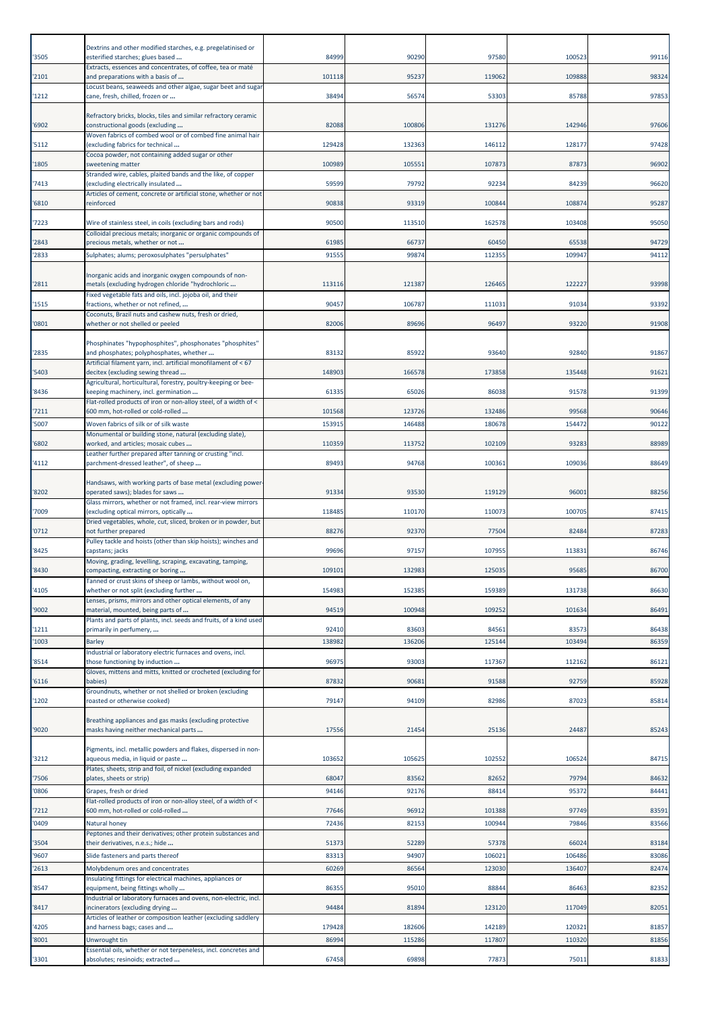| '3505          | Dextrins and other modified starches, e.g. pregelatinised or<br>esterified starches; glues based                | 84999           | 90290           | 97580            | 100523           | 99116          |
|----------------|-----------------------------------------------------------------------------------------------------------------|-----------------|-----------------|------------------|------------------|----------------|
|                | Extracts, essences and concentrates, of coffee, tea or maté                                                     |                 |                 |                  |                  |                |
| '2101          | and preparations with a basis of<br>Locust beans, seaweeds and other algae, sugar beet and sugar                | 101118          | 95237           | 119062           | 109888           | 98324          |
| '1212          | cane, fresh, chilled, frozen or                                                                                 | 38494           | 56574           | 53303            | 85788            | 97853          |
|                | Refractory bricks, blocks, tiles and similar refractory ceramic                                                 |                 |                 |                  |                  |                |
| '6902          | constructional goods (excluding<br>Woven fabrics of combed wool or of combed fine animal hair                   | 82088           | 100806          | 131276           | 142946           | 97606          |
| '5112          | (excluding fabrics for technical<br>Cocoa powder, not containing added sugar or other                           | 129428          | 132363          | 146112           | 128177           | 97428          |
| '1805          | sweetening matter<br>Stranded wire, cables, plaited bands and the like, of copper                               | 100989          | 105551          | 107873           | 87873            | 96902          |
| '7413          | (excluding electrically insulated                                                                               | 59599           | 79792           | 92234            | 84239            | 96620          |
| '6810          | Articles of cement, concrete or artificial stone, whether or not<br>reinforced                                  | 90838           | 93319           | 100844           | 108874           | 95287          |
| '7223          | Wire of stainless steel, in coils (excluding bars and rods)                                                     | 90500           | 113510          | 162578           | 103408           | 95050          |
| '2843          | Colloidal precious metals; inorganic or organic compounds of<br>precious metals, whether or not                 | 61985           | 66737           | 60450            | 65538            | 94729          |
| '2833          | Sulphates; alums; peroxosulphates "persulphates"                                                                | 91555           | 99874           | 112355           | 109947           | 94112          |
|                | norganic acids and inorganic oxygen compounds of non-                                                           |                 |                 |                  |                  |                |
| '2811          | metals (excluding hydrogen chloride "hydrochloric<br>Fixed vegetable fats and oils, incl. jojoba oil, and their | 113116          | 121387          | 126465           | 122227           | 93998          |
| '1515          | fractions, whether or not refined,                                                                              | 90457           | 106787          | 11103:           | 91034            | 93392          |
| '0801          | Coconuts, Brazil nuts and cashew nuts, fresh or dried,<br>whether or not shelled or peeled                      | 82006           | 89696           | 96497            | 93220            | 91908          |
|                | Phosphinates "hypophosphites", phosphonates "phosphites"                                                        |                 |                 |                  |                  |                |
| '2835          | and phosphates; polyphosphates, whether<br>Artificial filament yarn, incl. artificial monofilament of < 67      | 83132           | 85922           | 93640            | 92840            | 91867          |
| '5403          | decitex (excluding sewing thread                                                                                | 148903          | 166578          | 173858           | 135448           | 91621          |
| '8436          | Agricultural, horticultural, forestry, poultry-keeping or bee-<br>keeping machinery, incl. germination          | 61335           | 65026           | 86038            | 91578            | 91399          |
| '7211          | Flat-rolled products of iron or non-alloy steel, of a width of <<br>600 mm, hot-rolled or cold-rolled           | 101568          | 123726          | 132486           | 99568            | 90646          |
| '5007          | Woven fabrics of silk or of silk waste                                                                          | 153915          | 146488          | 180678           | 154472           | 90122          |
| '6802          | Monumental or building stone, natural (excluding slate),<br>worked, and articles; mosaic cubes                  | 110359          | 113752          | 102109           | 93283            | 88989          |
| '4112          | Leather further prepared after tanning or crusting "incl.<br>parchment-dressed leather", of sheep               | 89493           | 94768           | 100361           | 109036           | 88649          |
|                | Handsaws, with working parts of base metal (excluding power                                                     |                 |                 |                  |                  |                |
| '8202          | operated saws); blades for saws<br>Glass mirrors, whether or not framed, incl. rear-view mirrors                | 91334           | 93530           | 119129           | 96001            | 88256          |
| '7009          | excluding optical mirrors, optically                                                                            | 118485          | 110170          | 110073           | 100705           | 87415          |
| '0712          | Dried vegetables, whole, cut, sliced, broken or in powder, but<br>not further prepared                          | 88276           | 92370           | 77504            | 82484            | 87283          |
| '8425          | Pulley tackle and hoists (other than skip hoists); winches and<br>capstans; jacks                               | 99696           | 97157           | 107955           | 113831           | 86746          |
| '8430          | Moving, grading, levelling, scraping, excavating, tamping,<br>compacting, extracting or boring                  | 109101          | 132983          | 125035           | 95685            | 86700          |
| '4105          | Tanned or crust skins of sheep or lambs, without wool on,<br>whether or not split (excluding further            | 154983          | 152385          | 159389           | 131738           | 86630          |
|                | Lenses, prisms, mirrors and other optical elements, of any<br>material, mounted, being parts of                 |                 |                 |                  |                  |                |
| '9002          | Plants and parts of plants, incl. seeds and fruits, of a kind used                                              | 94519           | 100948          | 109252           | 101634           | 86491          |
| '1211<br>'1003 | primarily in perfumery,<br><b>Barley</b>                                                                        | 92410<br>138982 | 83603<br>136206 | 84561<br>125144  | 83573<br>103494  | 86438<br>86359 |
|                | Industrial or laboratory electric furnaces and ovens, incl.                                                     |                 | 93003           |                  |                  |                |
| '8514          | those functioning by induction<br>Gloves, mittens and mitts, knitted or crocheted (excluding for                | 96975           |                 | 117367           | 112162           | 86121          |
| '6116          | babies)<br>Groundnuts, whether or not shelled or broken (excluding                                              | 87832           | 90681           | 91588            | 92759            | 85928          |
| '1202          | roasted or otherwise cooked)                                                                                    | 79147           | 94109           | 82986            | 87023            | 85814          |
| '9020          | Breathing appliances and gas masks (excluding protective<br>masks having neither mechanical parts               | 17556           | 21454           | 25136            | 24487            | 85243          |
|                |                                                                                                                 |                 |                 |                  |                  |                |
| '3212          | Pigments, incl. metallic powders and flakes, dispersed in non-<br>aqueous media, in liquid or paste             | 103652          | 105625          | 102552           | 106524           | 84715          |
| '7506          | Plates, sheets, strip and foil, of nickel (excluding expanded<br>plates, sheets or strip)                       | 68047           | 83562           | 82652            | 79794            | 84632          |
| '0806          | Grapes, fresh or dried                                                                                          | 94146           | 92176           | 88414            | 95372            | 84441          |
| '7212          | Flat-rolled products of iron or non-alloy steel, of a width of <<br>600 mm, hot-rolled or cold-rolled           | 77646           | 96912           | 101388           | 97749            | 83591          |
| '0409          | Natural honey<br>Peptones and their derivatives; other protein substances and                                   | 72436           | 82153           | 100944           | 79846            | 83566          |
| '3504          | their derivatives, n.e.s.; hide                                                                                 | 51373           | 52289           | 57378            | 66024            | 83184          |
| '9607<br>'2613 | Slide fasteners and parts thereof<br>Molybdenum ores and concentrates                                           | 83313<br>60269  | 94907<br>86564  | 106021<br>123030 | 106486<br>136407 | 83086<br>82474 |
|                | Insulating fittings for electrical machines, appliances or                                                      |                 |                 |                  |                  |                |
| '8547          | equipment, being fittings wholly<br>Industrial or laboratory furnaces and ovens, non-electric, incl.            | 86355           | 95010           | 88844            | 86463            | 82352          |
| '8417          | incinerators (excluding drying<br>Articles of leather or composition leather (excluding saddlery                | 94484           | 81894           | 123120           | 117049           | 82051          |
| '4205          | and harness bags; cases and                                                                                     | 179428          | 182606          | 142189           | 120321           | 81857          |
| '8001          | Unwrought tin<br>Essential oils, whether or not terpeneless, incl. concretes and                                | 86994           | 115286          | 117807           | 110320           | 81856          |
| '3301          | absolutes; resinoids; extracted                                                                                 | 67458           | 69898           | 77873            | 75011            | 81833          |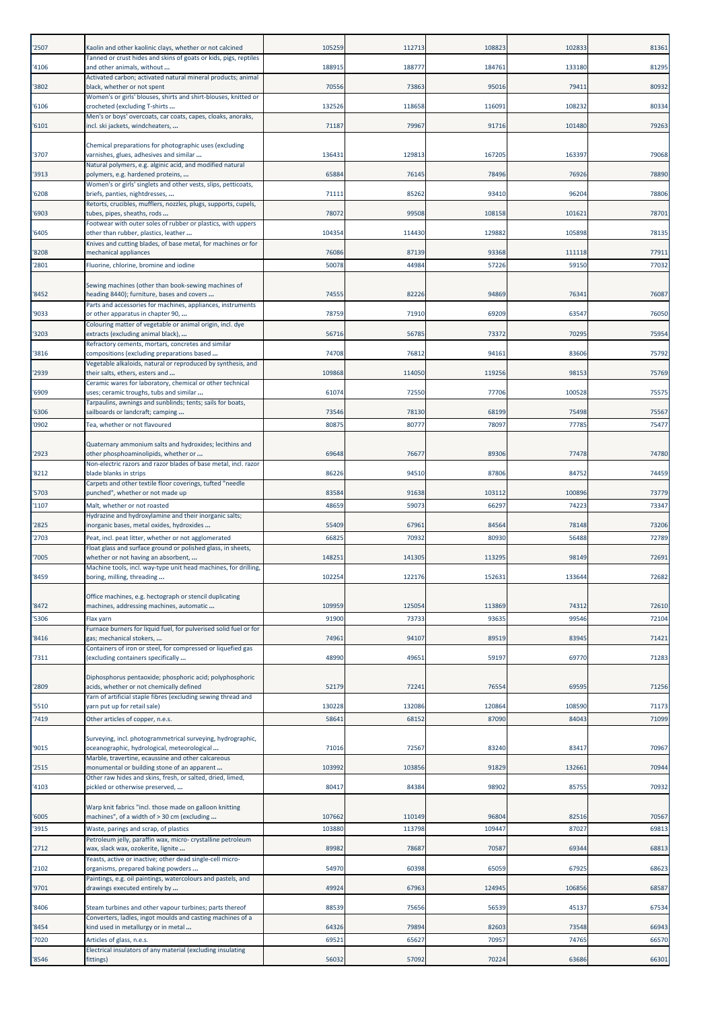| '2507 | Kaolin and other kaolinic clays, whether or not calcined                                                  | 105259 | 112713 | 108823 | 102833 | 81361 |
|-------|-----------------------------------------------------------------------------------------------------------|--------|--------|--------|--------|-------|
| '4106 | Tanned or crust hides and skins of goats or kids, pigs, reptiles<br>and other animals, without            | 18891  | 188777 | 184761 | 133180 | 81295 |
|       | Activated carbon; activated natural mineral products; animal                                              |        |        |        |        |       |
| '3802 | black, whether or not spent<br>Women's or girls' blouses, shirts and shirt-blouses, knitted or            | 70556  | 73863  | 95016  | 7941:  | 80932 |
| '6106 | crocheted (excluding T-shirts                                                                             | 132526 | 118658 | 116091 | 108232 | 80334 |
| '6101 | Men's or boys' overcoats, car coats, capes, cloaks, anoraks,<br>incl. ski jackets, windcheaters,          | 71187  | 79967  | 91716  | 101480 | 79263 |
|       | Chemical preparations for photographic uses (excluding                                                    |        |        |        |        |       |
| '3707 | varnishes, glues, adhesives and similar                                                                   | 13643  | 129813 | 167205 | 163397 | 79068 |
| '3913 | Natural polymers, e.g. alginic acid, and modified natural<br>polymers, e.g. hardened proteins,            | 65884  | 76145  | 78496  | 76926  | 78890 |
| '6208 | Women's or girls' singlets and other vests, slips, petticoats,<br>briefs, panties, nightdresses,          | 71111  | 85262  | 93410  | 96204  | 78806 |
|       | Retorts, crucibles, mufflers, nozzles, plugs, supports, cupels,                                           |        |        |        |        |       |
| '6903 | tubes, pipes, sheaths, rods<br>Footwear with outer soles of rubber or plastics, with uppers               | 78072  | 99508  | 108158 | 101621 | 78701 |
| '6405 | other than rubber, plastics, leather<br>Knives and cutting blades, of base metal, for machines or for     | 104354 | 114430 | 129882 | 105898 | 78135 |
| '8208 | mechanical appliances                                                                                     | 76086  | 87139  | 93368  | 111118 | 77911 |
| '2801 | Fluorine, chlorine, bromine and iodine                                                                    | 50078  | 44984  | 57226  | 59150  | 77032 |
|       | Sewing machines (other than book-sewing machines of                                                       |        |        |        |        |       |
| '8452 | heading 8440); furniture, bases and covers<br>Parts and accessories for machines, appliances, instruments | 74555  | 82226  | 94869  | 76341  | 76087 |
| '9033 | or other apparatus in chapter 90,<br>Colouring matter of vegetable or animal origin, incl. dye            | 78759  | 71910  | 69209  | 63547  | 76050 |
| '3203 | extracts (excluding animal black),                                                                        | 56716  | 56785  | 73372  | 70295  | 75954 |
| '3816 | Refractory cements, mortars, concretes and similar<br>compositions (excluding preparations based          | 74708  | 76812  | 94161  | 83606  | 75792 |
| '2939 | Vegetable alkaloids, natural or reproduced by synthesis, and<br>their salts, ethers, esters and           | 109868 | 114050 | 119256 | 98153  | 75769 |
|       | Ceramic wares for laboratory, chemical or other technical                                                 |        |        |        |        |       |
| '6909 | uses; ceramic troughs, tubs and similar<br>Tarpaulins, awnings and sunblinds; tents; sails for boats,     | 61074  | 72550  | 77706  | 100528 | 75575 |
| '6306 | sailboards or landcraft; camping                                                                          | 73546  | 78130  | 68199  | 75498  | 75567 |
| '0902 | Tea, whether or not flavoured                                                                             | 80875  | 80777  | 78097  | 77785  | 75477 |
| '2923 | Quaternary ammonium salts and hydroxides; lecithins and<br>other phosphoaminolipids, whether or           | 69648  | 76677  | 89306  | 77478  | 74780 |
| '8212 | Non-electric razors and razor blades of base metal, incl. razor<br>blade blanks in strips                 | 86226  | 94510  | 87806  | 84752  | 74459 |
| '5703 | Carpets and other textile floor coverings, tufted "needle<br>punched", whether or not made up             | 83584  | 91638  | 103112 | 100896 | 73779 |
| '1107 | Malt, whether or not roasted                                                                              | 48659  | 59073  | 66297  | 74223  | 73347 |
| '2825 | Hydrazine and hydroxylamine and their inorganic salts;<br>norganic bases, metal oxides, hydroxides        | 55409  | 67961  | 84564  | 78148  | 73206 |
| '2703 | Peat, incl. peat litter, whether or not agglomerated                                                      | 66825  | 70932  | 80930  | 56488  | 72789 |
| '7005 | Float glass and surface ground or polished glass, in sheets,<br>whether or not having an absorbent,       | 14825  | 141305 | 113295 | 98149  | 72691 |
| '8459 | Machine tools, incl. way-type unit head machines, for drilling,<br>boring, milling, threading             | 102254 | 122176 | 152631 | 133644 | 72682 |
|       |                                                                                                           |        |        |        |        |       |
| '8472 | Office machines, e.g. hectograph or stencil duplicating<br>machines, addressing machines, automatic       | 109959 | 125054 | 113869 | 74312  | 72610 |
| '5306 | Flax yarn                                                                                                 | 91900  | 73733  | 93635  | 99546  | 72104 |
| '8416 | Furnace burners for liquid fuel, for pulverised solid fuel or for<br>gas; mechanical stokers,             | 74961  | 94107  | 89519  | 83945  | 71421 |
| '7311 | Containers of iron or steel, for compressed or liquefied gas<br>excluding containers specifically         | 48990  | 49651  | 59197  | 69770  | 71283 |
|       |                                                                                                           |        |        |        |        |       |
| '2809 | Diphosphorus pentaoxide; phosphoric acid; polyphosphoric<br>acids, whether or not chemically defined      | 52179  | 72241  | 76554  | 69595  | 71256 |
| '5510 | Yarn of artificial staple fibres (excluding sewing thread and<br>yarn put up for retail sale)             | 130228 | 132086 | 120864 | 108590 | 71173 |
| '7419 | Other articles of copper, n.e.s.                                                                          | 58641  | 68152  | 87090  | 84043  | 71099 |
|       | Surveying, incl. photogrammetrical surveying, hydrographic,                                               |        |        |        |        |       |
| '9015 | oceanographic, hydrological, meteorological                                                               | 71016  | 72567  | 83240  | 83417  | 70967 |
| '2515 | Marble, travertine, ecaussine and other calcareous<br>monumental or building stone of an apparent         | 103992 | 103856 | 91829  | 132661 | 70944 |
| '4103 | Other raw hides and skins, fresh, or salted, dried, limed,<br>pickled or otherwise preserved,             | 80417  | 84384  | 98902  | 85755  | 70932 |
|       | Warp knit fabrics "incl. those made on galloon knitting                                                   |        |        |        |        |       |
| '6005 | machines", of a width of > 30 cm (excluding                                                               | 107662 | 110149 | 96804  | 82516  | 70567 |
| '3915 | Waste, parings and scrap, of plastics<br>Petroleum jelly, paraffin wax, micro- crystalline petroleum      | 103880 | 113798 | 109447 | 87027  | 69813 |
| '2712 | wax, slack wax, ozokerite, lignite                                                                        | 89982  | 78687  | 70587  | 6934   | 68813 |
| '2102 | Yeasts, active or inactive; other dead single-cell micro-<br>organisms, prepared baking powders           | 54970  | 60398  | 65059  | 67925  | 68623 |
| '9701 | Paintings, e.g. oil paintings, watercolours and pastels, and<br>drawings executed entirely by             | 49924  | 67963  | 124945 | 106856 | 68587 |
| '8406 | Steam turbines and other vapour turbines; parts thereof                                                   | 88539  | 75656  | 56539  | 45137  | 67534 |
| '8454 | Converters, ladles, ingot moulds and casting machines of a<br>kind used in metallurgy or in metal         | 64326  | 79894  | 82603  | 73548  | 66943 |
| '7020 | Articles of glass, n.e.s.                                                                                 | 69521  | 65627  | 70957  | 74765  | 66570 |
| '8546 | Electrical insulators of any material (excluding insulating<br>fittings)                                  | 56032  | 57092  | 70224  | 63686  | 66301 |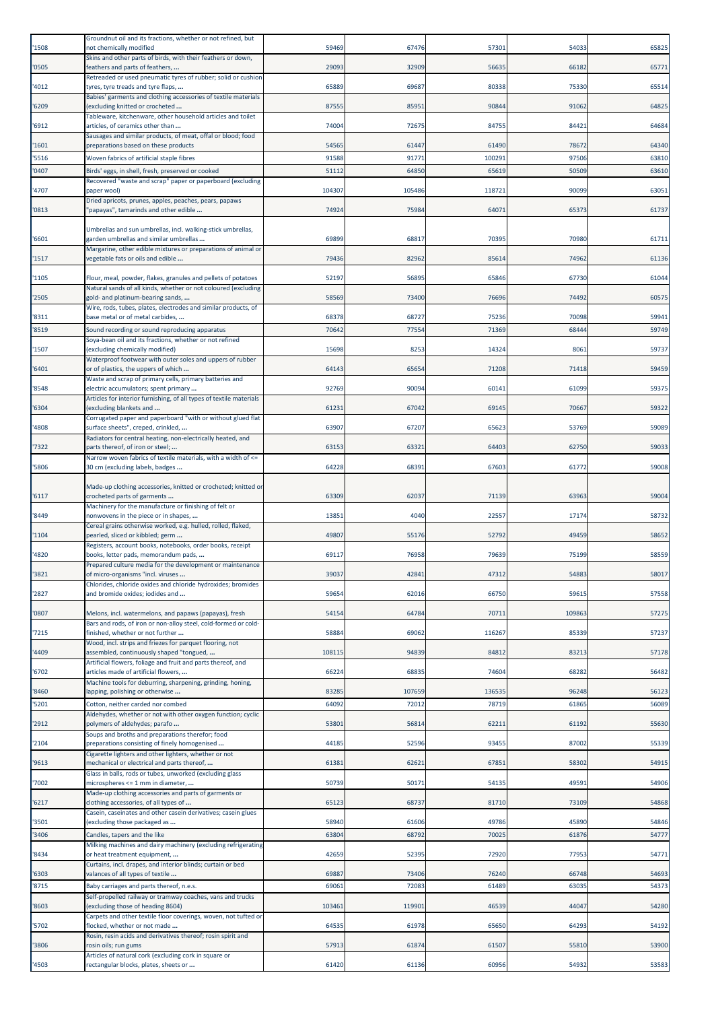| '1508 | Groundnut oil and its fractions, whether or not refined, but<br>not chemically modified                                         | 59469  | 67476  | 57301  | 54033  | 65825 |
|-------|---------------------------------------------------------------------------------------------------------------------------------|--------|--------|--------|--------|-------|
| '0505 | Skins and other parts of birds, with their feathers or down,<br>feathers and parts of feathers,                                 | 29093  | 32909  | 56635  | 66182  | 65771 |
| 4012  | Retreaded or used pneumatic tyres of rubber; solid or cushion<br>tyres, tyre treads and tyre flaps,                             | 65889  | 69687  | 80338  | 75330  | 65514 |
| 6209  | Babies' garments and clothing accessories of textile materials<br>excluding knitted or crocheted                                | 87555  | 85951  | 90844  | 91062  | 64825 |
| '6912 | Tableware, kitchenware, other household articles and toilet<br>articles, of ceramics other than                                 | 74004  | 72675  | 84755  | 84421  | 64684 |
| 1601  | Sausages and similar products, of meat, offal or blood; food<br>preparations based on these products                            | 54565  | 61447  | 61490  | 78672  | 64340 |
| '5516 | Woven fabrics of artificial staple fibres                                                                                       | 91588  | 91771  | 100291 | 97506  | 63810 |
| 0407  | Birds' eggs, in shell, fresh, preserved or cooked                                                                               | 51112  | 64850  | 65619  | 50509  | 63610 |
| 4707  | Recovered "waste and scrap" paper or paperboard (excluding<br>paper wool)                                                       | 104307 | 105486 | 118721 | 90099  | 63051 |
| '0813 | Dried apricots, prunes, apples, peaches, pears, papaws<br>papayas", tamarinds and other edible                                  | 74924  | 75984  | 64071  | 65373  | 61737 |
|       | Umbrellas and sun umbrellas, incl. walking-stick umbrellas,                                                                     |        |        |        |        |       |
| '6601 | arden umbrellas and similar umbrellas<br>Margarine, other edible mixtures or preparations of animal or                          | 69899  | 6881   | 70395  | 70980  | 61711 |
| 1517  | egetable fats or oils and edible                                                                                                | 79436  | 82962  | 85614  | 74962  | 61136 |
| '1105 | Flour, meal, powder, flakes, granules and pellets of potatoes<br>Natural sands of all kinds, whether or not coloured (excluding | 52197  | 56895  | 65846  | 67730  | 61044 |
| '2505 | gold- and platinum-bearing sands,<br>Wire, rods, tubes, plates, electrodes and similar products, of                             | 58569  | 73400  | 76696  | 74492  | 60575 |
| '8311 | base metal or of metal carbides,                                                                                                | 68378  | 68727  | 75236  | 70098  | 59941 |
| '8519 | Sound recording or sound reproducing apparatus                                                                                  | 70642  | 77554  | 71369  | 68444  | 59749 |
| '1507 | Soya-bean oil and its fractions, whether or not refined<br>(excluding chemically modified)                                      | 15698  | 8253   | 14324  | 8061   | 59737 |
| 6401  | Waterproof footwear with outer soles and uppers of rubber<br>or of plastics, the uppers of which                                | 64143  | 65654  | 71208  | 71418  | 59459 |
| '8548 | Waste and scrap of primary cells, primary batteries and<br>electric accumulators; spent primary                                 | 92769  | 90094  | 60141  | 61099  | 59375 |
| 6304  | Articles for interior furnishing, of all types of textile materials<br>excluding blankets and                                   | 61231  | 67042  | 69145  | 70667  | 59322 |
| 4808  | Corrugated paper and paperboard "with or without glued flat<br>surface sheets", creped, crinkled,                               | 63907  | 67207  | 65623  | 53769  | 59089 |
| '7322 | Radiators for central heating, non-electrically heated, and<br>parts thereof, of iron or steel;                                 | 63153  | 63321  | 64403  | 62750  | 59033 |
| 5806  | Narrow woven fabrics of textile materials, with a width of <=<br>30 cm (excluding labels, badges                                | 64228  | 68391  | 67603  | 61772  | 59008 |
|       |                                                                                                                                 |        |        |        |        |       |
| '6117 | Made-up clothing accessories, knitted or crocheted; knitted or<br>crocheted parts of garments                                   | 63309  | 62037  | 71139  | 63963  | 59004 |
| '8449 | Machinery for the manufacture or finishing of felt or<br>nonwovens in the piece or in shapes,                                   | 13851  | 4040   | 22557  | 17174  | 58732 |
| '1104 | Cereal grains otherwise worked, e.g. hulled, rolled, flaked,<br>pearled, sliced or kibbled; germ                                | 49807  | 55176  | 52792  | 49459  | 58652 |
| '4820 | Registers, account books, notebooks, order books, receipt<br>books, letter pads, memorandum pads,                               | 69117  | 76958  | 79639  | 75199  | 58559 |
| 3821  | Prepared culture media for the development or maintenance<br>of micro-organisms "incl. viruses                                  | 3903   | 4284   | 4/31   | 5488:  | 2801  |
| '2827 | Chlorides, chloride oxides and chloride hydroxides; bromides<br>and bromide oxides; iodides and                                 | 59654  | 62016  | 66750  | 59615  | 57558 |
| '0807 | Melons, incl. watermelons, and papaws (papayas), fresh                                                                          | 54154  | 64784  | 70711  | 109863 | 57275 |
| '7215 | Bars and rods, of iron or non-alloy steel, cold-formed or cold-<br>finished, whether or not further                             | 58884  | 69062  | 116267 | 85339  | 57237 |
| 4409  | Wood, incl. strips and friezes for parquet flooring, not<br>assembled, continuously shaped "tongued,                            | 108115 | 94839  | 84812  | 83213  | 57178 |
| '6702 | Artificial flowers, foliage and fruit and parts thereof, and<br>articles made of artificial flowers,                            | 66224  | 68835  | 74604  | 68282  | 56482 |
| '8460 | Machine tools for deburring, sharpening, grinding, honing,<br>lapping, polishing or otherwise                                   | 83285  | 107659 | 136535 | 96248  | 56123 |
| '5201 | Cotton, neither carded nor combed                                                                                               | 64092  | 72012  | 78719  | 61865  | 56089 |
| '2912 | Aldehydes, whether or not with other oxygen function; cyclic<br>polymers of aldehydes; parafo                                   | 53801  | 56814  | 62211  | 61192  | 55630 |
| '2104 | Soups and broths and preparations therefor; food<br>preparations consisting of finely homogenised                               | 44185  | 52596  | 93455  | 87002  | 55339 |
| '9613 | Cigarette lighters and other lighters, whether or not<br>mechanical or electrical and parts thereof,                            | 61381  | 62621  | 67851  | 58302  | 54915 |
| 7002  | Glass in balls, rods or tubes, unworked (excluding glass<br>microspheres <= 1 mm in diameter,                                   | 50739  | 50171  | 54135  | 49591  | 54906 |
| '6217 | Made-up clothing accessories and parts of garments or                                                                           | 65123  | 68737  | 81710  | 73109  | 54868 |
|       | clothing accessories, of all types of<br>Casein, caseinates and other casein derivatives; casein glues                          |        |        |        |        |       |
| '3501 | excluding those packaged as                                                                                                     | 58940  | 61606  | 49786  | 45890  | 54846 |
| 3406  | Candles, tapers and the like                                                                                                    | 63804  | 68792  | 70025  | 61876  | 54777 |
| 8434  | Milking machines and dairy machinery (excluding refrigerating<br>or heat treatment equipment,                                   | 42659  | 52395  | 72920  | 77953  | 54771 |
| '6303 | Curtains, incl. drapes, and interior blinds; curtain or bed<br>valances of all types of textile                                 | 69887  | 73406  | 76240  | 66748  | 54693 |
| '8715 | Baby carriages and parts thereof, n.e.s.                                                                                        | 69061  | 72083  | 61489  | 6303   | 54373 |
| '8603 | Self-propelled railway or tramway coaches, vans and trucks<br>(excluding those of heading 8604)                                 | 103461 | 119901 | 46539  | 44047  | 54280 |
| '5702 | Carpets and other textile floor coverings, woven, not tufted or<br>flocked, whether or not made                                 | 64535  | 61978  | 65650  | 64293  | 54192 |
| 3806  | Rosin, resin acids and derivatives thereof; rosin spirit and<br>rosin oils; run gums                                            | 57913  | 61874  | 61507  | 55810  | 53900 |
| '4503 | Articles of natural cork (excluding cork in square or<br>rectangular blocks, plates, sheets or                                  | 61420  | 61136  | 60956  | 54932  | 53583 |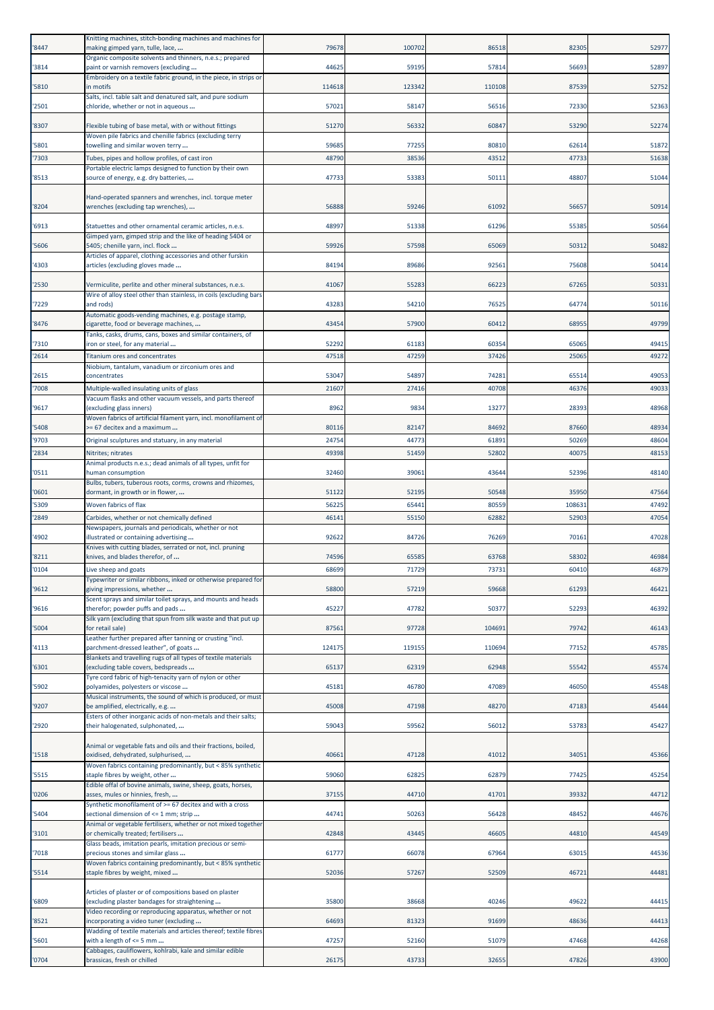| '8447          | Knitting machines, stitch-bonding machines and machines for<br>making gimped yarn, tulle, lace,                                                                | 79678          | 100702         | 86518          | 82305          | 52977          |
|----------------|----------------------------------------------------------------------------------------------------------------------------------------------------------------|----------------|----------------|----------------|----------------|----------------|
|                | Organic composite solvents and thinners, n.e.s.; prepared                                                                                                      | 44625          | 59195          | 57814          | 56693          | 52897          |
| 3814           | paint or varnish removers (excluding<br>Embroidery on a textile fabric ground, in the piece, in strips or                                                      |                |                |                |                |                |
| '5810          | in motifs<br>Salts, incl. table salt and denatured salt, and pure sodium                                                                                       | 114618         | 123342         | 110108         | 87539          | 52752          |
| 2501           | chloride, whether or not in aqueous                                                                                                                            | 57021          | 58147          | 56516          | 72330          | 52363          |
| '8307          | Flexible tubing of base metal, with or without fittings                                                                                                        | 51270          | 56332          | 60847          | 53290          | 52274          |
| '5801          | Woven pile fabrics and chenille fabrics (excluding terry<br>towelling and similar woven terry                                                                  | 59685          | 77255          | 80810          | 62614          | 51872          |
| 7303           | Tubes, pipes and hollow profiles, of cast iron                                                                                                                 | 48790          | 38536          | 43512          | 47733          | 51638          |
| '8513          | Portable electric lamps designed to function by their own<br>source of energy, e.g. dry batteries,                                                             | 47733          | 53383          | 50111          | 48807          | 51044          |
|                |                                                                                                                                                                |                |                |                |                |                |
| '8204          | Hand-operated spanners and wrenches, incl. torque meter<br>wrenches (excluding tap wrenches),                                                                  | 56888          | 59246          | 61092          | 5665           | 50914          |
| '6913          | Statuettes and other ornamental ceramic articles, n.e.s.                                                                                                       | 48997          | 51338          | 61296          | 55385          | 50564          |
| '5606          | Gimped yarn, gimped strip and the like of heading 5404 or<br>5405; chenille yarn, incl. flock                                                                  | 59926          | 57598          | 65069          | 50312          | 50482          |
|                | Articles of apparel, clothing accessories and other furskin                                                                                                    |                |                |                |                |                |
| 4303           | articles (excluding gloves made                                                                                                                                | 84194          | 89686          | 92561          | 75608          | 50414          |
| '2530          | Vermiculite, perlite and other mineral substances, n.e.s.<br>Wire of alloy steel other than stainless, in coils (excluding bars                                | 41067          | 55283          | 66223          | 67265          | 50331          |
| 7229           | and rods)<br>Automatic goods-vending machines, e.g. postage stamp,                                                                                             | 43283          | 54210          | 76525          | 64774          | 50116          |
| 8476           | cigarette, food or beverage machines,                                                                                                                          | 43454          | 57900          | 60412          | 68955          | 49799          |
| '7310          | Tanks, casks, drums, cans, boxes and similar containers, of<br>iron or steel, for any material                                                                 | 52292          | 61183          | 60354          | 65065          | 49415          |
| '2614          | <b>Titanium ores and concentrates</b>                                                                                                                          | 47518          | 47259          | 37426          | 25065          | 49272          |
| 2615           | Niobium, tantalum, vanadium or zirconium ores and<br>concentrates                                                                                              | 53047          | 54897          | 74281          | 65514          | 49053          |
| 7008           | Multiple-walled insulating units of glass                                                                                                                      | 21607          | 27416          | 40708          | 46376          | 49033          |
| '9617          | Vacuum flasks and other vacuum vessels, and parts thereof<br>(excluding glass inners)                                                                          | 8962           | 9834           | 13277          | 28393          | 48968          |
|                | Woven fabrics of artificial filament yarn, incl. monofilament of                                                                                               |                |                |                |                |                |
| '5408<br>'9703 | >= 67 decitex and a maximum<br>Original sculptures and statuary, in any material                                                                               | 80116<br>24754 | 82147<br>44773 | 84692<br>61891 | 87660<br>50269 | 48934<br>48604 |
| 2834           | Nitrites; nitrates                                                                                                                                             | 49398          | 51459          | 52802          | 40075          | 48153          |
| '0511          | Animal products n.e.s.; dead animals of all types, unfit for<br>human consumption                                                                              | 32460          | 39061          | 43644          | 52396          | 48140          |
|                | Bulbs, tubers, tuberous roots, corms, crowns and rhizomes,                                                                                                     |                |                |                |                |                |
| '0601          | dormant, in growth or in flower,                                                                                                                               | 51122          | 52195          | 50548          | 35950          | 47564          |
| '5309<br>'2849 | Woven fabrics of flax<br>Carbides, whether or not chemically defined                                                                                           | 56225<br>46141 | 65441<br>55150 | 80559<br>62882 | 10863<br>52903 | 47492<br>47054 |
|                | Newspapers, journals and periodicals, whether or not                                                                                                           |                |                |                |                |                |
| 4902           | illustrated or containing advertising<br>Knives with cutting blades, serrated or not, incl. pruning                                                            | 92622          | 84726          | 76269          | 70161          | 47028          |
| 8211           | knives, and blades therefor, of                                                                                                                                | 74596          | 65585          | 63768          | 58302          | 46984          |
| '0104          | Live sheep and goats<br>Typewriter or similar ribbons, inked or otherwise prepared for                                                                         | 68699          | 71729          | 73731          | 60410          | 46879          |
| '9612          | giving impressions, whether<br>Scent sprays and similar toilet sprays, and mounts and heads                                                                    | 58800          | 57219          | 59668          | 61293          | 46421          |
| '9616          | therefor; powder puffs and pads                                                                                                                                | 45227          | 47782          | 50377          | 52293          | 46392          |
| 5004           | Silk yarn (excluding that spun from silk waste and that put up<br>for retail sale)                                                                             | 87561          | 97728          | 104691         | 79742          | 46143          |
| '4113          | Leather further prepared after tanning or crusting "incl.<br>parchment-dressed leather", of goats                                                              | 124175         | 119155         | 110694         | 77152          | 45785          |
| '6301          | Blankets and travelling rugs of all types of textile materials<br>(excluding table covers, bedspreads                                                          | 65137          | 62319          | 62948          | 55542          | 45574          |
|                | Tyre cord fabric of high-tenacity yarn of nylon or other                                                                                                       |                |                |                |                |                |
| '5902          | polyamides, polyesters or viscose<br>Musical instruments, the sound of which is produced, or must                                                              | 45181          | 46780          | 47089          | 46050          | 45548          |
| '9207          | be amplified, electrically, e.g.<br>Esters of other inorganic acids of non-metals and their salts;                                                             | 45008          | 47198          | 48270          | 47183          | 45444          |
| '2920          | their halogenated, sulphonated,                                                                                                                                | 59043          | 59562          | 56012          | 53783          | 45427          |
| '1518          | Animal or vegetable fats and oils and their fractions, boiled,<br>oxidised, dehydrated, sulphurised,                                                           | 40661          | 47128          | 41012          | 34051          | 45366          |
|                | Woven fabrics containing predominantly, but < 85% synthetic                                                                                                    |                |                |                |                |                |
| '5515          | staple fibres by weight, other<br>Edible offal of bovine animals, swine, sheep, goats, horses,                                                                 | 59060          | 62825          | 62879          | 77425          | 45254          |
| '0206          | asses, mules or hinnies, fresh,<br>Synthetic monofilament of >= 67 decitex and with a cross                                                                    | 37155          | 44710          | 41701          | 39332          | 44712          |
| 5404           | sectional dimension of <= 1 mm; strip                                                                                                                          | 44741          | 50263          | 56428          | 48452          | 44676          |
| 3101           | Animal or vegetable fertilisers, whether or not mixed together<br>or chemically treated; fertilisers                                                           | 42848          | 43445          | 46605          | 44810          | 44549          |
| 7018           | Glass beads, imitation pearls, imitation precious or semi-<br>precious stones and similar glass                                                                | 61777          | 66078          | 67964          | 63015          | 44536          |
| '5514          | Woven fabrics containing predominantly, but < 85% synthetic<br>staple fibres by weight, mixed                                                                  | 52036          | 57267          | 52509          | 46721          | 44481          |
|                | Articles of plaster or of compositions based on plaster                                                                                                        |                |                |                |                |                |
| 6809           | (excluding plaster bandages for straightening                                                                                                                  | 35800          | 38668          | 40246          | 49622          | 44415          |
|                |                                                                                                                                                                |                |                |                |                |                |
| '8521          | Video recording or reproducing apparatus, whether or not<br>incorporating a video tuner (excluding                                                             | 64693          | 81323          | 91699          | 48636          | 44413          |
| 5601           | Wadding of textile materials and articles thereof; textile fibres<br>with a length of $\leq$ 5 mm<br>Cabbages, cauliflowers, kohlrabi, kale and similar edible | 47257          | 52160          | 51079          | 47468          | 44268          |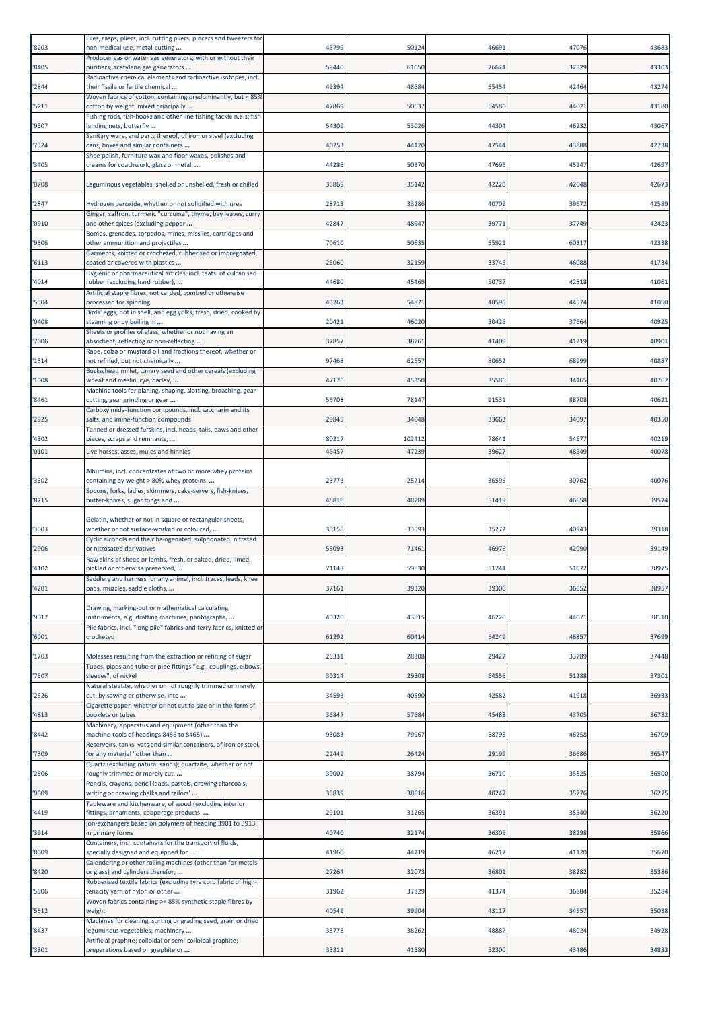| '8203          | Files, rasps, pliers, incl. cutting pliers, pincers and tweezers for<br>non-medical use, metal-cutting                  | 46799          | 50124           | 46691          | 47076          | 43683          |
|----------------|-------------------------------------------------------------------------------------------------------------------------|----------------|-----------------|----------------|----------------|----------------|
| '8405          | Producer gas or water gas generators, with or without their<br>purifiers; acetylene gas generators                      | 59440          | 61050           | 26624          | 32829          | 43303          |
|                | Radioactive chemical elements and radioactive isotopes, incl.                                                           |                |                 |                |                |                |
| '2844          | their fissile or fertile chemical<br>Woven fabrics of cotton, containing predominantly, but < 85%                       | 49394          | 48684           | 55454          | 42464          | 43274          |
| '5211          | cotton by weight, mixed principally<br>Fishing rods, fish-hooks and other line fishing tackle n.e.s; fish               | 47869          | 50637           | 54586          | 44021          | 43180          |
| '9507          | landing nets, butterfly<br>Sanitary ware, and parts thereof, of iron or steel (excluding                                | 54309          | 53026           | 44304          | 46232          | 43067          |
| '7324          | cans, boxes and similar containers<br>Shoe polish, furniture wax and floor waxes, polishes and                          | 40253          | 44120           | 47544          | 43888          | 42738          |
| '3405          | creams for coachwork, glass or metal,                                                                                   | 44286          | 50370           | 47695          | 45247          | 42697          |
| '0708          | Leguminous vegetables, shelled or unshelled, fresh or chilled                                                           | 35869          | 35142           | 42220          | 42648          | 42673          |
| '2847          | Hydrogen peroxide, whether or not solidified with urea<br>Ginger, saffron, turmeric "curcuma", thyme, bay leaves, curry | 28713          | 33286           | 40709          | 39672          | 42589          |
| '0910          | and other spices (excluding pepper<br>Bombs, grenades, torpedos, mines, missiles, cartridges and                        | 42847          | 48947           | 39771          | 37749          | 42423          |
| '9306          | other ammunition and projectiles                                                                                        | 70610          | 50635           | 55921          | 60317          | 42338          |
| '6113          | Garments, knitted or crocheted, rubberised or impregnated,<br>coated or covered with plastics                           | 25060          | 32159           | 33745          | 46088          | 41734          |
| '4014          | Hygienic or pharmaceutical articles, incl. teats, of vulcanised<br>rubber (excluding hard rubber),                      | 44680          | 45469           | 50737          | 42818          | 41061          |
| '5504          | Artificial staple fibres, not carded, combed or otherwise<br>processed for spinning                                     | 45263          | 54871           | 48595          | 44574          | 41050          |
| '0408          | Birds' eggs, not in shell, and egg yolks, fresh, dried, cooked by<br>steaming or by boiling in                          | 20421          | 46020           | 30426          | 37664          | 40925          |
| '7006          | Sheets or profiles of glass, whether or not having an<br>absorbent, reflecting or non-reflecting                        | 37857          | 38761           | 41409          | 41219          | 40901          |
| '1514          | Rape, colza or mustard oil and fractions thereof, whether or<br>not refined, but not chemically                         | 97468          | 62557           | 80652          | 68999          | 40887          |
| '1008          | Buckwheat, millet, canary seed and other cereals (excluding<br>wheat and meslin, rye, barley,                           | 47176          | 45350           | 35586          | 34165          | 40762          |
| '8461          | Machine tools for planing, shaping, slotting, broaching, gear<br>cutting, gear grinding or gear                         | 56708          | 78147           | 91531          | 88708          | 40621          |
| '2925          | Carboxyimide-function compounds, incl. saccharin and its<br>salts, and imine-function compounds                         | 29845          | 34048           | 33663          | 34097          | 40350          |
|                | Tanned or dressed furskins, incl. heads, tails, paws and other                                                          |                |                 |                |                |                |
| '4302<br>'0101 | pieces, scraps and remnants,<br>Live horses, asses, mules and hinnies                                                   | 80217<br>46457 | 102412<br>47239 | 78641<br>39627 | 54577<br>48549 | 40219<br>40078 |
|                | Albumins, incl. concentrates of two or more whey proteins                                                               |                |                 |                |                |                |
| '3502          | containing by weight > 80% whey proteins,<br>Spoons, forks, ladles, skimmers, cake-servers, fish-knives,                | 23773          | 25714           | 36595          | 30762          | 40076          |
| '8215          | butter-knives, sugar tongs and                                                                                          | 46816          | 48789           | 51419          | 46658          | 39574          |
| '3503          | Gelatin, whether or not in square or rectangular sheets,<br>whether or not surface-worked or coloured,                  | 30158          | 33593           | 35272          | 40943          | 39318          |
| '2906          | Cyclic alcohols and their halogenated, sulphonated, nitrated<br>or nitrosated derivatives                               | 55093          | 71461           | 46976          | 42090          | 39149          |
|                | Raw skins of sheep or lambs, fresh, or salted, dried, limed,                                                            |                |                 |                |                |                |
|                |                                                                                                                         |                |                 |                |                |                |
| '4102          | pickled or otherwise preserved,<br>Saddlery and harness for any animal, incl. traces, leads, knee                       | 71143          | 59530           | 51744          | 51072          | 38975          |
| '4201          | pads, muzzles, saddle cloths,                                                                                           | 37161          | 39320           | 39300          | 36652          | 38957          |
| '9017          | Drawing, marking-out or mathematical calculating<br>instruments, e.g. drafting machines, pantographs,                   | 40320          | 43815           | 46220          | 44071          | 38110          |
| '6001          | Pile fabrics, incl. "long pile" fabrics and terry fabrics, knitted or<br>crocheted                                      | 61292          | 60414           | 54249          | 46857          | 37699          |
| '1703          | Molasses resulting from the extraction or refining of sugar                                                             | 25331          | 28308           | 29427          | 33789          | 37448          |
| '7507          | Tubes, pipes and tube or pipe fittings "e.g., couplings, elbows,<br>sleeves", of nickel                                 | 30314          | 29308           | 64556          | 51288          | 37301          |
| '2526          | Natural steatite, whether or not roughly trimmed or merely<br>cut, by sawing or otherwise, into                         | 34593          | 40590           | 42582          | 41918          | 36933          |
| '4813          | Cigarette paper, whether or not cut to size or in the form of<br>booklets or tubes                                      | 36847          | 57684           | 45488          | 43705          | 36732          |
| '8442          | Machinery, apparatus and equipment (other than the                                                                      | 93083          | 79967           | 58795          | 46258          | 36709          |
|                | machine-tools of headings 8456 to 8465)<br>Reservoirs, tanks, vats and similar containers, of iron or steel,            |                |                 |                |                |                |
| '7309          | for any material "other than<br>Quartz (excluding natural sands); quartzite, whether or not                             | 22449          | 26424           | 29199          | 36686          | 36547          |
| '2506          | roughly trimmed or merely cut,<br>Pencils, crayons, pencil leads, pastels, drawing charcoals,                           | 39002          | 38794           | 36710          | 35825          | 36500          |
| '9609          | writing or drawing chalks and tailors'<br>Tableware and kitchenware, of wood (excluding interior                        | 35839          | 38616           | 40247          | 35776          | 36275          |
| '4419          | fittings, ornaments, cooperage products,<br>Ion-exchangers based on polymers of heading 3901 to 3913,                   | 29101          | 31265           | 36391          | 35540          | 36220          |
| '3914          | in primary forms<br>Containers, incl. containers for the transport of fluids,                                           | 40740          | 32174           | 36305          | 38298          | 35866          |
| '8609          | specially designed and equipped for<br>Calendering or other rolling machines (other than for metals                     | 41960          | 44219           | 46217          | 41120          | 35670          |
| '8420          | or glass) and cylinders therefor;<br>Rubberised textile fabrics (excluding tyre cord fabric of high-                    | 27264          | 32073           | 36801          | 38282          | 35386          |
| '5906          | tenacity yarn of nylon or other<br>Woven fabrics containing >= 85% synthetic staple fibres by                           | 31962          | 37329           | 41374          | 36884          | 35284          |
| '5512          | weight<br>Machines for cleaning, sorting or grading seed, grain or dried                                                | 40549          | 39904           | 43117          | 34557          | 35038          |
| '8437          | eguminous vegetables; machinery<br>Artificial graphite; colloidal or semi-colloidal graphite;                           | 33778          | 38262           | 48887          | 48024          | 34928          |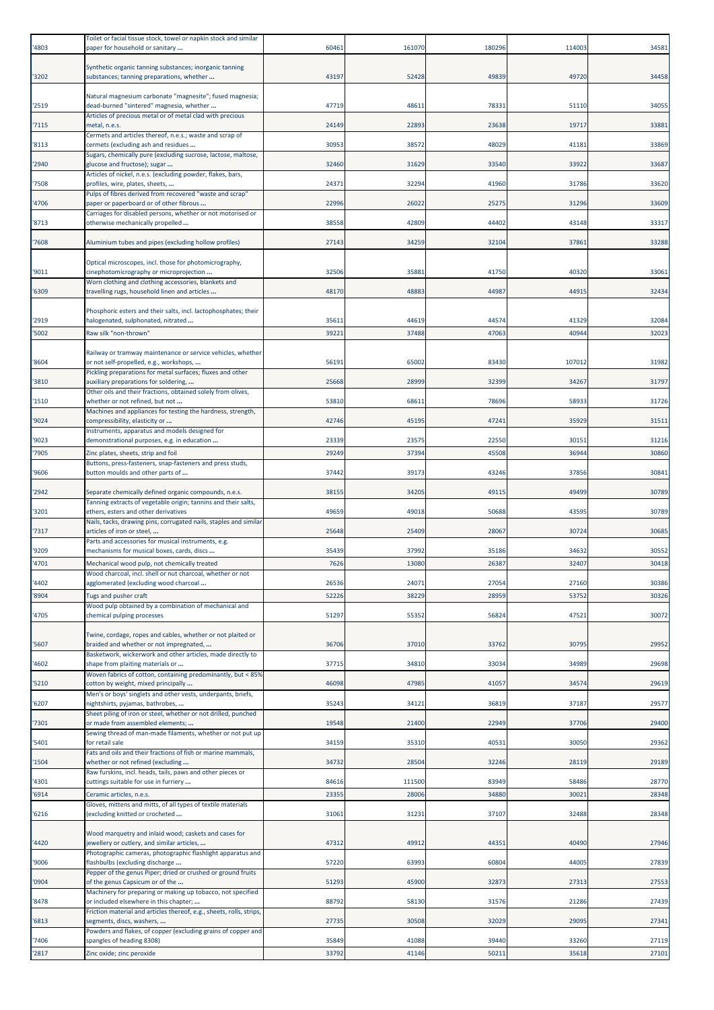| '4803          | Toilet or facial tissue stock, towel or napkin stock and similar<br>paper for household or sanitary                     | 60461          | 161070         | 180296         | 114003         | 34581          |
|----------------|-------------------------------------------------------------------------------------------------------------------------|----------------|----------------|----------------|----------------|----------------|
|                |                                                                                                                         |                |                |                |                |                |
| '3202          | Synthetic organic tanning substances; inorganic tanning<br>substances; tanning preparations, whether                    | 43197          | 52428          | 49839          | 49720          | 34458          |
|                | Natural magnesium carbonate "magnesite"; fused magnesia;                                                                |                |                |                |                |                |
| '2519          | dead-burned "sintered" magnesia, whether                                                                                | 47719          | 48611          | 78331          | 51110          | 34055          |
| 7115           | Articles of precious metal or of metal clad with precious<br>metal, n.e.s.                                              | 24149          | 22893          | 23638          | 19717          | 33881          |
| '8113          | Cermets and articles thereof, n.e.s.; waste and scrap of<br>cermets (excluding ash and residues                         | 30953          | 38572          | 48029          | 41181          | 33869          |
|                | Sugars, chemically pure (excluding sucrose, lactose, maltose,                                                           |                |                |                |                |                |
| '2940          | glucose and fructose); sugar<br>Articles of nickel, n.e.s. (excluding powder, flakes, bars,                             | 32460          | 31629          | 33540          | 33922          | 33687          |
| '7508          | profiles, wire, plates, sheets,                                                                                         | 24371          | 32294          | 41960          | 31786          | 33620          |
| 4706           | Pulps of fibres derived from recovered "waste and scrap"<br>paper or paperboard or of other fibrous                     | 22996          | 26022          | 25275          | 31296          | 33609          |
| '8713          | Carriages for disabled persons, whether or not motorised or<br>otherwise mechanically propelled                         | 38558          | 42809          | 44402          | 43148          | 33317          |
|                |                                                                                                                         | 27143          | 34259          |                | 37861          | 33288          |
| 7608           | Aluminium tubes and pipes (excluding hollow profiles)                                                                   |                |                | 32104          |                |                |
| '9011          | Optical microscopes, incl. those for photomicrography,<br>cinephotomicrography or microprojection                       | 32506          | 35881          | 41750          | 40320          | 33061          |
|                | Worn clothing and clothing accessories, blankets and<br>travelling rugs, household linen and articles                   |                |                |                |                |                |
| '6309          |                                                                                                                         | 48170          | 48883          | 44987          | 44915          | 32434          |
| '2919          | Phosphoric esters and their salts, incl. lactophosphates; their<br>halogenated, sulphonated, nitrated                   | 3561:          | 44619          | 44574          | 41329          | 32084          |
| '5002          | Raw silk "non-thrown"                                                                                                   | 39221          | 37488          | 47063          | 40944          | 32023          |
|                | Railway or tramway maintenance or service vehicles, whether                                                             |                |                |                |                |                |
| '8604          | or not self-propelled, e.g., workshops,<br>Pickling preparations for metal surfaces; fluxes and other                   | 5619           | 65002          | 83430          | 107012         | 31982          |
| '3810          | auxiliary preparations for soldering,                                                                                   | 25668          | 28999          | 32399          | 34267          | 31797          |
| '1510          | Other oils and their fractions, obtained solely from olives,<br>whether or not refined, but not                         | 53810          | 68611          | 78696          | 58933          | 31726          |
| '9024          | Machines and appliances for testing the hardness, strength,<br>compressibility, elasticity or                           | 42746          | 45195          | 47241          | 35929          | 31511          |
|                | Instruments, apparatus and models designed for                                                                          |                |                |                |                |                |
| '9023<br>'7905 | demonstrational purposes, e.g. in education<br>Zinc plates, sheets, strip and foil                                      | 23339<br>29249 | 23575<br>37394 | 22550<br>45508 | 30151<br>36944 | 31216<br>30860 |
|                | Buttons, press-fasteners, snap-fasteners and press studs,                                                               |                |                |                | 37856          | 30841          |
| '9606          | button moulds and other parts of                                                                                        | 37442          | 39173          | 43246          |                |                |
| '2942          | Separate chemically defined organic compounds, n.e.s.<br>Tanning extracts of vegetable origin; tannins and their salts, | 38155          | 34205          | 49115          | 49499          | 30789          |
| '3201          | ethers, esters and other derivatives<br>Nails, tacks, drawing pins, corrugated nails, staples and similar               | 49659          | 49018          | 50688          | 43595          | 30789          |
| 7317           | articles of iron or steel,                                                                                              | 25648          | 25409          | 28067          | 30724          | 30685          |
| '9209          | Parts and accessories for musical instruments, e.g.<br>mechanisms for musical boxes, cards, discs                       | 35439          | 37992          | 35186          | 34632          | 30552          |
| '4701          | Mechanical wood pulp, not chemically treated                                                                            | 7626           | 13080          | 26387          | 32407          | 30418          |
| '4402          | Nood charcoal, incl. shell or nut charcoal, whether or not<br>agglomerated (excluding wood charcoal                     | 26536          | 24071          | 27054          | 27160          | 30386          |
| '8904          | Tugs and pusher craft                                                                                                   | 52226          | 38229          | 28959          | 5375           | 30326          |
| '4705          | Wood pulp obtained by a combination of mechanical and<br>chemical pulping processes                                     | 51297          | 55352          | 56824          | 47521          | 30072          |
|                | Twine, cordage, ropes and cables, whether or not plaited or                                                             |                |                |                |                |                |
| '5607          | braided and whether or not impregnated,<br>Basketwork, wickerwork and other articles, made directly to                  | 36706          | 37010          | 33762          | 30795          | 29952          |
| '4602          | shape from plaiting materials or                                                                                        | 37715          | 34810          | 33034          | 34989          | 29698          |
| '5210          | Woven fabrics of cotton, containing predominantly, but < 85%<br>cotton by weight, mixed principally                     | 46098          | 47985          | 41057          | 34574          | 29619          |
| '6207          | Men's or boys' singlets and other vests, underpants, briefs,<br>nightshirts, pyjamas, bathrobes,                        | 35243          | 34121          | 36819          | 37187          | 29577          |
| '7301          | Sheet piling of iron or steel, whether or not drilled, punched<br>or made from assembled elements;                      | 19548          | 21400          | 22949          | 37706          | 29400          |
|                | Sewing thread of man-made filaments, whether or not put up                                                              |                |                |                |                |                |
| '5401          | for retail sale<br>Fats and oils and their fractions of fish or marine mammals,                                         | 34159          | 35310          | 40531          | 30050          | 29362          |
| '1504          | whether or not refined (excluding<br>Raw furskins, incl. heads, tails, paws and other pieces or                         | 34732          | 28504          | 32246          | 28119          | 29189          |
| '4301          | cuttings suitable for use in furriery                                                                                   | 84616          | 111500         | 83949          | 58486          | 28770          |
| '6914          | Ceramic articles, n.e.s.<br>Gloves, mittens and mitts, of all types of textile materials                                | 23355          | 28006          | 34880          | 3002           | 28348          |
| '6216          | (excluding knitted or crocheted                                                                                         | 31061          | 31231          | 37107          | 32488          | 28348          |
|                | Wood marquetry and inlaid wood; caskets and cases for                                                                   |                |                |                |                |                |
| '4420          | jewellery or cutlery, and similar articles,<br>Photographic cameras, photographic flashlight apparatus and              | 47312          | 49912          | 44351          | 40490          | 27946          |
| '9006          | flashbulbs (excluding discharge<br>Pepper of the genus Piper; dried or crushed or ground fruits                         | 57220          | 63993          | 60804          | 44005          | 27839          |
| '0904          | of the genus Capsicum or of the                                                                                         | 51293          | 45900          | 32873          | 27313          | 27553          |
|                |                                                                                                                         |                |                |                |                |                |
| '8478          | Machinery for preparing or making up tobacco, not specified<br>or included elsewhere in this chapter;                   | 88792          | 58130          | 31576          | 21286          | 27439          |
| '6813          | Friction material and articles thereof, e.g., sheets, rolls, strips,<br>segments, discs, washers,                       | 27735          | 30508          | 32029          | 29095          | 27341          |
|                | Powders and flakes, of copper (excluding grains of copper and                                                           |                |                |                |                |                |
| '7406<br>'2817 | spangles of heading 8308)<br>Zinc oxide; zinc peroxide                                                                  | 35849<br>33792 | 41088<br>41146 | 39440<br>50211 | 33260<br>35618 | 27119<br>27101 |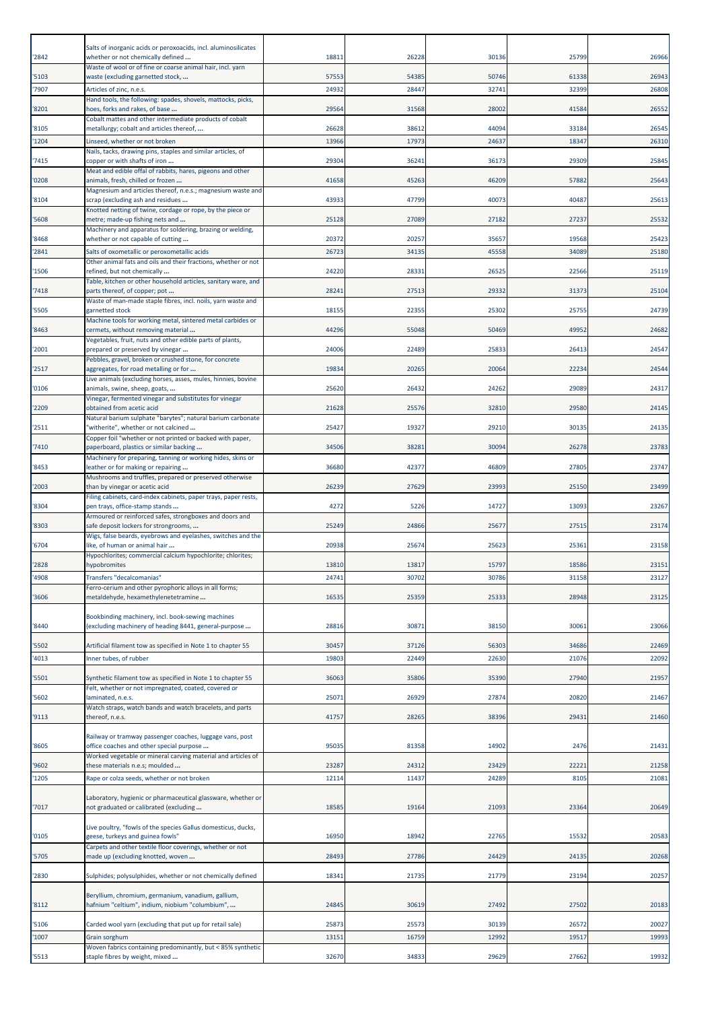| '2842          | Salts of inorganic acids or peroxoacids, incl. aluminosilicates<br>whether or not chemically defined                                                           | 18811          | 26228          | 30136          | 25799          | 26966          |
|----------------|----------------------------------------------------------------------------------------------------------------------------------------------------------------|----------------|----------------|----------------|----------------|----------------|
| '5103          | Waste of wool or of fine or coarse animal hair, incl. yarn<br>waste (excluding garnetted stock,                                                                | 57553          | 54385          | 50746          | 61338          | 26943          |
| '7907          | Articles of zinc, n.e.s.                                                                                                                                       | 24932          | 28447          | 32741          | 32399          | 26808          |
| '8201          | Hand tools, the following: spades, shovels, mattocks, picks,<br>hoes, forks and rakes, of base<br>Cobalt mattes and other intermediate products of cobalt      | 29564          | 31568          | 28002          | 41584          | 26552          |
| '8105          | metallurgy; cobalt and articles thereof,                                                                                                                       | 26628          | 38612          | 44094          | 33184          | 26545          |
| '1204          | Linseed, whether or not broken<br>Nails, tacks, drawing pins, staples and similar articles, of                                                                 | 13966          | 17973          | 24637          | 18347          | 26310          |
| 7415           | copper or with shafts of iron                                                                                                                                  | 29304          | 36241          | 36173          | 29309          | 25845          |
| '0208          | Meat and edible offal of rabbits, hares, pigeons and other<br>animals, fresh, chilled or frozen<br>Magnesium and articles thereof, n.e.s.; magnesium waste and | 41658          | 45263          | 46209          | 57882          | 25643          |
| '8104          | scrap (excluding ash and residues                                                                                                                              | 43933          | 47799          | 40073          | 40487          | 25613          |
| 5608           | Knotted netting of twine, cordage or rope, by the piece or<br>metre; made-up fishing nets and<br>Machinery and apparatus for soldering, brazing or welding,    | 25128          | 27089          | 27182          | 27237          | 25532          |
| '8468          | whether or not capable of cutting                                                                                                                              | 20372          | 20257          | 35657          | 19568          | 25423          |
| 2841           | Salts of oxometallic or peroxometallic acids<br>Other animal fats and oils and their fractions, whether or not                                                 | 26723          | 34135          | 45558          | 34089          | 25180          |
| '1506          | refined, but not chemically                                                                                                                                    | 24220          | 28331          | 26525          | 22566          | 25119          |
| '7418          | Table, kitchen or other household articles, sanitary ware, and<br>parts thereof, of copper; pot                                                                | 28241          | 27513          | 29332          | 31373          | 25104          |
| '5505          | Waste of man-made staple fibres, incl. noils, yarn waste and<br>garnetted stock                                                                                | 18155          | 22355          | 25302          | 25755          | 24739          |
| '8463          | Machine tools for working metal, sintered metal carbides or<br>cermets, without removing material                                                              | 44296          | 55048          | 50469          | 49952          | 24682          |
| '2001          | Vegetables, fruit, nuts and other edible parts of plants,<br>prepared or preserved by vinegar                                                                  | 24006          | 22489          | 25833          | 26413          | 24547          |
|                | Pebbles, gravel, broken or crushed stone, for concrete                                                                                                         |                |                |                |                |                |
| '2517          | aggregates, for road metalling or for<br>Live animals (excluding horses, asses, mules, hinnies, bovine                                                         | 19834          | 20265          | 20064          | 22234          | 24544          |
| '0106          | animals, swine, sheep, goats,<br>Vinegar, fermented vinegar and substitutes for vinegar                                                                        | 25620          | 26432          | 24262          | 29089          | 24317          |
| '2209          | obtained from acetic acid                                                                                                                                      | 21628          | 25576          | 32810          | 29580          | 24145          |
| 2511           | Natural barium sulphate "barytes"; natural barium carbonate<br>'witherite", whether or not calcined                                                            | 25427          | 19327          | 29210          | 30135          | 24135          |
| '7410          | Copper foil "whether or not printed or backed with paper,<br>paperboard, plastics or similar backing                                                           | 34506          | 38281          | 30094          | 26278          | 23783          |
| '8453          | Machinery for preparing, tanning or working hides, skins or<br>leather or for making or repairing                                                              | 36680          | 42377          | 46809          | 27805          | 23747          |
| '2003          | Mushrooms and truffles, prepared or preserved otherwise<br>than by vinegar or acetic acid                                                                      | 26239          | 27629          | 23993          | 25150          | 23499          |
| '8304          | Filing cabinets, card-index cabinets, paper trays, paper rests,<br>pen trays, office-stamp stands                                                              | 4272           | 5226           | 14727          | 13093          | 23267          |
| '8303          | Armoured or reinforced safes, strongboxes and doors and<br>safe deposit lockers for strongrooms,                                                               | 25249          | 24866          | 25677          | 27515          | 23174          |
|                | Wigs, false beards, eyebrows and eyelashes, switches and the                                                                                                   |                |                |                |                |                |
| '6704          | like, of human or animal hair<br>Hypochlorites; commercial calcium hypochlorite; chlorites;                                                                    | 20938          | 25674          | 25623          | 25361          | 23158          |
| '2828<br>'4908 | hypobromites<br>Transfers "decalcomanias                                                                                                                       | 13810<br>24741 | 13817<br>30702 | 15797<br>30786 | 18586<br>31158 | 23151<br>23127 |
| '3606          | Ferro-cerium and other pyrophoric alloys in all forms;<br>metaldehyde, hexamethylenetetramine                                                                  | 16535          | 25359          | 25333          | 28948          | 23125          |
|                | Bookbinding machinery, incl. book-sewing machines                                                                                                              |                |                |                |                |                |
| '8440          | (excluding machinery of heading 8441, general-purpose                                                                                                          | 28816          | 30871          | 38150          | 30061          | 23066          |
| 5502           | Artificial filament tow as specified in Note 1 to chapter 55                                                                                                   | 30457          | 37126          | 56303          | 34686          | 22469          |
| 4013           | Inner tubes, of rubber                                                                                                                                         | 19803          | 22449          | 22630          | 21076          | 22092          |
| 5501           | Synthetic filament tow as specified in Note 1 to chapter 55<br>Felt, whether or not impregnated, coated, covered or                                            | 36063          | 35806          | 35390          | 27940          | 21957          |
| 5602           | laminated, n.e.s.                                                                                                                                              | 25071          | 26929          | 27874          | 20820          | 21467          |
| '9113          | Watch straps, watch bands and watch bracelets, and parts<br>thereof, n.e.s.                                                                                    | 41757          | 28265          | 38396          | 29431          | 21460          |
|                | Railway or tramway passenger coaches, luggage vans, post                                                                                                       |                |                |                |                |                |
| '8605          | office coaches and other special purpose<br>Worked vegetable or mineral carving material and articles of                                                       | 95035          | 81358          | 14902          | 2476           | 21431          |
| '9602          | these materials n.e.s; moulded                                                                                                                                 | 23287          | 24312          | 23429          | 22221<br>8105  | 21258          |
| '1205          | Rape or colza seeds, whether or not broken                                                                                                                     | 12114          | 11437          | 24289          |                | 21081          |
| 7017           | Laboratory, hygienic or pharmaceutical glassware, whether or<br>not graduated or calibrated (excluding                                                         | 18585          | 19164          | 21093          | 23364          | 20649          |
| '0105          | Live poultry, "fowls of the species Gallus domesticus, ducks,<br>geese, turkeys and guinea fowls"                                                              | 16950          | 18942          | 22765          | 15532          | 20583          |
| 5705           | Carpets and other textile floor coverings, whether or not<br>made up (excluding knotted, woven                                                                 | 28493          | 27786          | 24429          | 24135          | 20268          |
| '2830          | Sulphides; polysulphides, whether or not chemically defined                                                                                                    | 18341          | 21735          | 21779          | 23194          | 20257          |
| '8112          | Beryllium, chromium, germanium, vanadium, gallium,<br>hafnium "celtium", indium, niobium "columbium",                                                          | 24845          | 30619          | 27492          | 27502          | 20183          |
| 5106           | Carded wool yarn (excluding that put up for retail sale)                                                                                                       | 25873          | 25573          | 30139          | 26572          | 20027          |
| '1007          | Grain sorghum                                                                                                                                                  | 13151          | 16759          | 12992          | 19517          | 19993          |
| '5513          | Woven fabrics containing predominantly, but < 85% synthetic<br>staple fibres by weight, mixed                                                                  | 32670          | 34833          | 29629          | 27662          | 19932          |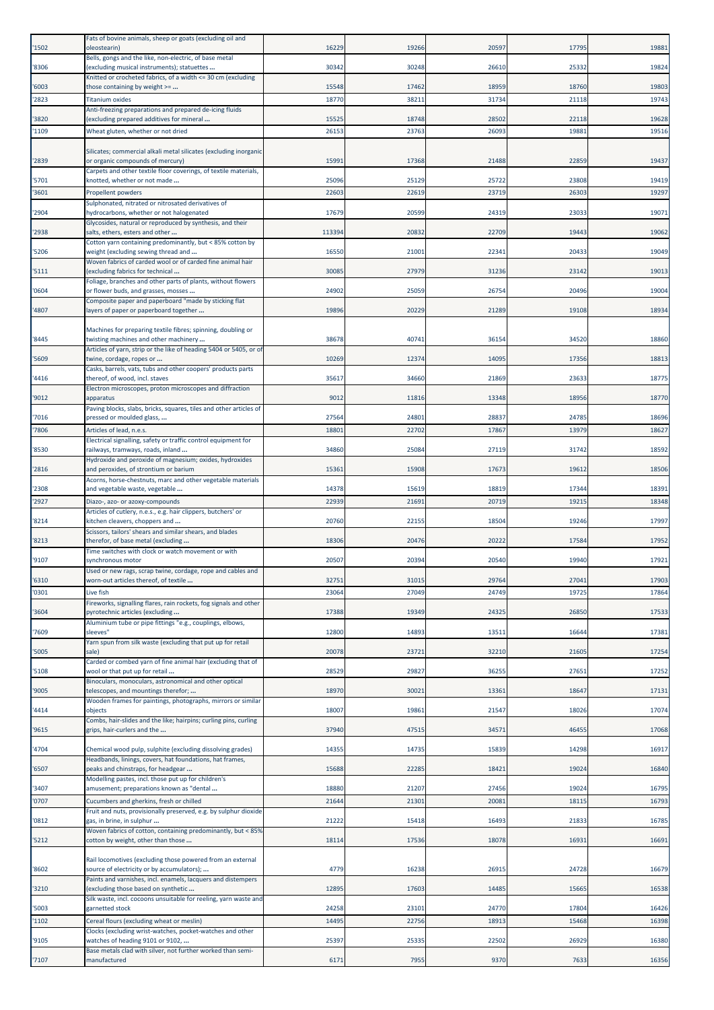| '1502          | Fats of bovine animals, sheep or goats (excluding oil and<br>oleostearin)                                | 16229          | 19266          | 20597          | 17795          | 19881          |
|----------------|----------------------------------------------------------------------------------------------------------|----------------|----------------|----------------|----------------|----------------|
| '8306          | Bells, gongs and the like, non-electric, of base metal<br>(excluding musical instruments); statuettes    | 30342          | 30248          | 26610          | 25332          | 19824          |
| '6003          | Knitted or crocheted fabrics, of a width <= 30 cm (excluding<br>those containing by weight >=            | 15548          | 17462          | 18959          | 18760          | 19803          |
| '2823          | <b>Titanium oxides</b>                                                                                   | 18770          | 38211          | 31734          | 21118          | 19743          |
| '3820          | Anti-freezing preparations and prepared de-icing fluids<br>(excluding prepared additives for mineral     | 15525          | 18748          | 28502          | 22118          | 19628          |
| '1109          | Wheat gluten, whether or not dried                                                                       | 26153          | 23763          | 26093          | 1988           | 19516          |
| '2839          | Silicates; commercial alkali metal silicates (excluding inorganic<br>or organic compounds of mercury)    | 1599           | 17368          | 21488          | 22859          | 19437          |
| '5701          | Carpets and other textile floor coverings, of textile materials,<br>knotted, whether or not made         | 25096          | 25129          | 25722          | 23808          | 19419          |
| '3601          | Propellent powders<br>Sulphonated, nitrated or nitrosated derivatives of                                 | 22603          | 22619          | 23719          | 26303          | 19297          |
| '2904          | hydrocarbons, whether or not halogenated<br>Glycosides, natural or reproduced by synthesis, and their    | 17679          | 20599          | 24319          | 23033          | 19071          |
| '2938          | salts, ethers, esters and other                                                                          | 113394         | 20832          | 22709          | 19443          | 19062          |
| '5206          | Cotton yarn containing predominantly, but < 85% cotton by<br>weight (excluding sewing thread and         | 16550          | 21001          | 22341          | 20433          | 19049          |
| '5111          | Woven fabrics of carded wool or of carded fine animal hair<br>(excluding fabrics for technical           | 3008           | 27979          | 31236          | 23142          | 19013          |
| '0604          | Foliage, branches and other parts of plants, without flowers<br>or flower buds, and grasses, mosses      | 24902          | 25059          | 26754          | 20496          | 19004          |
| '4807          | Composite paper and paperboard "made by sticking flat<br>ayers of paper or paperboard together           | 19896          | 20229          | 21289          | 19108          | 18934          |
|                | Machines for preparing textile fibres; spinning, doubling or                                             |                |                |                |                |                |
| '8445          | twisting machines and other machinery                                                                    | 38678          | 40741          | 36154          | 34520          | 18860          |
| '5609          | Articles of yarn, strip or the like of heading 5404 or 5405, or of<br>twine, cordage, ropes or           | 10269          | 12374          | 14095          | 17356          | 18813          |
| '4416          | Casks, barrels, vats, tubs and other coopers' products parts<br>thereof, of wood, incl. staves           | 35617          | 34660          | 21869          | 23633          | 18775          |
| '9012          | Electron microscopes, proton microscopes and diffraction<br>apparatus                                    | 9012           | 11816          | 13348          | 18956          | 18770          |
| '7016          | Paving blocks, slabs, bricks, squares, tiles and other articles of<br>pressed or moulded glass,          | 27564          | 24801          | 28837          | 24785          | 18696          |
| '7806          | Articles of lead, n.e.s.                                                                                 | 1880           | 22702          | 17867          | 13979          | 18627          |
| '8530          | Electrical signalling, safety or traffic control equipment for<br>railways, tramways, roads, inland      | 34860          | 25084          | 27119          | 31742          | 18592          |
| '2816          | Hydroxide and peroxide of magnesium; oxides, hydroxides<br>and peroxides, of strontium or barium         | 15361          | 15908          | 17673          | 19612          | 18506          |
| '2308          | Acorns, horse-chestnuts, marc and other vegetable materials<br>and vegetable waste, vegetable            | 14378          | 15619          | 18819          | 17344          | 18391          |
| '2927          | Diazo-, azo- or azoxy-compounds<br>Articles of cutlery, n.e.s., e.g. hair clippers, butchers' or         | 22939          | 21691          | 20719          | 19215          | 18348          |
| '8214          | kitchen cleavers, choppers and<br>Scissors, tailors' shears and similar shears, and blades               | 20760          | 22155          | 18504          | 19246          | 17997          |
| '8213          | therefor, of base metal (excluding                                                                       | 18306          | 20476          | 20222          | 17584          | 17952          |
| '9107          | Time switches with clock or watch movement or with<br>synchronous motor                                  | 20507          | 20394          | 20540          | 19940          | 17921          |
| '6310          | Used or new rags, scrap twine, cordage, rope and cables and<br>worn-out articles thereof, of textile     | 32751          | 31015          | 29764          | 27041          | 17903          |
| '0301          | Live fish<br>Fireworks, signalling flares, rain rockets, fog signals and other                           | 23064          | 27049          | 24749          | 1972           | 17864          |
| '3604          | pyrotechnic articles (excluding<br>Aluminium tube or pipe fittings "e.g., couplings, elbows,             | 17388          | 19349          | 24325          | 26850          | 17533          |
| '7609          | sleeves"                                                                                                 | 12800          | 14893          | 13511          | 16644          | 17381          |
| '5005          | Yarn spun from silk waste (excluding that put up for retail<br>sale)                                     | 20078          | 23721          | 32210          | 21605          | 17254          |
| '5108          | Carded or combed yarn of fine animal hair (excluding that of<br>wool or that put up for retail           | 28529          | 29827          | 36255          | 27651          | 17252          |
| '9005          | Binoculars, monoculars, astronomical and other optical<br>telescopes, and mountings therefor;            | 18970          | 30021          | 13361          | 18647          | 17131          |
| '4414          | Wooden frames for paintings, photographs, mirrors or similar<br>objects                                  | 18007          | 19861          | 21547          | 18026          | 17074          |
| '9615          | Combs, hair-slides and the like; hairpins; curling pins, curling<br>grips, hair-curlers and the          | 37940          | 47515          | 3457           | 46455          | 17068          |
| '4704          | Chemical wood pulp, sulphite (excluding dissolving grades)                                               | 14355          | 14735          | 15839          | 14298          | 16917          |
| '6507          | Headbands, linings, covers, hat foundations, hat frames,<br>peaks and chinstraps, for headgear           | 15688          | 22285          | 18421          | 19024          | 16840          |
| '3407          | Modelling pastes, incl. those put up for children's<br>amusement; preparations known as "dental          | 18880          | 21207          | 27456          | 19024          | 16795          |
| '0707          | Cucumbers and gherkins, fresh or chilled                                                                 | 21644          | 21301          | 20081          | 1811           | 16793          |
| '0812          | Fruit and nuts, provisionally preserved, e.g. by sulphur dioxide<br>gas, in brine, in sulphur            | 21222          | 15418          | 16493          | 21833          | 16785          |
| '5212          | Woven fabrics of cotton, containing predominantly, but < 85%<br>cotton by weight, other than those       | 18114          | 17536          | 18078          | 16931          | 16691          |
| '8602          | Rail locomotives (excluding those powered from an external<br>source of electricity or by accumulators); | 4779           | 16238          | 26915          | 24728          | 16679          |
| '3210          | Paints and varnishes, incl. enamels, lacquers and distempers<br>(excluding those based on synthetic      | 12895          | 17603          | 14485          | 15665          | 16538          |
|                | Silk waste, incl. cocoons unsuitable for reeling, yarn waste and                                         |                |                |                |                |                |
| '5003<br>'1102 | garnetted stock<br>Cereal flours (excluding wheat or meslin)                                             | 24258<br>14495 | 23101<br>22756 | 24770<br>18913 | 17804<br>15468 | 16426<br>16398 |
| '9105          | Clocks (excluding wrist-watches, pocket-watches and other<br>watches of heading 9101 or 9102,            | 25397          | 25335          | 22502          | 26929          | 16380          |
| '7107          | Base metals clad with silver, not further worked than semi-<br>manufactured                              | 6171           | 7955           | 9370           | 7633           | 16356          |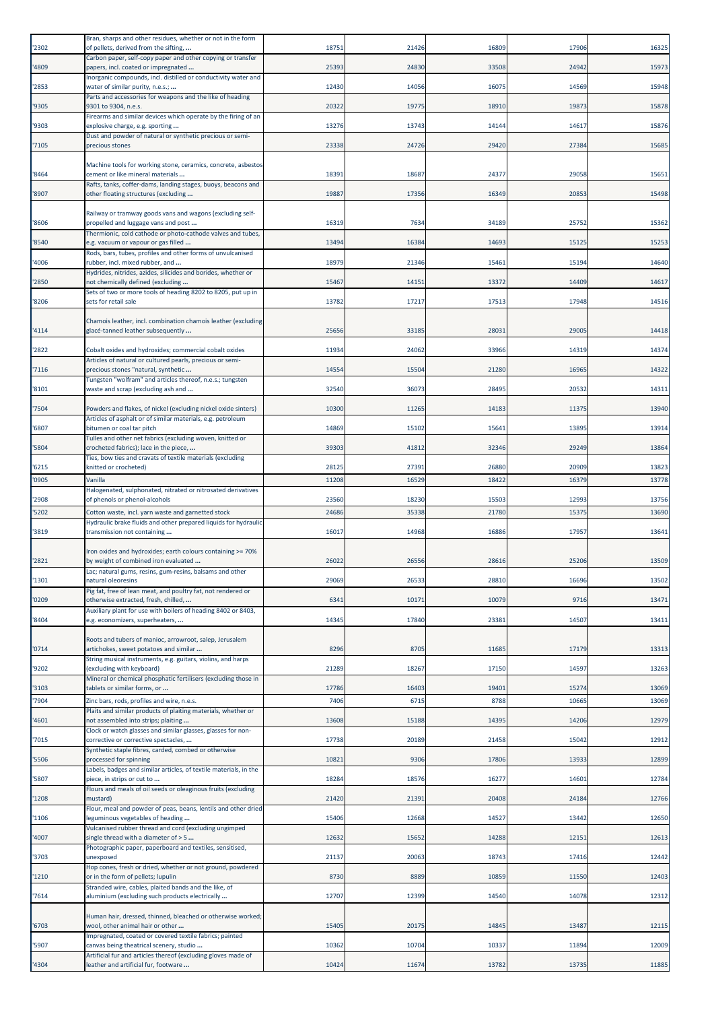| '2302         | Bran, sharps and other residues, whether or not in the form<br>of pellets, derived from the sifting,                          | 18751          | 21426          | 16809          | 17906          | 16325          |
|---------------|-------------------------------------------------------------------------------------------------------------------------------|----------------|----------------|----------------|----------------|----------------|
| 4809          | Carbon paper, self-copy paper and other copying or transfer<br>papers, incl. coated or impregnated                            | 25393          | 24830          | 33508          | 24942          | 15973          |
| '2853         | Inorganic compounds, incl. distilled or conductivity water and<br>water of similar purity, n.e.s.;                            | 12430          | 14056          | 16075          | 14569          | 15948          |
| '9305         | Parts and accessories for weapons and the like of heading<br>9301 to 9304, n.e.s.                                             | 20322          | 19775          | 18910          | 19873          | 15878          |
| '9303         | Firearms and similar devices which operate by the firing of an<br>explosive charge, e.g. sporting                             | 13276          | 13743          | 14144          | 14617          | 15876          |
| 7105          | Dust and powder of natural or synthetic precious or semi-<br>precious stones                                                  | 23338          | 24726          | 29420          | 27384          | 15685          |
|               | Machine tools for working stone, ceramics, concrete, asbestos                                                                 |                |                |                |                |                |
| '8464         | cement or like mineral materials<br>Rafts, tanks, coffer-dams, landing stages, buoys, beacons and                             | 18391          | 1868           | 24377          | 29058          | 15651          |
| '8907         | other floating structures (excluding                                                                                          | 19887          | 17356          | 16349          | 20853          | 15498          |
| '8606         | Railway or tramway goods vans and wagons (excluding self-<br>propelled and luggage vans and post                              | 16319          | 7634           | 34189          | 25752          | 15362          |
| '8540         | Thermionic, cold cathode or photo-cathode valves and tubes,<br>e.g. vacuum or vapour or gas filled                            | 13494          | 16384          | 14693          | 15125          | 15253          |
| 4006          | Rods, bars, tubes, profiles and other forms of unvulcanised<br>rubber, incl. mixed rubber, and                                | 18979          | 21346          | 15461          | 15194          | 14640          |
| '2850         | Hydrides, nitrides, azides, silicides and borides, whether or<br>not chemically defined (excluding                            | 15467          | 14151          | 13372          | 14409          | 14617          |
| '8206         | Sets of two or more tools of heading 8202 to 8205, put up in<br>sets for retail sale                                          | 13782          | 17217          | 17513          | 17948          | 14516          |
|               | Chamois leather, incl. combination chamois leather (excluding                                                                 |                |                |                |                |                |
| '4114         | glacé-tanned leather subsequently                                                                                             | 25656          | 33185          | 28031          | 29005          | 14418          |
| '2822         | Cobalt oxides and hydroxides; commercial cobalt oxides<br>Articles of natural or cultured pearls, precious or semi-           | 11934          | 24062          | 33966          | 14319          | 14374          |
| 7116          | precious stones "natural, synthetic<br>Tungsten "wolfram" and articles thereof, n.e.s.; tungsten                              | 14554          | 15504          | 21280          | 16965          | 14322          |
| '8101         | waste and scrap (excluding ash and                                                                                            | 32540          | 36073          | 28495          | 20532          | 14311          |
| 7504          | Powders and flakes, of nickel (excluding nickel oxide sinters)<br>Articles of asphalt or of similar materials, e.g. petroleum | 10300          | 11265          | 14183          | 11375          | 13940          |
| '6807         | bitumen or coal tar pitch<br>Tulles and other net fabrics (excluding woven, knitted or                                        | 14869          | 15102          | 15641          | 13895          | 13914          |
| 5804          | crocheted fabrics); lace in the piece,<br>Ties, bow ties and cravats of textile materials (excluding                          | 39303          | 41812          | 32346          | 29249          | 13864          |
| 6215          | knitted or crocheted)                                                                                                         | 28125          | 27391          | 26880          | 20909          | 13823          |
| 0905          | Vanilla<br>Halogenated, sulphonated, nitrated or nitrosated derivatives                                                       | 11208          | 16529          | 18422          | 16379          | 13778          |
| '2908<br>5202 | of phenols or phenol-alcohols<br>Cotton waste, incl. yarn waste and garnetted stock                                           | 23560<br>24686 | 18230<br>35338 | 15503<br>21780 | 12993<br>15375 | 13756<br>13690 |
|               | Hydraulic brake fluids and other prepared liquids for hydraulic                                                               |                |                |                |                |                |
| 3819          | transmission not containing                                                                                                   | 16017          | 14968          | 16886          | 17957          | 13641          |
| '2821         | Iron oxides and hydroxides; earth colours containing >= 70%<br>by weight of combined iron evaluated                           | 26022          | 26556          | 28616          | 25206          | 13509          |
| '1301         | Lac; natural gums, resins, gum-resins, balsams and other<br>natural oleoresins                                                | 29069          | 26533          | 28810          | 16696          | 13502          |
| '0209         | Pig fat, free of lean meat, and poultry fat, not rendered or<br>otherwise extracted, fresh, chilled,                          | 6341           | 10171          | 10079          | 9716           | 13471          |
| '8404         | Auxiliary plant for use with boilers of heading 8402 or 8403,<br>e.g. economizers, superheaters,                              | 14345          | 17840          | 23381          | 14507          | 13411          |
|               | Roots and tubers of manioc, arrowroot, salep, Jerusalem                                                                       |                |                |                |                |                |
| '0714         | artichokes, sweet potatoes and similar<br>String musical instruments, e.g. guitars, violins, and harps                        | 8296           | 8705           | 11685          | 17179          | 13313          |
| '9202         | (excluding with keyboard)<br>Mineral or chemical phosphatic fertilisers (excluding those in                                   | 21289          | 18267          | 17150          | 14597          | 13263          |
| '3103<br>7904 | tablets or similar forms, or<br>Zinc bars, rods, profiles and wire, n.e.s.                                                    | 17786<br>7406  | 16403<br>6715  | 19401<br>8788  | 15274<br>10665 | 13069<br>13069 |
|               | Plaits and similar products of plaiting materials, whether or                                                                 |                |                |                |                |                |
| 4601          | not assembled into strips; plaiting<br>Clock or watch glasses and similar glasses, glasses for non-                           | 13608          | 15188          | 14395          | 14206          | 12979          |
| 7015          | corrective or corrective spectacles,<br>Synthetic staple fibres, carded, combed or otherwise                                  | 17738          | 20189          | 21458          | 15042          | 12912          |
| '5506         | processed for spinning<br>Labels, badges and similar articles, of textile materials, in the                                   | 10821          | 9306           | 17806          | 13933          | 12899          |
| 5807          | piece, in strips or cut to<br>Flours and meals of oil seeds or oleaginous fruits (excluding                                   | 18284          | 18576          | 16277          | 14601          | 12784          |
| '1208         | mustard)<br>Flour, meal and powder of peas, beans, lentils and other dried                                                    | 21420          | 21391          | 20408          | 24184          | 12766          |
| '1106         | eguminous vegetables of heading                                                                                               | 15406          | 12668          | 14527          | 13442          | 12650          |
| 4007          | Vulcanised rubber thread and cord (excluding ungimped<br>single thread with a diameter of $>$ 5                               | 12632          | 15652          | 14288          | 12151          | 12613          |
| '3703         | Photographic paper, paperboard and textiles, sensitised,<br>unexposed                                                         | 21137          | 20063          | 18743          | 17416          | 12442          |
| 1210          | Hop cones, fresh or dried, whether or not ground, powdered<br>or in the form of pellets; lupulin                              | 8730           | 8889           | 10859          | 11550          | 12403          |
| 7614          | Stranded wire, cables, plaited bands and the like, of<br>aluminium (excluding such products electrically                      | 12707          | 12399          | 14540          | 14078          | 12312          |
|               | Human hair, dressed, thinned, bleached or otherwise worked;                                                                   |                |                |                |                |                |
| '6703         | wool, other animal hair or other<br>Impregnated, coated or covered textile fabrics; painted                                   | 15405          | 20175          | 14845          | 13487          | 12115          |
| 5907          | canvas being theatrical scenery, studio<br>Artificial fur and articles thereof (excluding gloves made of                      | 10362          | 10704          | 10337          | 11894          | 12009          |
| '4304         | eather and artificial fur, footware                                                                                           | 10424          | 11674          | 13782          | 13735          | 11885          |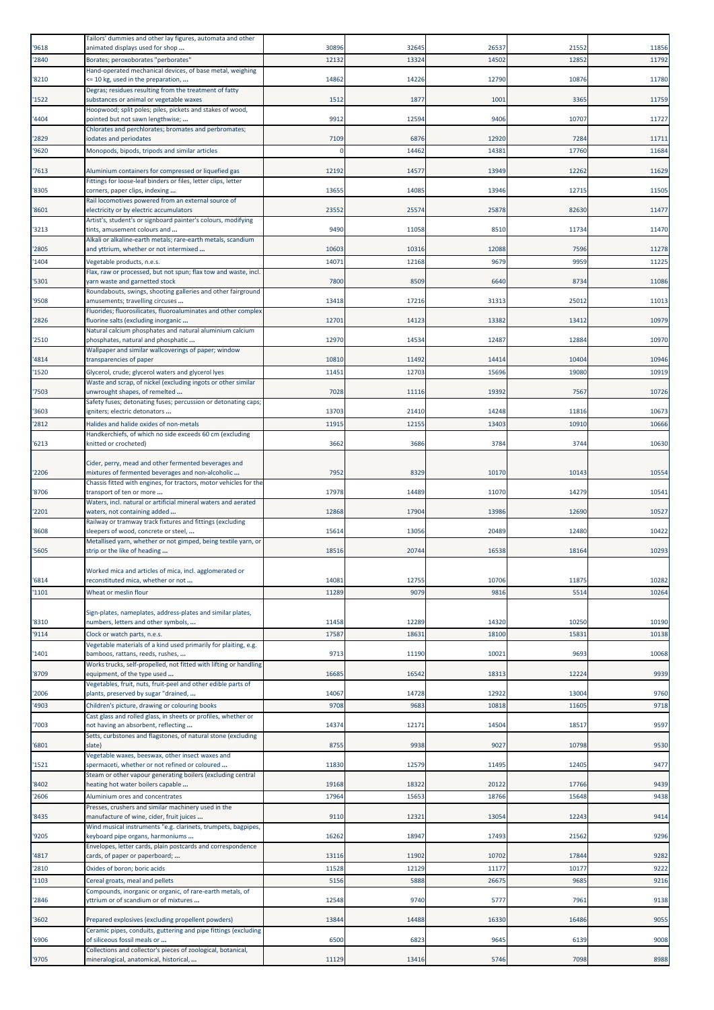| '9618 | Tailors' dummies and other lay figures, automata and other<br>animated displays used for shop                          | 30896     | 32645 | 26537 | 21552 | 11856 |
|-------|------------------------------------------------------------------------------------------------------------------------|-----------|-------|-------|-------|-------|
| '2840 | Borates; peroxoborates "perborates"                                                                                    | 12132     | 13324 | 14502 | 12852 | 11792 |
|       | Hand-operated mechanical devices, of base metal, weighing                                                              |           |       |       |       |       |
| '8210 | <= 10 kg, used in the preparation,<br>Degras; residues resulting from the treatment of fatty                           | 14862     | 14226 | 12790 | 10876 | 11780 |
| '1522 | substances or animal or vegetable waxes                                                                                | 1512      | 1877  | 1001  | 3365  | 11759 |
| '4404 | Hoopwood; split poles; piles, pickets and stakes of wood,<br>pointed but not sawn lengthwise;                          | 9912      | 12594 | 9406  | 10707 | 11727 |
|       | Chlorates and perchlorates; bromates and perbromates;                                                                  |           |       |       |       |       |
| '2829 | iodates and periodates                                                                                                 | 7109<br>C | 6876  | 12920 | 7284  | 11711 |
| '9620 | Monopods, bipods, tripods and similar articles                                                                         |           | 14462 | 14381 | 17760 | 11684 |
| '7613 | Aluminium containers for compressed or liquefied gas                                                                   | 12192     | 14577 | 13949 | 12262 | 11629 |
| '8305 | Fittings for loose-leaf binders or files, letter clips, letter<br>corners, paper clips, indexing                       | 13655     | 14085 | 13946 | 12715 | 11505 |
|       | Rail locomotives powered from an external source of                                                                    |           |       |       |       |       |
| '8601 | electricity or by electric accumulators<br>Artist's, student's or signboard painter's colours, modifying               | 23552     | 25574 | 25878 | 82630 | 11477 |
| '3213 | tints, amusement colours and                                                                                           | 9490      | 11058 | 8510  | 11734 | 11470 |
| '2805 | Alkali or alkaline-earth metals; rare-earth metals, scandium<br>and yttrium, whether or not intermixed                 | 10603     | 10316 | 12088 | 7596  | 11278 |
| '1404 | Vegetable products, n.e.s.                                                                                             | 1407      | 12168 | 9679  | 9959  | 11225 |
| '5301 | Flax, raw or processed, but not spun; flax tow and waste, incl.<br>varn waste and garnetted stock                      | 7800      | 8509  | 6640  | 8734  | 11086 |
|       | Roundabouts, swings, shooting galleries and other fairground                                                           |           |       |       |       |       |
| '9508 | amusements; travelling circuses                                                                                        | 13418     | 17216 | 31313 | 25012 | 11013 |
| '2826 | Fluorides; fluorosilicates, fluoroaluminates and other complex<br>fluorine salts (excluding inorganic                  | 12701     | 14123 | 13382 | 13412 | 10979 |
|       | Natural calcium phosphates and natural aluminium calcium                                                               | 12970     | 14534 | 12487 | 12884 | 10970 |
| '2510 | phosphates, natural and phosphatic<br>Wallpaper and similar wallcoverings of paper; window                             |           |       |       |       |       |
| '4814 | transparencies of paper                                                                                                | 10810     | 11492 | 14414 | 10404 | 10946 |
| '1520 | Glycerol, crude; glycerol waters and glycerol lyes<br>Waste and scrap, of nickel (excluding ingots or other similar    | 11451     | 12703 | 15696 | 19080 | 10919 |
| '7503 | unwrought shapes, of remelted                                                                                          | 7028      | 11116 | 19392 | 7567  | 10726 |
| '3603 | Safety fuses; detonating fuses; percussion or detonating caps;<br>gniters; electric detonators                         | 13703     | 21410 | 14248 | 11816 | 10673 |
| '2812 | Halides and halide oxides of non-metals                                                                                | 11915     | 12155 | 13403 | 10910 | 10666 |
|       | Handkerchiefs, of which no side exceeds 60 cm (excluding                                                               |           |       |       |       |       |
| '6213 | knitted or crocheted)                                                                                                  | 3662      | 3686  | 3784  | 3744  | 10630 |
|       | Cider, perry, mead and other fermented beverages and                                                                   |           |       |       |       |       |
| '2206 | mixtures of fermented beverages and non-alcoholic<br>Chassis fitted with engines, for tractors, motor vehicles for the | 7952      | 8329  | 10170 | 10143 | 10554 |
| '8706 | transport of ten or more                                                                                               | 17978     | 14489 | 11070 | 14279 | 10541 |
| '2201 | Waters, incl. natural or artificial mineral waters and aerated<br>waters, not containing added                         | 12868     | 17904 | 13986 | 12690 | 10527 |
|       | Railway or tramway track fixtures and fittings (excluding                                                              |           |       |       |       |       |
| '8608 | sleepers of wood, concrete or steel,<br>Metallised yarn, whether or not gimped, being textile yarn, or                 | 15614     | 13056 | 20489 | 12480 | 10422 |
| '5605 | strip or the like of heading                                                                                           | 18516     | 20744 | 16538 | 18164 | 10293 |
|       | Worked mica and articles of mica, incl. agglomerated or                                                                |           |       |       |       |       |
| '6814 | reconstituted mica, whether or not                                                                                     | 14081     | 12755 | 10706 | 11875 | 10282 |
| '1101 | Wheat or meslin flour                                                                                                  | 11289     | 9079  | 9816  | 5514  | 10264 |
|       | Sign-plates, nameplates, address-plates and similar plates,                                                            |           |       |       |       |       |
| '8310 | numbers, letters and other symbols,                                                                                    | 11458     | 12289 | 14320 | 10250 | 10190 |
| '9114 | Clock or watch parts, n.e.s.<br>Vegetable materials of a kind used primarily for plaiting, e.g.                        | 17587     | 18631 | 18100 | 1583  | 10138 |
| '1401 | bamboos, rattans, reeds, rushes,                                                                                       | 9713      | 11190 | 10021 | 9693  | 10068 |
| '8709 | Works trucks, self-propelled, not fitted with lifting or handling<br>equipment, of the type used                       | 1668      | 16542 | 18313 | 12224 | 9939  |
|       | Vegetables, fruit, nuts, fruit-peel and other edible parts of                                                          |           |       |       |       |       |
| '2006 | plants, preserved by sugar "drained,                                                                                   | 14067     | 14728 | 12922 | 13004 | 9760  |
| '4903 | Children's picture, drawing or colouring books<br>Cast glass and rolled glass, in sheets or profiles, whether or       | 9708      | 9683  | 10818 | 1160  | 9718  |
| '7003 | not having an absorbent, reflecting                                                                                    | 14374     | 12171 | 14504 | 18517 | 9597  |
| '6801 | Setts, curbstones and flagstones, of natural stone (excluding<br>slate)                                                | 8755      | 9938  | 9027  | 10798 | 9530  |
|       | Vegetable waxes, beeswax, other insect waxes and                                                                       |           |       |       |       |       |
| '1521 | spermaceti, whether or not refined or coloured<br>Steam or other vapour generating boilers (excluding central          | 11830     | 12579 | 11495 | 12405 | 9477  |
| '8402 | heating hot water boilers capable                                                                                      | 19168     | 18322 | 20122 | 17766 | 9439  |
| '2606 | Aluminium ores and concentrates                                                                                        | 17964     | 15653 | 18766 | 15648 | 9438  |
| '8435 | Presses, crushers and similar machinery used in the<br>manufacture of wine, cider, fruit juices                        | 9110      | 12321 | 13054 | 12243 | 9414  |
|       | Wind musical instruments "e.g. clarinets, trumpets, bagpipes,                                                          |           |       |       |       |       |
| '9205 | keyboard pipe organs, harmoniums<br>Envelopes, letter cards, plain postcards and correspondence                        | 16262     | 18947 | 17493 | 21562 | 9296  |
| '4817 | cards, of paper or paperboard;                                                                                         | 13116     | 11902 | 10702 | 17844 | 9282  |
| '2810 | Oxides of boron; boric acids                                                                                           | 11528     | 12129 | 11177 | 10177 | 9222  |
| '1103 | Cereal groats, meal and pellets<br>Compounds, inorganic or organic, of rare-earth metals, of                           | 5156      | 5888  | 26675 | 9685  | 9216  |
| '2846 | vttrium or of scandium or of mixtures                                                                                  | 12548     | 9740  | 5777  | 7961  | 9138  |
| '3602 | Prepared explosives (excluding propellent powders)                                                                     | 13844     | 14488 | 16330 | 16486 | 9055  |
|       | Ceramic pipes, conduits, guttering and pipe fittings (excluding                                                        |           |       |       |       |       |
| '6906 | of siliceous fossil meals or<br>Collections and collector's pieces of zoological, botanical,                           | 6500      | 6823  | 9645  | 6139  | 9008  |
| '9705 | mineralogical, anatomical, historical,                                                                                 | 11129     | 13416 | 5746  | 7098  | 8988  |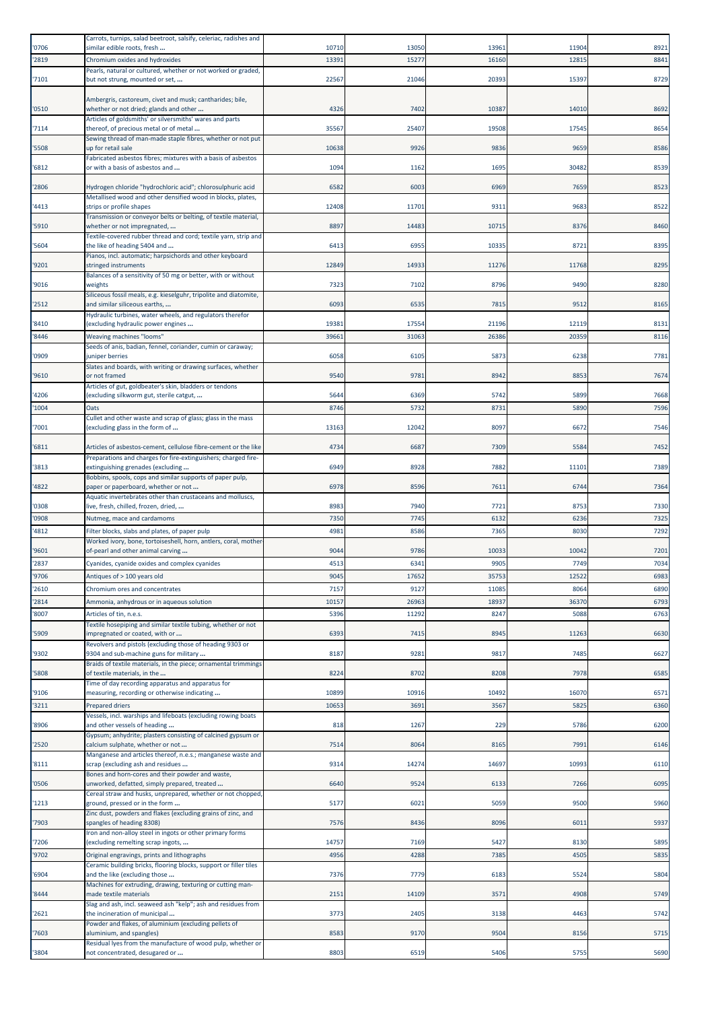| '0706          | Carrots, turnips, salad beetroot, salsify, celeriac, radishes and<br>similar edible roots, fresh    | 10710        | 13050            | 13961         | 11904         | 8921         |
|----------------|-----------------------------------------------------------------------------------------------------|--------------|------------------|---------------|---------------|--------------|
| '2819          | Chromium oxides and hydroxides                                                                      | 13391        | 15277            | 16160         | 1281          | 8841         |
|                | Pearls, natural or cultured, whether or not worked or graded,                                       |              |                  |               |               |              |
| '7101          | but not strung, mounted or set,                                                                     | 22567        | 21046            | 20393         | 15397         | 8729         |
| '0510          | Ambergris, castoreum, civet and musk; cantharides; bile,<br>whether or not dried; glands and other  | 4326         | 7402             | 10387         | 14010         | 8692         |
| '7114          | Articles of goldsmiths' or silversmiths' wares and parts<br>thereof, of precious metal or of metal  | 35567        | 25407            | 19508         | 17545         | 8654         |
| '5508          | Sewing thread of man-made staple fibres, whether or not put<br>up for retail sale                   | 10638        | 9926             | 9836          | 9659          | 8586         |
| '6812          | Fabricated asbestos fibres; mixtures with a basis of asbestos<br>or with a basis of asbestos and    | 1094         | 1162             | 1695          | 30482         | 8539         |
| '2806          | Hydrogen chloride "hydrochloric acid"; chlorosulphuric acid                                         | 6582         | 6003             | 6969          | 7659          | 8523         |
| '4413          | Metallised wood and other densified wood in blocks, plates,<br>strips or profile shapes             | 12408        | 11701            | 9311          | 9683          | 8522         |
| '5910          | Transmission or conveyor belts or belting, of textile material,<br>whether or not impregnated,      | 8897         | 14483            | 10715         | 8376          | 8460         |
| '5604          | Textile-covered rubber thread and cord; textile yarn, strip and<br>the like of heading 5404 and     | 6413         | 6955             | 10335         | 8721          | 8395         |
| '9201          | Pianos, incl. automatic; harpsichords and other keyboard<br>stringed instruments                    | 12849        | 14933            | 11276         | 11768         | 8295         |
| '9016          | Balances of a sensitivity of 50 mg or better, with or without<br>weights                            | 7323         | 7102             | 8796          | 9490          | 8280         |
|                | Siliceous fossil meals, e.g. kieselguhr, tripolite and diatomite,                                   |              |                  |               |               |              |
| '2512          | and similar siliceous earths,<br>Hydraulic turbines, water wheels, and regulators therefor          | 6093         | 6535             | 7815          | 9512          | 8165         |
| '8410          | (excluding hydraulic power engines                                                                  | 19381        | 17554            | 21196         | 12119         | 8131         |
| '8446          | Weaving machines "looms"<br>Seeds of anis, badian, fennel, coriander, cumin or caraway;             | 39661        | 31063            | 26386         | 20359         | 8116         |
| '0909          | juniper berries<br>Slates and boards, with writing or drawing surfaces, whether                     | 6058         | 6105             | 5873          | 6238          | 7781         |
| '9610          | or not framed<br>Articles of gut, goldbeater's skin, bladders or tendons                            | 9540         | 9781             | 8942          | 8853          | 7674         |
| '4206          | excluding silkworm gut, sterile catgut,                                                             | 5644         | 6369             | 5742          | 5899          | 7668         |
| '1004          | Oats                                                                                                | 8746         | 5732             | 8731          | 5890          | 7596         |
| '7001          | Cullet and other waste and scrap of glass; glass in the mass<br>excluding glass in the form of      | 13163        | 12042            | 8097          | 6672          | 7546         |
| '6811          | Articles of asbestos-cement, cellulose fibre-cement or the like                                     | 4734         | 6687             | 7309          | 5584          | 7452         |
| '3813          | Preparations and charges for fire-extinguishers; charged fire-<br>extinguishing grenades (excluding | 6949         | 8928             | 7882          | 11101         | 7389         |
| '4822          | Bobbins, spools, cops and similar supports of paper pulp,<br>paper or paperboard, whether or not    | 6978         | 8596             | 7611          | 6744          | 7364         |
| '0308          | Aquatic invertebrates other than crustaceans and molluscs,<br>ive, fresh, chilled, frozen, dried,   | 8983         | 7940             | 7721          | 8753          | 7330         |
| '0908          | Nutmeg, mace and cardamoms                                                                          | 7350         | 7745             | 6132          | 6236          | 7325         |
| '4812          | Filter blocks, slabs and plates, of paper pulp                                                      | 4981         | 8586             | 7365          | 8030          | 7292         |
|                | Worked ivory, bone, tortoiseshell, horn, antlers, coral, mother                                     |              |                  |               |               |              |
| '9601<br>'2837 | of-pearl and other animal carving<br>Cyanides, cyanide oxides and complex cyanides                  | 9044<br>4513 | 9786<br>6341     | 10033<br>9905 | 10042<br>7749 | 7201<br>7034 |
| '9706          | Antiques of > 100 years old                                                                         | 9045         | 17652            | 35753         | 12522         | 6983         |
| '2610          | Chromium ores and concentrates                                                                      | 7157         | 9127             | 11085         | 8064          | 6890         |
| '2814          | Ammonia, anhydrous or in aqueous solution                                                           | 10157        | 26963            | 18937         | 36370         | 6793         |
| '8007          | Articles of tin, n.e.s.                                                                             | 5396         | 11292            | 8247          | 5088          | 6763         |
| '5909          | Textile hosepiping and similar textile tubing, whether or not<br>impregnated or coated, with or     | 6393         | 7415             | 8945          | 11263         | 6630         |
| '9302          | Revolvers and pistols (excluding those of heading 9303 or<br>9304 and sub-machine guns for military | 8187         | 9281             | 9817          | 7485          | 6627         |
|                | Braids of textile materials, in the piece; ornamental trimmings                                     |              |                  |               |               |              |
| '5808          | of textile materials, in the<br>Time of day recording apparatus and apparatus for                   | 8224         | 8702             | 8208          | 7978          | 6585         |
| '9106          | measuring, recording or otherwise indicating                                                        | 10899        | 10916            | 10492         | 16070         | 6571         |
| '3211          | <b>Prepared driers</b><br>Vessels, incl. warships and lifeboats (excluding rowing boats             | 10653        | 3691             | 3567          | 5825          | 6360         |
| '8906          | and other vessels of heading                                                                        | 818          | 1267             | 229           | 5786          | 6200         |
| '2520          | Gypsum; anhydrite; plasters consisting of calcined gypsum or<br>calcium sulphate, whether or not    | 7514         | 8064             | 8165          | 7991          | 6146         |
| '8111          | Manganese and articles thereof, n.e.s.; manganese waste and<br>scrap (excluding ash and residues    | 9314         | 14274            | 14697         | 10993         | 6110         |
| '0506          | Bones and horn-cores and their powder and waste,<br>unworked, defatted, simply prepared, treated    | 6640         | 9524             | 6133          | 7266          | 6095         |
| '1213          | Cereal straw and husks, unprepared, whether or not chopped<br>ground, pressed or in the form        | 5177         | 6021             | 5059          | 9500          | 5960         |
| '7903          | Zinc dust, powders and flakes (excluding grains of zinc, and<br>spangles of heading 8308)           | 7576         | 8436             | 8096          | 6011          | 5937         |
| '7206          | Iron and non-alloy steel in ingots or other primary forms<br>excluding remelting scrap ingots,      | 14757        | 7169             | 5427          | 8130          | 5895         |
| '9702          | Original engravings, prints and lithographs                                                         | 4956         | 4288             | 7385          | 4505          | 5835         |
| '6904          | Ceramic building bricks, flooring blocks, support or filler tiles<br>and the like (excluding those  | 7376         | 777 <sub>9</sub> | 6183          | 5524          | 5804         |
| '8444          | Machines for extruding, drawing, texturing or cutting man-<br>made textile materials                | 2151         | 14109            | 3571          | 4908          | 5749         |
| '2621          | Slag and ash, incl. seaweed ash "kelp"; ash and residues from<br>the incineration of municipal      | 3773         | 2405             | 3138          | 4463          | 5742         |
| '7603          | Powder and flakes, of aluminium (excluding pellets of<br>aluminium, and spangles)                   | 8583         | 9170             | 9504          | 8156          | 5715         |
|                | Residual lyes from the manufacture of wood pulp, whether or<br>not concentrated, desugared or       | 8803         | 6519             | 5406          | 5755          | 5690         |
| '3804          |                                                                                                     |              |                  |               |               |              |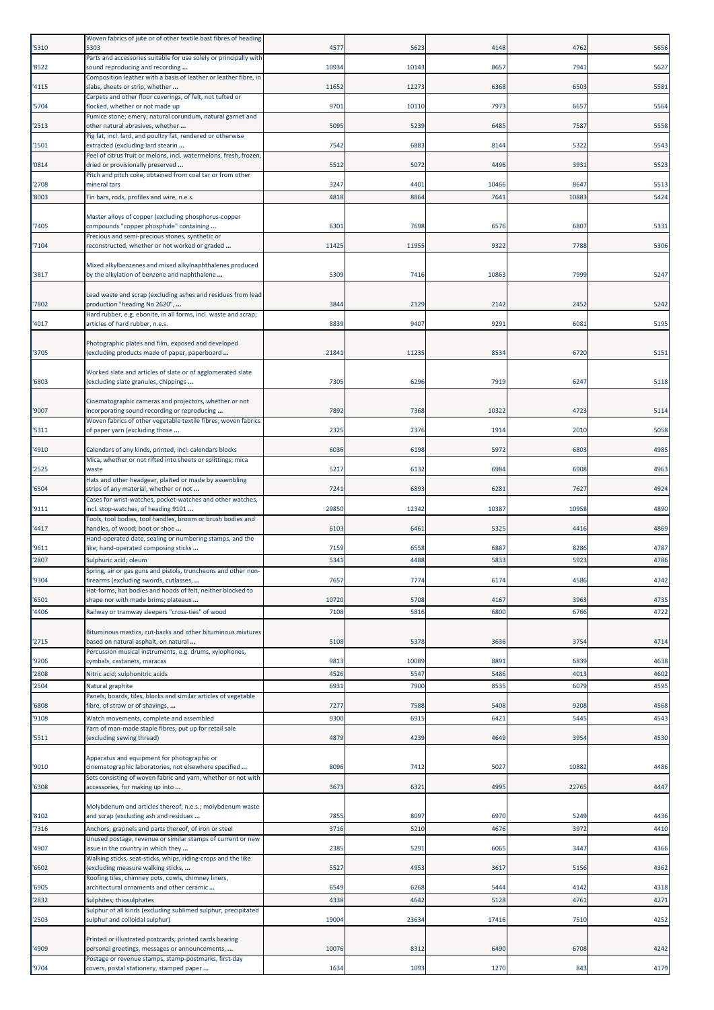| '5310          | Woven fabrics of jute or of other textile bast fibres of heading<br>5303                                                                           | 4577          | 5623         | 4148         | 4762         | 5656         |
|----------------|----------------------------------------------------------------------------------------------------------------------------------------------------|---------------|--------------|--------------|--------------|--------------|
| '8522          | Parts and accessories suitable for use solely or principally with<br>sound reproducing and recording                                               | 10934         | 10143        | 8657         | 7941         | 5627         |
| '4115          | Composition leather with a basis of leather or leather fibre, in<br>slabs, sheets or strip, whether                                                | 11652         | 12273        | 6368         | 6503         | 5581         |
|                | Carpets and other floor coverings, of felt, not tufted or                                                                                          |               |              |              |              |              |
| '5704          | flocked, whether or not made up<br>Pumice stone; emery; natural corundum, natural garnet and                                                       | 9701          | 10110        | 7973         | 6657         | 5564         |
| '2513          | other natural abrasives, whether<br>Pig fat, incl. lard, and poultry fat, rendered or otherwise                                                    | 5095          | 5239         | 6485         | 7587         | 5558         |
| '1501          | extracted (excluding lard stearin<br>Peel of citrus fruit or melons, incl. watermelons, fresh, frozen,                                             | 7542          | 6883         | 8144         | 5322         | 5543         |
| '0814          | dried or provisionally preserved<br>Pitch and pitch coke, obtained from coal tar or from other                                                     | 5512          | 5072         | 4496         | 3931         | 5523         |
| '2708          | mineral tars                                                                                                                                       | 3247          | 4401         | 10466        | 8647         | 5513         |
| '8003          | Tin bars, rods, profiles and wire, n.e.s.                                                                                                          | 4818          | 8864         | 7641         | 10883        | 5424         |
| '7405          | Master alloys of copper (excluding phosphorus-copper<br>compounds "copper phosphide" containing<br>Precious and semi-precious stones, synthetic or | 630           | 7698         | 6576         | 6807         | 5331         |
| '7104          | reconstructed, whether or not worked or graded                                                                                                     | 11425         | 11955        | 9322         | 7788         | 5306         |
| '3817          | Mixed alkylbenzenes and mixed alkylnaphthalenes produced<br>by the alkylation of benzene and naphthalene                                           | 5309          | 7416         | 10863        | 7999         | 5247         |
|                | Lead waste and scrap (excluding ashes and residues from lead                                                                                       |               |              |              |              |              |
| '7802          | production "heading No 2620",                                                                                                                      | 3844          | 2129         | 2142         | 2452         | 5242         |
| '4017          | Hard rubber, e.g. ebonite, in all forms, incl. waste and scrap;<br>articles of hard rubber, n.e.s.                                                 | 8839          | 9407         | 9291         | 6081         | 5195         |
|                | Photographic plates and film, exposed and developed                                                                                                |               |              |              |              |              |
| '3705          | (excluding products made of paper, paperboard                                                                                                      | 21841         | 11235        | 8534         | 6720         | 5151         |
| '6803          | Worked slate and articles of slate or of agglomerated slate<br>(excluding slate granules, chippings                                                | 7305          | 6296         | <b>7919</b>  | 6247         | 5118         |
| '9007          | Cinematographic cameras and projectors, whether or not<br>incorporating sound recording or reproducing                                             | 7892          | 7368         | 10322        | 4723         | 5114         |
| '5311          | Woven fabrics of other vegetable textile fibres; woven fabrics<br>of paper yarn (excluding those                                                   | 2325          | 2376         | 1914         | 2010         | 5058         |
| '4910          | Calendars of any kinds, printed, incl. calendars blocks                                                                                            | 6036          | 6198         | 5972         | 6803         | 4985         |
| '2525          | Mica, whether or not rifted into sheets or splittings; mica<br>waste                                                                               | 5217          | 6132         | 6984         | 6908         | 4963         |
|                | Hats and other headgear, plaited or made by assembling                                                                                             |               |              |              |              |              |
| '6504          | strips of any material, whether or not<br>Cases for wrist-watches, pocket-watches and other watches,                                               | 7241          | 6893         | 6281         | 7627         | 4924         |
| '9111          | incl. stop-watches, of heading 9101<br>Tools, tool bodies, tool handles, broom or brush bodies and                                                 | 29850         | 12342        | 10387        | 10958        | 4890         |
| '4417          | nandles, of wood; boot or shoe<br>Hand-operated date, sealing or numbering stamps, and the                                                         | 6103          | 6461         | 5325         | 4416         | 4869         |
| '9611          | like; hand-operated composing sticks                                                                                                               | 7159          | 6558         | 6887         | 8286         | 4787         |
| '2807          | Sulphuric acid; oleum<br>Spring, air or gas guns and pistols, truncheons and other non-                                                            | 5341          | 4488         | 5833         | 5923         | 4786         |
| '9304          | firearms (excluding swords, cutlasses,<br>Hat-forms, hat bodies and hoods of felt, neither blocked to                                              | 7657          | 7774         | 6174         | 4586         | 4742         |
| '6501<br>'4406 | shape nor with made brims; plateaux<br>Railway or tramway sleepers "cross-ties" of wood                                                            | 10720<br>7108 | 5708<br>5816 | 4167<br>6800 | 3963<br>6766 | 4735<br>4722 |
|                |                                                                                                                                                    |               |              |              |              |              |
| '2715          | Bituminous mastics, cut-backs and other bituminous mixtures<br>based on natural asphalt, on natural                                                | 5108          | 5378         | 3636         | 3754         | 4714         |
| '9206          | Percussion musical instruments, e.g. drums, xylophones,<br>cymbals, castanets, maracas                                                             | 9813          | 10089        | 8891         | 6839         | 4638         |
| '2808          | Nitric acid; sulphonitric acids                                                                                                                    | 4526          | 5547         | 5486         | 4013         | 4602         |
| '2504          | Natural graphite<br>Panels, boards, tiles, blocks and similar articles of vegetable                                                                | 6931          | 7900         | 8535         | 6079         | 4595         |
| '6808          | fibre, of straw or of shavings,                                                                                                                    | 7277          | 7588         | 5408         | 9208         | 4568         |
| '9108          | Watch movements, complete and assembled<br>Yarn of man-made staple fibres, put up for retail sale                                                  | 9300          | 6915         | 6421         | 5445         | 4543         |
| '5511          | (excluding sewing thread)                                                                                                                          | 4879          | 4239         | 4649         | 3954         | 4530         |
| '9010          | Apparatus and equipment for photographic or<br>cinematographic laboratories, not elsewhere specified                                               | 8096          | 7412         | 5027         | 10882        | 4486         |
| '6308          | Sets consisting of woven fabric and yarn, whether or not with<br>accessories, for making up into                                                   | 3673          | 6321         | 4995         | 22765        | 4447         |
| '8102          | Molybdenum and articles thereof, n.e.s.; molybdenum waste<br>and scrap (excluding ash and residues                                                 | 7855          | 8097         | 6970         | 5249         | 4436         |
| '7316          | Anchors, grapnels and parts thereof, of iron or steel                                                                                              | 3716          | 5210         | 4676         | 3972         | 4410         |
| '4907          | Unused postage, revenue or similar stamps of current or new<br>issue in the country in which they                                                  | 2385          | 5291         | 6065         | 3447         | 4366         |
| '6602          | Walking sticks, seat-sticks, whips, riding-crops and the like<br>excluding measure walking sticks,                                                 | 5527          | 4953         | 3617         | 5156         | 4362         |
|                | Roofing tiles, chimney pots, cowls, chimney liners,                                                                                                |               |              |              | 4142         |              |
| '6905<br>'2832 | architectural ornaments and other ceramic<br>Sulphites; thiosulphates                                                                              | 6549<br>4338  | 6268<br>4642 | 5444<br>5128 | 4761         | 4318<br>4271 |
| '2503          | Sulphur of all kinds (excluding sublimed sulphur, precipitated<br>sulphur and colloidal sulphur)                                                   | 19004         | 23634        | 17416        | 7510         | 4252         |
|                | Printed or illustrated postcards; printed cards bearing                                                                                            |               |              |              |              |              |
| '4909          | personal greetings, messages or announcements,<br>Postage or revenue stamps, stamp-postmarks, first-day                                            | 10076         | 8312         | 6490         | 6708         | 4242         |
| '9704          | covers, postal stationery, stamped paper                                                                                                           | 1634          | 1093         | 1270         | 843          | 4179         |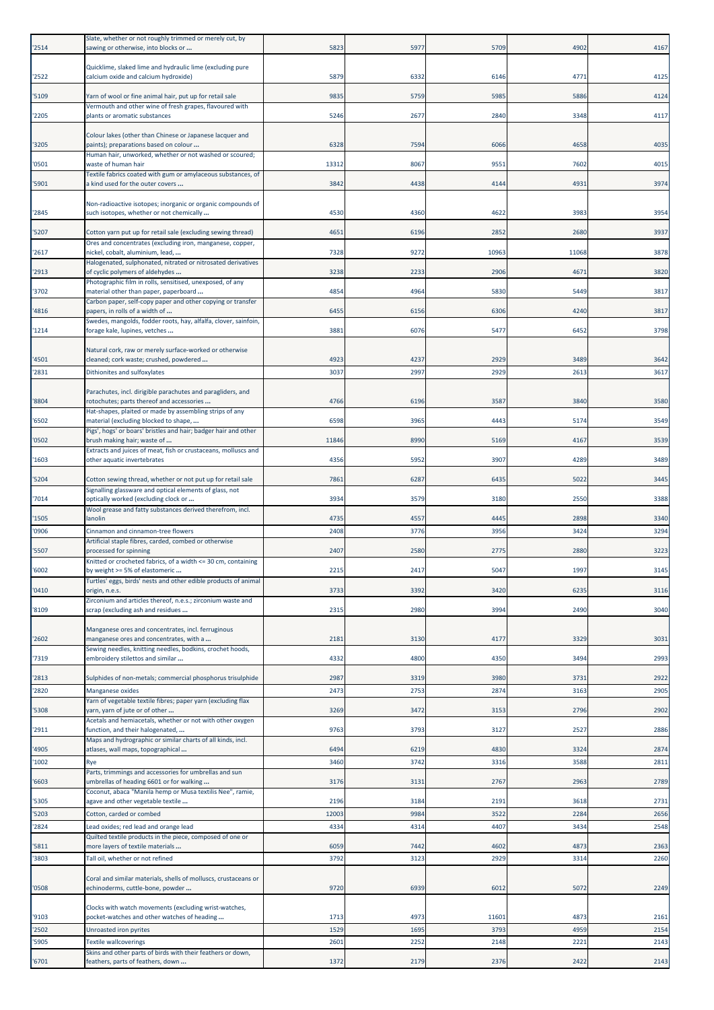| '2514 | Slate, whether or not roughly trimmed or merely cut, by<br>sawing or otherwise, into blocks or           | 5823  | 5977        | 5709  | 4902  | 4167 |
|-------|----------------------------------------------------------------------------------------------------------|-------|-------------|-------|-------|------|
| '2522 | Quicklime, slaked lime and hydraulic lime (excluding pure<br>calcium oxide and calcium hydroxide)        | 5879  | 6332        | 6146  | 4771  | 4125 |
| '5109 | Yarn of wool or fine animal hair, put up for retail sale                                                 | 9835  | 5759        | 5985  | 5886  | 4124 |
|       | Vermouth and other wine of fresh grapes, flavoured with                                                  |       |             |       |       |      |
| '2205 | plants or aromatic substances                                                                            | 5246  | 2677        | 2840  | 3348  | 4117 |
| '3205 | Colour lakes (other than Chinese or Japanese lacquer and<br>paints); preparations based on colour        | 6328  | 7594        | 6066  | 4658  | 4035 |
| '0501 | Human hair, unworked, whether or not washed or scoured;<br>waste of human hair                           | 13312 | 8067        | 9551  | 7602  | 4015 |
| '5901 | Textile fabrics coated with gum or amylaceous substances, of<br>a kind used for the outer covers         | 3842  | 4438        | 4144  | 4931  | 3974 |
| '2845 | Non-radioactive isotopes; inorganic or organic compounds of<br>such isotopes, whether or not chemically  | 4530  | 4360        | 4622  | 3983  | 3954 |
| '5207 | Cotton yarn put up for retail sale (excluding sewing thread)                                             | 4651  | 6196        | 2852  | 2680  | 3937 |
| '2617 | Ores and concentrates (excluding iron, manganese, copper,<br>nickel, cobalt, aluminium, lead,            | 7328  | 9272        | 10963 | 11068 | 3878 |
|       | Halogenated, sulphonated, nitrated or nitrosated derivatives                                             |       |             |       |       |      |
| '2913 | of cyclic polymers of aldehydes<br>Photographic film in rolls, sensitised, unexposed, of any             | 3238  | 2233        | 2906  | 4671  | 3820 |
| '3702 | material other than paper, paperboard<br>Carbon paper, self-copy paper and other copying or transfer     | 4854  | 4964        | 5830  | 5449  | 3817 |
| '4816 | papers, in rolls of a width of                                                                           | 6455  | 6156        | 6306  | 4240  | 3817 |
| '1214 | Swedes, mangolds, fodder roots, hay, alfalfa, clover, sainfoin,<br>forage kale, lupines, vetches         | 3881  | 6076        | 5477  | 6452  | 3798 |
|       | Natural cork, raw or merely surface-worked or otherwise                                                  |       |             |       |       |      |
| '4501 | cleaned; cork waste; crushed, powdered                                                                   | 4923  | 4237        | 2929  | 3489  | 3642 |
| '2831 | Dithionites and sulfoxylates                                                                             | 3037  | 2997        | 2929  | 2613  | 3617 |
| '8804 | Parachutes, incl. dirigible parachutes and paragliders, and<br>rotochutes; parts thereof and accessories | 4766  | 6196        | 3587  | 3840  | 3580 |
| '6502 | Hat-shapes, plaited or made by assembling strips of any<br>material (excluding blocked to shape,         | 6598  | 3965        | 4443  | 5174  | 3549 |
| '0502 | Pigs', hogs' or boars' bristles and hair; badger hair and other<br>brush making hair; waste of           | 11846 | 8990        | 5169  | 4167  | 3539 |
| '1603 | Extracts and juices of meat, fish or crustaceans, molluscs and<br>other aquatic invertebrates            | 4356  | 5952        | 3907  | 4289  | 3489 |
| '5204 | Cotton sewing thread, whether or not put up for retail sale                                              | 7861  | 6287        | 6435  | 5022  | 3445 |
| '7014 | Signalling glassware and optical elements of glass, not<br>optically worked (excluding clock or          | 3934  | 3579        | 3180  | 2550  | 3388 |
| '1505 | Wool grease and fatty substances derived therefrom, incl.<br>lanolin                                     | 4735  | 4557        | 4445  | 2898  | 3340 |
| '0906 | Cinnamon and cinnamon-tree flowers                                                                       | 2408  | 3776        | 3956  | 3424  | 3294 |
| '5507 | Artificial staple fibres, carded, combed or otherwise<br>processed for spinning                          | 2407  | 2580        | 2775  | 2880  | 3223 |
| '6002 | Knitted or crocheted fabrics, of a width <= 30 cm, containing<br>by weight >= 5% of elastomeric          | 2215  | 2417        | 5047  | 1997  | 3145 |
| '0410 | Turtles' eggs, birds' nests and other edible products of animal<br>origin, n.e.s.                        | 3733  | 3392        | 3420  | 6235  | 3116 |
| '8109 | Zirconium and articles thereof, n.e.s.; zirconium waste and<br>scrap (excluding ash and residues         | 2315  | 2980        | 3994  | 2490  | 3040 |
|       |                                                                                                          |       |             |       |       |      |
| '2602 | Manganese ores and concentrates, incl. ferruginous<br>manganese ores and concentrates, with a            | 2181  | 3130        | 4177  | 3329  | 3031 |
| '7319 | Sewing needles, knitting needles, bodkins, crochet hoods,<br>embroidery stilettos and similar            | 4332  | <b>4800</b> | 4350  | 3494  | 2993 |
| '2813 | Sulphides of non-metals; commercial phosphorus trisulphide                                               | 2987  | 3319        | 3980  | 3731  | 2922 |
| '2820 | Manganese oxides                                                                                         | 2473  | 2753        | 2874  | 3163  | 2905 |
| '5308 | Yarn of vegetable textile fibres; paper yarn (excluding flax<br>yarn, yarn of jute or of other           | 3269  | 3472        | 3153  | 2796  | 2902 |
| '2911 | Acetals and hemiacetals, whether or not with other oxygen<br>function, and their halogenated,            | 9763  | 3793        | 3127  | 2527  | 2886 |
| '4905 | Maps and hydrographic or similar charts of all kinds, incl.<br>atlases, wall maps, topographical         | 6494  | 6219        | 4830  | 3324  | 2874 |
| '1002 | Rye                                                                                                      | 3460  | 3742        | 3316  | 3588  | 2811 |
| '6603 | Parts, trimmings and accessories for umbrellas and sun<br>umbrellas of heading 6601 or for walking       | 3176  | 3131        | 2767  | 2963  | 2789 |
| '5305 | Coconut, abaca "Manila hemp or Musa textilis Nee", ramie,<br>agave and other vegetable textile           | 2196  | 3184        | 2191  | 3618  | 2731 |
| '5203 | Cotton, carded or combed                                                                                 | 12003 | 9984        | 3522  | 2284  | 2656 |
| '2824 | Lead oxides; red lead and orange lead<br>Quilted textile products in the piece, composed of one or       | 4334  | 4314        | 4407  | 3434  | 2548 |
| '5811 | more layers of textile materials                                                                         | 6059  | 7442        | 4602  | 4873  | 2363 |
| '3803 | Tall oil, whether or not refined                                                                         | 3792  | 3123        | 2929  | 3314  | 2260 |
| '0508 | Coral and similar materials, shells of molluscs, crustaceans or<br>echinoderms, cuttle-bone, powder      | 9720  | 6939        | 6012  | 5072  | 2249 |
| '9103 | Clocks with watch movements (excluding wrist-watches,<br>pocket-watches and other watches of heading     | 1713  | 4973        | 11601 | 4873  | 2161 |
| '2502 | Unroasted iron pyrites                                                                                   | 1529  | 1695        | 3793  | 4959  | 2154 |
| '5905 | <b>Textile wallcoverings</b><br>Skins and other parts of birds with their feathers or down,              | 2601  | 2252        | 2148  | 2221  | 2143 |
| '6701 | feathers, parts of feathers, down                                                                        | 1372  | 2179        | 2376  | 2422  | 2143 |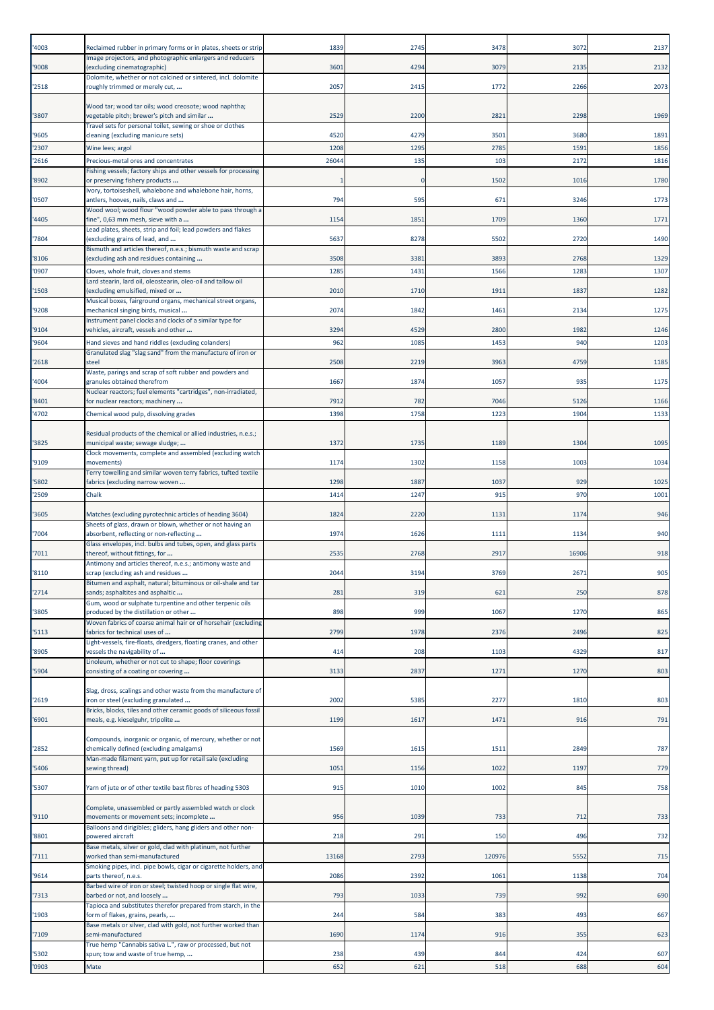| '4003          | Reclaimed rubber in primary forms or in plates, sheets or strip                                          | 1839         | 2745         | 3478             | 3072         | 2137         |
|----------------|----------------------------------------------------------------------------------------------------------|--------------|--------------|------------------|--------------|--------------|
| '9008          | mage projectors, and photographic enlargers and reducers<br>excluding cinematographic)                   | 360          | 4294         | 307 <sup>9</sup> | 2135         | 2132         |
| '2518          | Dolomite, whether or not calcined or sintered, incl. dolomite<br>roughly trimmed or merely cut,          | 2057         | 2415         | 1772             | 2266         | 2073         |
|                |                                                                                                          |              |              |                  |              |              |
| '3807          | Wood tar; wood tar oils; wood creosote; wood naphtha;<br>vegetable pitch; brewer's pitch and similar     | 2529         | 2200         | 2821             | 2298         | 1969         |
| '9605          | Travel sets for personal toilet, sewing or shoe or clothes<br>cleaning (excluding manicure sets)         | 4520         | 4279         | 3501             | 3680         | 1891         |
| '2307          | Wine lees; argol                                                                                         | 1208         | 1295         | 2785             | 1591         | 1856         |
| '2616          | Precious-metal ores and concentrates<br>Fishing vessels; factory ships and other vessels for processing  | 26044        | 135          | 103              | 2172         | 1816         |
| '8902          | or preserving fishery products                                                                           |              | $\epsilon$   | 1502             | 1016         | 1780         |
| '0507          | Ivory, tortoiseshell, whalebone and whalebone hair, horns,<br>antlers, hooves, nails, claws and          | 794          | 595          | 671              | 3246         | 1773         |
| '4405          | Wood wool; wood flour "wood powder able to pass through a<br>fine", 0,63 mm mesh, sieve with a           | 1154         | 1851         | 1709             | 1360         | 1771         |
| '7804          | Lead plates, sheets, strip and foil; lead powders and flakes<br>(excluding grains of lead, and           | 5637         | 8278         | 5502             | 2720         | 1490         |
|                | Bismuth and articles thereof, n.e.s.; bismuth waste and scrap                                            |              |              |                  |              |              |
| '8106<br>'0907 | (excluding ash and residues containing<br>Cloves, whole fruit, cloves and stems                          | 3508<br>1285 | 3381<br>1431 | 3893<br>1566     | 2768<br>1283 | 1329<br>1307 |
| '1503          | Lard stearin, lard oil, oleostearin, oleo-oil and tallow oil<br>excluding emulsified, mixed or           | 2010         | 1710         | 1911             | 1837         | 1282         |
|                | Musical boxes, fairground organs, mechanical street organs,                                              |              |              |                  |              |              |
| '9208          | mechanical singing birds, musical<br>Instrument panel clocks and clocks of a similar type for            | 2074         | 1842         | 1461             | 2134         | 1275         |
| '9104<br>'9604 | vehicles, aircraft, vessels and other<br>Hand sieves and hand riddles (excluding colanders)              | 3294<br>962  | 4529<br>1085 | 2800<br>1453     | 1982<br>940  | 1246<br>1203 |
|                | Granulated slag "slag sand" from the manufacture of iron or                                              |              |              |                  |              |              |
| '2618          | steel<br>Waste, parings and scrap of soft rubber and powders and                                         | 2508         | 2219         | 3963             | 4759         | 1185         |
| '4004          | granules obtained therefrom<br>Nuclear reactors; fuel elements "cartridges", non-irradiated,             | 1667         | 1874         | 1057             | 935          | 1175         |
| '8401          | for nuclear reactors; machinery                                                                          | 7912         | 782          | 7046             | 5126         | 1166         |
| '4702          | Chemical wood pulp, dissolving grades                                                                    | 1398         | 1758         | 1223             | 1904         | 1133         |
| '3825          | Residual products of the chemical or allied industries, n.e.s.;<br>municipal waste; sewage sludge;       | 1372         | 1735         | 1189             | 1304         | 1095         |
| '9109          | Clock movements, complete and assembled (excluding watch<br>movements)                                   | 1174         | 1302         | 1158             | 1003         | 1034         |
|                | Terry towelling and similar woven terry fabrics, tufted textile                                          |              |              |                  |              |              |
| '5802<br>'2509 | fabrics (excluding narrow woven<br>Chalk                                                                 | 1298<br>141  | 1887<br>1247 | 1037<br>915      | 929<br>970   | 1025<br>1001 |
| '3605          | Matches (excluding pyrotechnic articles of heading 3604)                                                 | 1824         | 2220         | 1131             | 1174         | 946          |
|                | Sheets of glass, drawn or blown, whether or not having an                                                |              |              |                  |              |              |
| '7004          | absorbent, reflecting or non-reflecting<br>Glass envelopes, incl. bulbs and tubes, open, and glass parts | 1974         | 1626         | 1111             | 1134         | 940          |
| '7011          | thereof, without fittings, for<br>Antimony and articles thereof, n.e.s.; antimony waste and              | 2535         | 2768         | 2917             | 16906        | 918          |
| '8110          | scrap (excluding ash and residues<br>Bitumen and asphalt, natural; bituminous or oil-shale and tar       | 204          | 3194         | 3769             | 2671         | 905          |
| '2714          | sands; asphaltites and asphaltic                                                                         | 281          | 319          | 621              | 250          | 878          |
| '3805          | Gum, wood or sulphate turpentine and other terpenic oils<br>produced by the distillation or other        | 898          | 999          | 1067             | 1270         | 865          |
| '5113          | Woven fabrics of coarse animal hair or of horsehair (excluding<br>fabrics for technical uses of          | 2799         | 1978         | 2376             | 2496         | 825          |
| '8905          | Light-vessels, fire-floats, dredgers, floating cranes, and other<br>vessels the navigability of          | 414          | 208          | 1103             | 4329         | 817          |
| '5904          | Linoleum, whether or not cut to shape; floor coverings<br>consisting of a coating or covering            | 3133         | 2837         | 1271             | 1270         | 803          |
|                |                                                                                                          |              |              |                  |              |              |
| '2619          | Slag, dross, scalings and other waste from the manufacture of<br>iron or steel (excluding granulated     | 2002         | 5385         | 2277             | 1810         | 803          |
| '6901          | Bricks, blocks, tiles and other ceramic goods of siliceous fossil<br>meals, e.g. kieselguhr, tripolite   | 1199         | 1617         | 1471             | 916          | 791          |
|                | Compounds, inorganic or organic, of mercury, whether or not                                              |              |              |                  |              |              |
| '2852          | chemically defined (excluding amalgams)<br>Man-made filament yarn, put up for retail sale (excluding     | 1569         | 1615         | 151              | 2849         | 787          |
| '5406          | sewing thread)                                                                                           | 105          | 1156         | 1022             | 1197         | 779          |
| '5307          | Yarn of jute or of other textile bast fibres of heading 5303                                             | 915          | 1010         | 1002             | 845          | 758          |
|                | Complete, unassembled or partly assembled watch or clock                                                 |              |              |                  |              |              |
| '9110          | movements or movement sets; incomplete<br>Balloons and dirigibles; gliders, hang gliders and other non-  | 956          | 1039         | 733              | 712          | 733          |
| '8801          | powered aircraft<br>Base metals, silver or gold, clad with platinum, not further                         | 218          | 291          | 150              | 496          | 732          |
| '7111          | worked than semi-manufactured                                                                            | 13168        | 2793         | 120976           | 5552         | 715          |
| '9614          | Smoking pipes, incl. pipe bowls, cigar or cigarette holders, and<br>parts thereof, n.e.s.                | 2086         | 2392         | 1061             | 1138         | 704          |
| '7313          | Barbed wire of iron or steel; twisted hoop or single flat wire,<br>barbed or not, and loosely            | 793          | 1033         | 739              | 992          | 690          |
| '1903          | Tapioca and substitutes therefor prepared from starch, in the<br>form of flakes, grains, pearls,         | 244          | 584          | 383              | 493          | 667          |
| '7109          | Base metals or silver, clad with gold, not further worked than<br>semi-manufactured                      | 1690         | 1174         | 916              | 355          | 623          |
|                | True hemp "Cannabis sativa L.", raw or processed, but not                                                |              |              |                  |              |              |
| '5302<br>'0903 | spun; tow and waste of true hemp,<br>Mate                                                                | 238<br>652   | 439<br>621   | 844<br>518       | 424<br>688   | 607<br>604   |
|                |                                                                                                          |              |              |                  |              |              |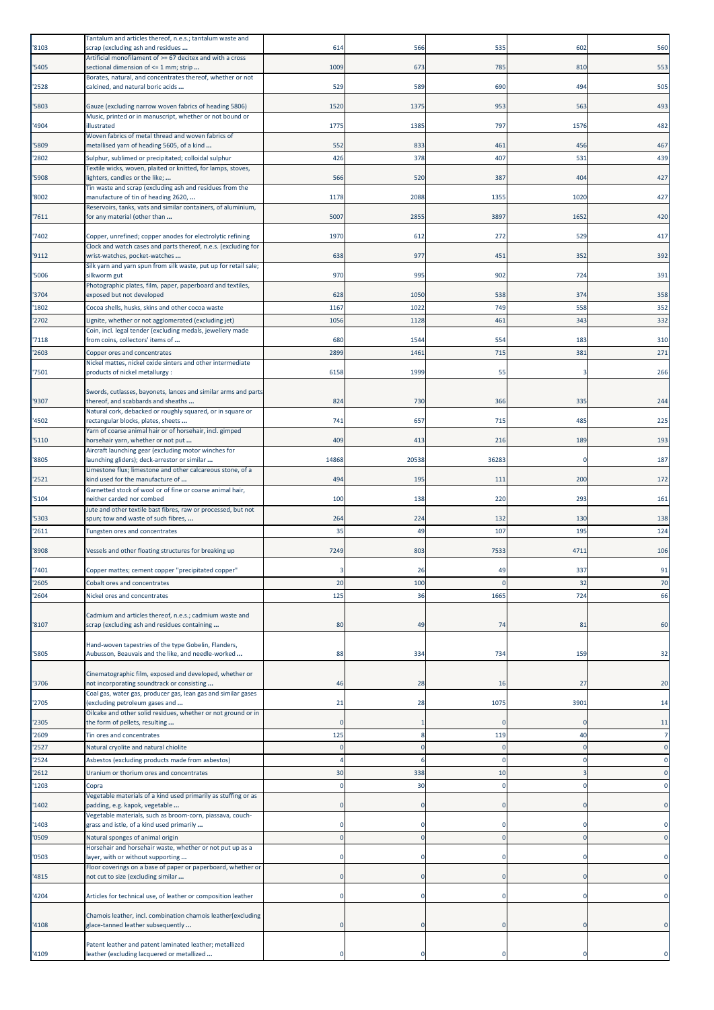| '8103          | Tantalum and articles thereof, n.e.s.; tantalum waste and<br>scrap (excluding ash and residues                                                | 614             | 566       | 535             | 602        | 560        |
|----------------|-----------------------------------------------------------------------------------------------------------------------------------------------|-----------------|-----------|-----------------|------------|------------|
| '5405          | Artificial monofilament of >= 67 decitex and with a cross<br>sectional dimension of <= 1 mm; strip                                            | 1009            | 673       | 785             | 810        | 553        |
| '2528          | Borates, natural, and concentrates thereof, whether or not<br>calcined, and natural boric acids                                               | 529             | 589       | 690             | 494        | 505        |
| '5803          | Gauze (excluding narrow woven fabrics of heading 5806)                                                                                        | 1520            | 1375      | 953             | 563        | 493        |
| '4904          | Music, printed or in manuscript, whether or not bound or<br>illustrated                                                                       | 1775            | 1385      | 797             | 1576       | 482        |
| '5809          | Woven fabrics of metal thread and woven fabrics of<br>metallised yarn of heading 5605, of a kind                                              | 552             | 833       | 461             | 456        | 467        |
| '2802          | Sulphur, sublimed or precipitated; colloidal sulphur                                                                                          | 426             | 378       | 407             | 531        | 439        |
| '5908          | Textile wicks, woven, plaited or knitted, for lamps, stoves,<br>ighters, candles or the like;                                                 | 566             | 520       | 387             | 404        | 427        |
| '8002          | Tin waste and scrap (excluding ash and residues from the<br>manufacture of tin of heading 2620,                                               | 1178            | 2088      | 1355            | 1020       | 427        |
| '7611          | Reservoirs, tanks, vats and similar containers, of aluminium,<br>for any material (other than                                                 | 5007            | 2855      | 3897            | 1652       | 420        |
| '7402          | Copper, unrefined; copper anodes for electrolytic refining                                                                                    | 1970            | 612       | 272             | 529        | 417        |
| '9112          | Clock and watch cases and parts thereof, n.e.s. (excluding for<br>wrist-watches, pocket-watches                                               | 638             | 977       | 451             | 352        | 392        |
| '5006          | Silk yarn and yarn spun from silk waste, put up for retail sale;<br>silkworm gut                                                              | 970             | 995       | 902             | 724        | 391        |
| '3704          | Photographic plates, film, paper, paperboard and textiles,<br>exposed but not developed                                                       | 628             | 1050      | 538             | 374        | 358        |
| '1802          | Cocoa shells, husks, skins and other cocoa waste                                                                                              | 1167            | 1022      | 74 <sup>S</sup> | 558        | 352        |
| '2702          | Lignite, whether or not agglomerated (excluding jet)                                                                                          | 1056            | 1128      | 461             | 343        | 332        |
| '7118          | Coin, incl. legal tender (excluding medals, jewellery made<br>from coins, collectors' items of                                                | <b>680</b>      | 1544      | 554             | 183        | 310        |
| '2603          | Copper ores and concentrates                                                                                                                  | 2899            | 1461      | 715             | 381        | 271        |
|                | Nickel mattes, nickel oxide sinters and other intermediate                                                                                    |                 |           |                 |            |            |
| '7501          | products of nickel metallurgy :                                                                                                               | 6158            | 1999      | 55              |            | 266        |
| '9307          | Swords, cutlasses, bayonets, lances and similar arms and parts<br>thereof, and scabbards and sheaths                                          | 824             | 730       | 366             | 335        | 244        |
| '4502          | Natural cork, debacked or roughly squared, or in square or<br>rectangular blocks, plates, sheets                                              | 741             | 657       | 715             | 485        | 225        |
| '5110          | Yarn of coarse animal hair or of horsehair, incl. gimped<br>horsehair yarn, whether or not put                                                | 409             | 413       | 216             | 189        | 193        |
| '8805          | Aircraft launching gear (excluding motor winches for<br>aunching gliders); deck-arrestor or similar                                           | 14868           | 20538     | 36283           |            | 187        |
| '2521          | Limestone flux; limestone and other calcareous stone, of a<br>kind used for the manufacture of                                                | 494             | 195       | 11              | 200        | 172        |
| '5104          | Garnetted stock of wool or of fine or coarse animal hair,<br>neither carded nor combed                                                        | 100             | 138       | 220             | 293        | 161        |
|                | Jute and other textile bast fibres, raw or processed, but not                                                                                 |                 |           |                 |            |            |
| '5303<br>'2611 | spun; tow and waste of such fibres,<br>Tungsten ores and concentrates                                                                         | 264<br>35       | 224<br>49 | 132<br>107      | 130<br>195 | 138<br>124 |
| '8908          | Vessels and other floating structures for breaking up                                                                                         | 7249            | 803       | 7533            | 4711       | 106        |
| '7401          | Copper mattes; cement copper "precipitated copper"                                                                                            |                 | 26        | 49              | 337        | 91         |
| '2605          | Cobalt ores and concentrates                                                                                                                  | 20              | 100       | C               | 32         | 70         |
| '2604          | Nickel ores and concentrates                                                                                                                  | 125             | 36        | 1665            | 724        | 66         |
|                | Cadmium and articles thereof, n.e.s.; cadmium waste and                                                                                       |                 |           |                 |            |            |
| '8107          | scrap (excluding ash and residues containing                                                                                                  | 80              | 49        | 74              | 81         | 60         |
| '5805          | Hand-woven tapestries of the type Gobelin, Flanders,<br>Aubusson, Beauvais and the like, and needle-worked                                    | 88              | 334       | 734             | 159        | 32         |
|                | Cinematographic film, exposed and developed, whether or                                                                                       |                 |           |                 | 27         |            |
| '3706          | not incorporating soundtrack or consisting<br>Coal gas, water gas, producer gas, lean gas and similar gases<br>(excluding petroleum gases and | 46              | 28        | 16              | 3901       | 20         |
| '2705          | Oilcake and other solid residues, whether or not ground or in                                                                                 | 21              | 28        | 1075            |            | 14         |
| '2305          | the form of pellets, resulting                                                                                                                | C               |           |                 |            | 11         |
| '2609<br>'2527 | Tin ores and concentrates<br>Natural cryolite and natural chiolite                                                                            | 125<br>$\Omega$ | C         | 119<br>$\Omega$ | 40         | $\Omega$   |
| '2524          | Asbestos (excluding products made from asbestos)                                                                                              |                 |           |                 |            | O          |
| '2612          | Uranium or thorium ores and concentrates                                                                                                      | 30              | 338       | 10              |            | $\Omega$   |
| '1203          | Copra                                                                                                                                         | C               | 30        | C               |            |            |
| '1402          | Vegetable materials of a kind used primarily as stuffing or as<br>padding, e.g. kapok, vegetable                                              |                 |           |                 |            |            |
| '1403          | Vegetable materials, such as broom-corn, piassava, couch-<br>grass and istle, of a kind used primarily                                        |                 |           |                 |            |            |
| '0509          | Natural sponges of animal origin                                                                                                              |                 |           |                 |            | $\Omega$   |
| '0503          | Horsehair and horsehair waste, whether or not put up as a<br>layer, with or without supporting                                                | ٢               |           | C               |            | n          |
|                | Floor coverings on a base of paper or paperboard, whether or                                                                                  |                 |           |                 |            |            |
| '4815          | not cut to size (excluding similar                                                                                                            | n               |           | n               |            |            |
| '4204          | Articles for technical use, of leather or composition leather                                                                                 | 0               |           |                 |            |            |
| '4108          | Chamois leather, incl. combination chamois leather(excluding<br>glace-tanned leather subsequently                                             |                 |           |                 |            |            |
|                | Patent leather and patent laminated leather; metallized                                                                                       |                 |           |                 |            |            |
| '4109          | eather (excluding lacquered or metallized                                                                                                     |                 |           |                 |            |            |